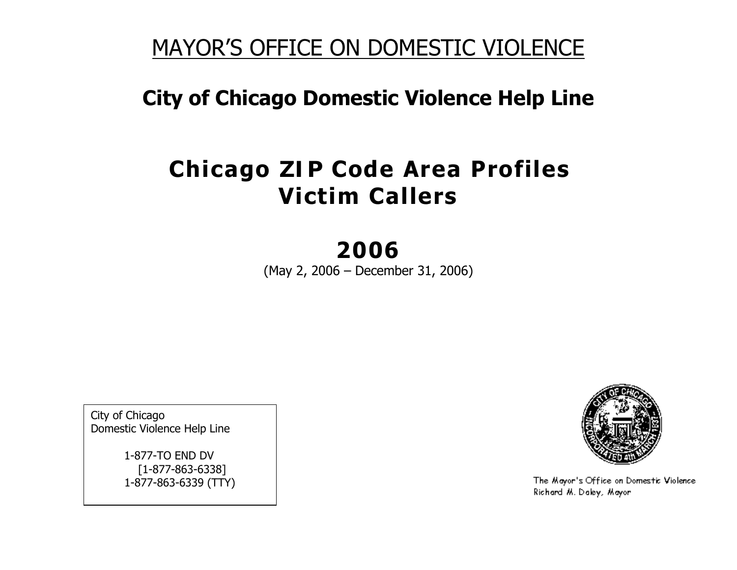## MAYOR'S OFFICE ON DOMESTIC VIOLENCE

## City of Chicago Domestic Violence Help Line

## **Chicago ZIP Code Area Profiles** Victim Callers

# 2006

(May 2, 2006 – December 31, 2006)

City of Chicago Domestic Violence Help Line

> 1-877-TO END DV [1-877-863-6338] 1-877-863-6339 (TTY)



The Mayor's Office on Domestic Violence Richard M. Daley, Mayor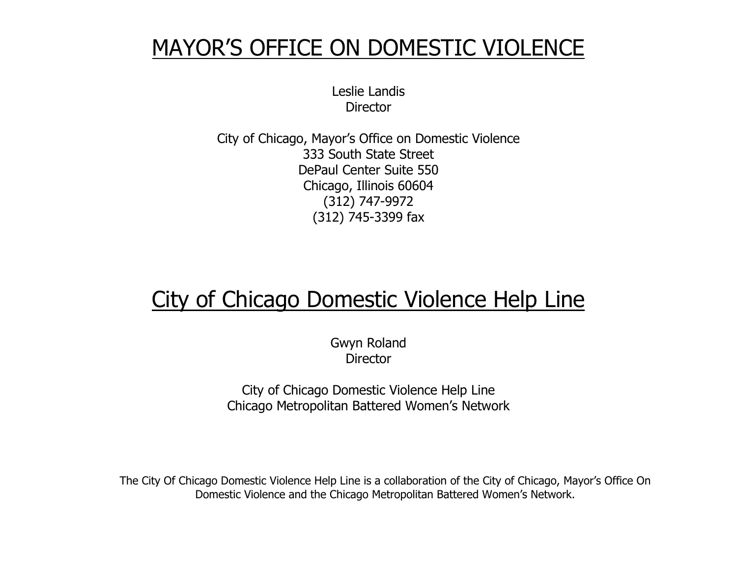## MAYOR'S OFFICE ON DOMESTIC VIOLENCE

Leslie Landis **Director** 

City of Chicago, Mayor's Office on Domestic Violence 333 South State Street DePaul Center Suite 550 Chicago, Illinois 60604 (312) 747-9972 (312) 745-3399 fax

# City of Chicago Domestic Violence Help Line

Gwyn Roland **Director** 

City of Chicago Domestic Violence Help Line Chicago Metropolitan Battered Women's Network

The City Of Chicago Domestic Violence Help Line is a collaboration of the City of Chicago, Mayor's Office On Domestic Violence and the Chicago Metropolitan Battered Women's Network.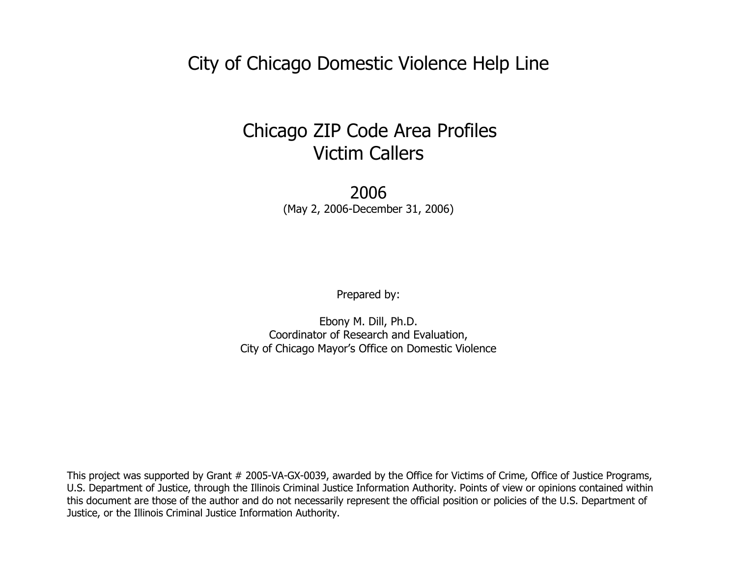City of Chicago Domestic Violence Help Line

## Chicago ZIP Code Area Profiles Victim Callers

2006 (May 2, 2006-December 31, 2006)

Prepared by:

Ebony M. Dill, Ph.D. Coordinator of Research and Evaluation, City of Chicago Mayor's Office on Domestic Violence

This project was supported by Grant # 2005-VA-GX-0039, awarded by the Office for Victims of Crime, Office of Justice Programs, U.S. Department of Justice, through the Illinois Criminal Justice Information Authority. Points of view or opinions contained within this document are those of the author and do not necessarily represent the official position or policies of the U.S. Department of Justice, or the Illinois Criminal Justice Information Authority.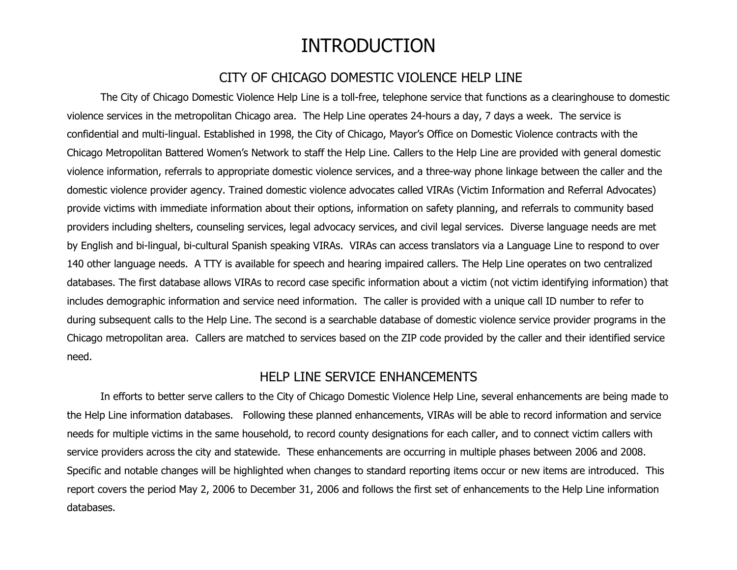### INTRODUCTION

#### CITY OF CHICAGO DOMESTIC VIOLENCE HELP LINE

<span id="page-3-0"></span>The City of Chicago Domestic Violence Help Line is a toll-free, telephone service that functions as a clearinghouse to domestic violence services in the metropolitan Chicago area. The Help Line operates 24-hours a day, 7 days a week. The service is confidential and multi-lingual. Established in 1998, the City of Chicago, Mayor's Office on Domestic Violence contracts with the Chicago Metropolitan Battered Women's Network to staff the Help Line. Callers to the Help Line are provided with general domestic violence information, referrals to appropriate domestic violence services, and a three-way phone linkage between the caller and the domestic violence provider agency. Trained domestic violence advocates called VIRAs (Victim Information and Referral Advocates) provide victims with immediate information about their options, information on safety planning, and referrals to community based providers including shelters, counseling services, legal advocacy services, and civil legal services. Diverse language needs are met by English and bi-lingual, bi-cultural Spanish speaking VIRAs. VIRAs can access translators via a Language Line to respond to over 140 other language needs. A TTY is available for speech and hearing impaired callers. The Help Line operates on two centralized databases. The first database allows VIRAs to record case specific information about a victim (not victim identifying information) that includes demographic information and service need information. The caller is provided with a unique call ID number to refer to during subsequent calls to the Help Line. The second is <sup>a</sup> searchable database of domestic violence service provider programs in the Chicago metropolitan area. Callers are matched to services based on the ZIP code provided by the caller and their identified service need.

#### HELP LINE SERVICE ENHANCEMENTS

In efforts to better serve callers to the City of Chicago Domestic Violence Help Line, several enhancements are being made to the Help Line information databases. Following these planned enhancements, VIRAs will be able to record information and service needs for multiple victims in the same household, to record county designations for each caller, and to connect victim callers with service providers across the city and statewide. These enhancements are occurring in multiple phases between 2006 and 2008. Specific and notable changes will be highlighted when changes to standard reporting items occur or new items are introduced. This report covers the period May 2, 2006 to December 31, 2006 and follows the first set of enhancements to the Help Line information databases.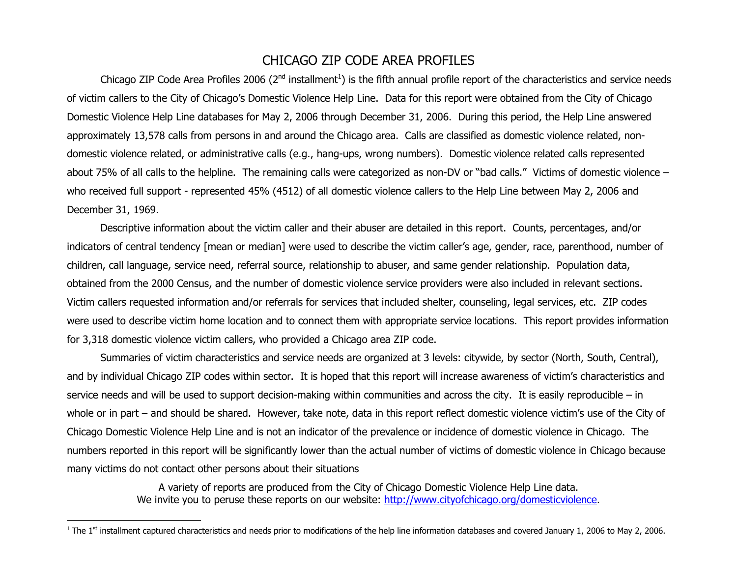#### CHICAGO ZIP CODE AREA PROFILES

<span id="page-4-0"></span>Chicago ZIP Code Area Profiles 2006 ( $2^{nd}$  installment<sup>1</sup>) is the fifth annual profile report of the characteristics and service needs of victim callers to the City of Chicago's Domestic Violence Help Line. Data for this report were obtained from the City of Chicago Domestic Violence Help Line databases for May 2, 2006 through December 31, 2006. During this period, the Help Line answered approximately 13,578 calls from persons in and around the Chicago area. Calls are classified as domestic violence related, nondomestic violence related, or administrative calls (e.g., hang-ups, wrong numbers). Domestic violence related calls represented about 75% of all calls to the helpline. The remaining calls were categorized as non-DV or "bad calls." Victims of domestic violence – who received full support - represented 45% (4512) of all domestic violence callers to the Help Line between May 2, 2006 and December 31, 1969.

Descriptive information about the victim caller and their abuser are detailed in this report. Counts, percentages, and/or indicators of central tendency [mean or median] were used to describe the victim caller's age, gender, race, parenthood, number of children, call language, service need, referral source, relationship to abuser, and same gender relationship. Population data, obtained from the 2000 Census, and the number of domestic violence service providers were also included in relevant sections. Victim callers requested information and/or referrals for services that included shelter, counseling, legal services, etc. ZIP codes were used to describe victim home location and to connect them with appropriate service locations. This report provides information for 3,318 domestic violence victim callers, who provided <sup>a</sup> Chicago area ZIP code.

Summaries of victim characteristics and service needs are organized at 3 levels: citywide, by sector (North, South, Central), and by individual Chicago ZIP codes within sector. It is hoped that this report will increase awareness of victim's characteristics and service needs and will be used to support decision-making within communities and across the city. It is easily reproducible – in whole or in part – and should be shared. However, take note, data in this report reflect domestic violence victim's use of the City of Chicago Domestic Violence Help Line and is not an indicator of the prevalence or incidence of domestic violence in Chicago. The numbers reported in this report will be significantly lower than the actual number of victims of domestic violence in Chicago because many victims do not contact other persons about their situations

> A variety of reports are produced from the City of Chicago Domestic Violence Help Line data. We invite you to peruse these reports on our website: http://www.cityofchicago.org/domesticviolence.

<sup>&</sup>lt;sup>1</sup> The 1<sup>st</sup> installment captured characteristics and needs prior to modifications of the help line information databases and covered January 1, 2006 to May 2, 2006.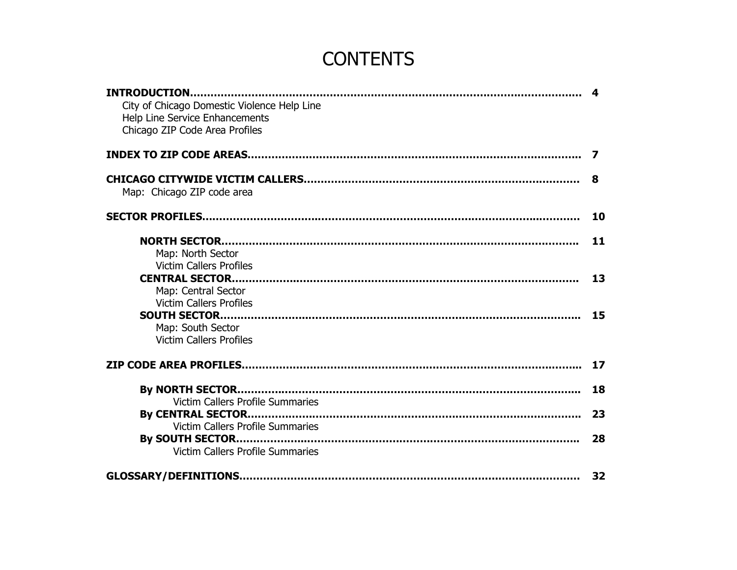## CONTENTS

| City of Chicago Domestic Violence Help Line                             |           |
|-------------------------------------------------------------------------|-----------|
| <b>Help Line Service Enhancements</b><br>Chicago ZIP Code Area Profiles |           |
|                                                                         |           |
|                                                                         | 8         |
| Map: Chicago ZIP code area                                              |           |
|                                                                         | <b>10</b> |
|                                                                         | 11        |
| Map: North Sector                                                       |           |
| <b>Victim Callers Profiles</b>                                          |           |
|                                                                         | 13        |
| Map: Central Sector                                                     |           |
| <b>Victim Callers Profiles</b>                                          |           |
|                                                                         | 15        |
| Map: South Sector<br><b>Victim Callers Profiles</b>                     |           |
|                                                                         | 17        |
|                                                                         |           |
|                                                                         | 18        |
| <b>Victim Callers Profile Summaries</b>                                 |           |
|                                                                         | 23        |
| <b>Victim Callers Profile Summaries</b>                                 |           |
| <b>Victim Callers Profile Summaries</b>                                 | 28        |
|                                                                         | 32        |
|                                                                         |           |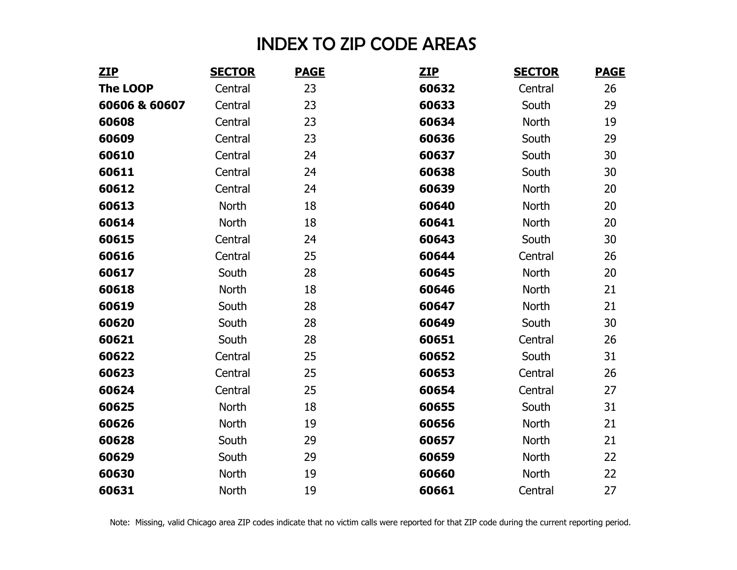## INDEX TO ZIP CODE AREAS

<span id="page-6-0"></span>

| <b>ZIP</b>      | <b>SECTOR</b> | <b>PAGE</b> | <b>ZIP</b> | <b>SECTOR</b> | <b>PAGE</b> |
|-----------------|---------------|-------------|------------|---------------|-------------|
| <b>The LOOP</b> | Central       | 23          | 60632      | Central       | 26          |
| 60606 & 60607   | Central       | 23          | 60633      | South         | 29          |
| 60608           | Central       | 23          | 60634      | North         | 19          |
| 60609           | Central       | 23          | 60636      | South         | 29          |
| 60610           | Central       | 24          | 60637      | South         | 30          |
| 60611           | Central       | 24          | 60638      | South         | 30          |
| 60612           | Central       | 24          | 60639      | <b>North</b>  | 20          |
| 60613           | North         | 18          | 60640      | North         | 20          |
| 60614           | North         | 18          | 60641      | North         | 20          |
| 60615           | Central       | 24          | 60643      | South         | 30          |
| 60616           | Central       | 25          | 60644      | Central       | 26          |
| 60617           | South         | 28          | 60645      | <b>North</b>  | 20          |
| 60618           | North         | 18          | 60646      | North         | 21          |
| 60619           | South         | 28          | 60647      | North         | 21          |
| 60620           | South         | 28          | 60649      | South         | 30          |
| 60621           | South         | 28          | 60651      | Central       | 26          |
| 60622           | Central       | 25          | 60652      | South         | 31          |
| 60623           | Central       | 25          | 60653      | Central       | 26          |
| 60624           | Central       | 25          | 60654      | Central       | 27          |
| 60625           | North         | 18          | 60655      | South         | 31          |
| 60626           | North         | 19          | 60656      | <b>North</b>  | 21          |
| 60628           | South         | 29          | 60657      | <b>North</b>  | 21          |
| 60629           | South         | 29          | 60659      | North         | 22          |
| 60630           | North         | 19          | 60660      | North         | 22          |
| 60631           | North         | 19          | 60661      | Central       | 27          |

Note: Missing, valid Chicago area ZIP codes indicate that no victim calls were reported for that ZIP code during the current reporting period.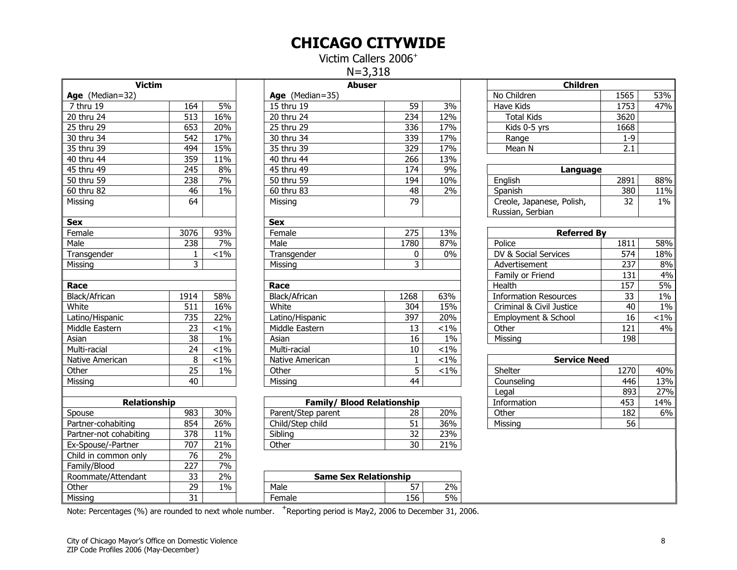#### CHICAGO CITYWIDE

Victim Callers 2006<sup>+</sup> N=3,318

<span id="page-7-0"></span>

| <b>Victim</b>           |                 |         | <b>Abuser</b>                     |                 |                  |  |  |  |
|-------------------------|-----------------|---------|-----------------------------------|-----------------|------------------|--|--|--|
| Age (Median=32)         |                 |         | Age (Median=35)                   |                 |                  |  |  |  |
| $\overline{7}$ thru 19  | 164             | 5%      | 15 thru 19                        | 59              | $\overline{3\%}$ |  |  |  |
| 20 thru 24              | 513             | 16%     | 20 thru 24                        | 234             | 12%              |  |  |  |
| 25 thru 29              | 653             | 20%     | 25 thru 29                        | 336             | 17%              |  |  |  |
| 30 thru 34              | 542             | 17%     | 30 thru 34                        | 339             | 17%              |  |  |  |
| 35 thru 39              | 494             | 15%     | 35 thru 39                        | 329             | 17%              |  |  |  |
| 40 thru 44              | 359             | 11%     | 40 thru 44                        | 266             | 13%              |  |  |  |
| 45 thru 49              | 245             | 8%      | 45 thru 49                        | 174             | 9%               |  |  |  |
| $\overline{50}$ thru 59 | 238             | 7%      | 50 thru 59                        | 194             | 10%              |  |  |  |
| 60 thru 82              | 46              | 1%      | $\overline{60}$ thru 83           | 48              | 2%               |  |  |  |
| Missing                 | 64              |         | Missing                           | 79              |                  |  |  |  |
| <b>Sex</b>              |                 |         | <b>Sex</b>                        |                 |                  |  |  |  |
| Female                  | 3076            | 93%     | Female                            | 275             | 13%              |  |  |  |
| Male                    | 238             | 7%      | Male                              | 1780            | 87%              |  |  |  |
| Transgender             | 1               | $< 1\%$ | Transgender                       | 0               | $0\%$            |  |  |  |
| Missing                 | $\overline{3}$  |         | Missing                           | 3               |                  |  |  |  |
|                         |                 |         |                                   |                 |                  |  |  |  |
| Race                    |                 |         | Race                              |                 |                  |  |  |  |
| Black/African           | 1914            | 58%     | Black/African                     | 1268            | 63%              |  |  |  |
| White                   | 511             | 16%     | White                             | 304             | 15%              |  |  |  |
| Latino/Hispanic         | 735             | 22%     | Latino/Hispanic                   | 397             | 20%              |  |  |  |
| Middle Eastern          | 23              | $< 1\%$ | Middle Eastern                    | 13              | $< 1\%$          |  |  |  |
| Asian                   | 38              | $1\%$   | Asian                             | 16              | $1\%$            |  |  |  |
| Multi-racial            | 24              | $< 1\%$ | Multi-racial                      | 10              | $< 1\%$          |  |  |  |
| Native American         | 8               | $1\%$   | Native American                   | $\mathbf{1}$    | $1\%$            |  |  |  |
| Other                   | 25              | $1\%$   | Other                             | 5               | $1\%$            |  |  |  |
| Missing                 | 40              |         | Missing                           | 44              |                  |  |  |  |
|                         |                 |         |                                   |                 |                  |  |  |  |
| <b>Relationship</b>     |                 |         | <b>Family/ Blood Relationship</b> |                 |                  |  |  |  |
| Spouse                  | 983             | 30%     | Parent/Step parent                | 28              | 20%              |  |  |  |
| Partner-cohabiting      | 854             | 26%     | Child/Step child                  | 51              | 36%              |  |  |  |
| Partner-not cohabiting  | 378             | 11%     | Sibling                           | 32              | 23%              |  |  |  |
| Ex-Spouse/-Partner      | 707             | 21%     | Other                             | $\overline{30}$ | 21%              |  |  |  |
| Child in common only    | 76              | 2%      |                                   |                 |                  |  |  |  |
| Family/Blood            | 227             | 7%      |                                   |                 |                  |  |  |  |
| Roommate/Attendant      | 33              | 2%      | <b>Same Sex Relationship</b>      |                 |                  |  |  |  |
| Other                   | 29              | 1%      | Male                              | 57              | 2%               |  |  |  |
| Missing                 | $\overline{31}$ |         | Female                            | 156             | 5%               |  |  |  |

| Victim                 |      |         | Abuser          |      |         | <b>Children</b>              |         |         |
|------------------------|------|---------|-----------------|------|---------|------------------------------|---------|---------|
| <b>Age</b> (Median=32) |      |         | Age (Median=35) |      |         | No Children                  | 1565    | 53%     |
| 7 thru 19              | 164  | 5%      | 15 thru 19      | 59   | 3%      | Have Kids                    | 1753    | 47%     |
| 20 thru 24             | 513  | 16%     | 20 thru 24      | 234  | 12%     | <b>Total Kids</b>            | 3620    |         |
| 25 thru 29             | 653  | 20%     | 25 thru 29      | 336  | 17%     | Kids 0-5 yrs                 | 1668    |         |
| 30 thru 34             | 542  | 17%     | 30 thru 34      | 339  | 17%     | Range                        | $1 - 9$ |         |
| 35 thru 39             | 494  | 15%     | 35 thru 39      | 329  | 17%     | Mean N                       | 2.1     |         |
| 40 thru 44             | 359  | 11%     | 40 thru 44      | 266  | 13%     |                              |         |         |
| 45 thru 49             | 245  | 8%      | 45 thru 49      | 174  | 9%      | Language                     |         |         |
| 50 thru 59             | 238  | 7%      | 50 thru 59      | 194  | 10%     | English                      | 2891    | 88%     |
| 60 thru 82             | 46   | $1\%$   | 60 thru 83      | 48   | 2%      | Spanish                      | 380     | 11%     |
| Missing                | 64   |         | Missing         | 79   |         | Creole, Japanese, Polish,    | 32      | $1\%$   |
|                        |      |         |                 |      |         | Russian, Serbian             |         |         |
| Sex                    |      |         | <b>Sex</b>      |      |         |                              |         |         |
| Female                 | 3076 | 93%     | Female          | 275  | 13%     | <b>Referred By</b>           |         |         |
| Male                   | 238  | 7%      | Male            | 1780 | 87%     | Police                       | 1811    | 58%     |
| Transgender            |      | $< 1\%$ | Transgender     | 0    | $0\%$   | DV & Social Services         | 574     | 18%     |
| Missina                | 3    |         | Missing         | 3    |         | Advertisement                | 237     | 8%      |
|                        |      |         |                 |      |         | Family or Friend             | 131     | 4%      |
| Race                   |      |         | Race            |      |         | Health                       | 157     | $5\%$   |
| Black/African          | 1914 | 58%     | Black/African   | 1268 | 63%     | <b>Information Resources</b> | 33      | $1\%$   |
| White                  | 511  | 16%     | White           | 304  | 15%     | Criminal & Civil Justice     | 40      | 1%      |
| Latino/Hispanic        | 735  | 22%     | Latino/Hispanic | 397  | 20%     | Employment & School          | 16      | $< 1\%$ |
| Middle Eastern         | 23   | $< 1\%$ | Middle Eastern  | 13   | $< 1\%$ | Other                        | 121     | 4%      |
| Asian                  | 38   | $1\%$   | Asian           | 16   | $1\%$   | Missing                      | 198     |         |
| Multi-racial           | 24   | $< 1\%$ | Multi-racial    | 10   | $< 1\%$ |                              |         |         |
| Native American        | 8    | $< 1\%$ | Native American |      | $< 1\%$ | <b>Service Need</b>          |         |         |
| Other                  | 25   | $1\%$   | Other           | 5    | $< 1\%$ | Shelter                      | 1270    | 40%     |
| Missing                | 40   |         | Missina         | 44   |         | Counseling                   | 446     | 13%     |
|                        |      |         |                 |      |         | $L_{\alpha}$                 | coo     | 270/    |

| <b>Relationship</b>    |     |     | <b>Family/ Blood Relationship</b> |          |     | Information | 453 | 14% |
|------------------------|-----|-----|-----------------------------------|----------|-----|-------------|-----|-----|
| Spouse                 | 983 | 30% | Parent/Step parent                | າ໐<br>دں | 20% | Other       | 182 | 6%  |
| Partner-cohabiting     | 854 | 26% | Child/Step child                  | ັ        | 36% | Missing     | 56  |     |
| Partner-not cohabiting | 378 | 11% | Sibling                           | --<br>ັ  | 23% |             |     |     |
| Ex-Spouse/-Partner     | 707 | 21% | Other                             | 30       | 21% |             |     |     |

| <b>Victim</b>          |                 |                 | <b>Abuser</b>                     |                 |         | <b>Children</b>              |         |         |  |
|------------------------|-----------------|-----------------|-----------------------------------|-----------------|---------|------------------------------|---------|---------|--|
| Age (Median=32)        |                 |                 | Age (Median=35)                   |                 |         | No Children                  | 1565    | 53%     |  |
| 7 thru 19              | 164             | 5%              | 15 thru 19                        | 59              | 3%      | Have Kids                    | 1753    | 47%     |  |
| 20 thru 24             | 513             | 16%             | 20 thru 24                        | 234             | 12%     | <b>Total Kids</b>            | 3620    |         |  |
| 25 thru 29             | 653             | 20%             | 25 thru 29                        | 336             | 17%     | Kids 0-5 yrs                 | 1668    |         |  |
| 30 thru 34             | 542             | 17%             | 30 thru 34                        | 339             | 17%     | Range                        | $1 - 9$ |         |  |
| 35 thru 39             | 494             | 15%             | 35 thru 39                        | 329             | 17%     | Mean N                       | 2.1     |         |  |
| 40 thru 44             | 359             | 11%             | $\overline{40}$ thru 44           | 266             | 13%     |                              |         |         |  |
| 45 thru 49             | 245             | 8%              | $\overline{45}$ thru 49           | 174             | 9%      | Language                     |         |         |  |
| 50 thru 59             | 238             | 7%              | 50 thru 59                        | 194             | 10%     | English                      | 2891    | 88%     |  |
| 60 thru 82             | 46              | $1\%$           | 60 thru 83                        | 48              | 2%      | Spanish                      | 380     | 11%     |  |
| Missing                | 64              |                 | Missing                           | $\overline{79}$ |         | Creole, Japanese, Polish,    | 32      | $1\%$   |  |
|                        |                 |                 |                                   |                 |         | Russian, Serbian             |         |         |  |
| Sex                    |                 |                 | <b>Sex</b>                        |                 |         |                              |         |         |  |
| Female                 | 3076            | 93%             | Female                            | 275             | 13%     | <b>Referred By</b>           |         |         |  |
| Male                   | 238             | 7%              | Male                              | 1780            | 87%     | Police                       | 1811    | 58%     |  |
| Transgender            | $\mathbf{1}$    | $< 1\%$         | Transgender                       | $\mathbf{0}$    | 0%      | DV & Social Services         | 574     | 18%     |  |
| Missing                | 3               |                 | Missing                           | 3               |         | Advertisement                | 237     | 8%      |  |
|                        |                 |                 |                                   |                 |         | Family or Friend             | 131     | 4%      |  |
| Race                   |                 |                 | Race                              |                 |         | Health                       | 157     | 5%      |  |
| Black/African          | 1914            | 58%             | Black/African                     | 1268            | 63%     | <b>Information Resources</b> | 33      | $1\%$   |  |
| White                  | 511             | 16%             | White                             | 304             | 15%     | Criminal & Civil Justice     | 40      | $1\%$   |  |
| Latino/Hispanic        | 735             | 22%             | Latino/Hispanic                   | 397             | 20%     | Employment & School          | 16      | $< 1\%$ |  |
| Middle Eastern         | 23              | $< 1\%$         | Middle Eastern                    | 13              | $< 1\%$ | Other                        | 121     | 4%      |  |
| Asian                  | 38              | $1\%$           | Asian                             | 16              | $1\%$   | Missing                      | 198     |         |  |
| Multi-racial           | 24              | $< 1\%$         | Multi-racial                      | 10              | $< 1\%$ |                              |         |         |  |
| Native American        | 8               | $< 1\%$         | Native American                   | $\mathbf{1}$    | $1\%$   | <b>Service Need</b>          |         |         |  |
| Other                  | $\overline{25}$ | $1\%$           | Other                             | $\overline{5}$  | $< 1\%$ | Shelter                      | 1270    | 40%     |  |
| Missing                | 40              |                 | Missing                           | 44              |         | Counseling                   | 446     | 13%     |  |
|                        |                 |                 |                                   |                 |         | Legal                        | 893     | 27%     |  |
| <b>Relationship</b>    |                 |                 | <b>Family/ Blood Relationship</b> |                 |         | Information                  | 453     | 14%     |  |
| Spouse                 | 983             | 30%             | Parent/Step parent                | 28              | 20%     | Other                        | 182     | 6%      |  |
| Partner-cohabiting     | 854             | 26%             | Child/Step child                  | 51              | 36%     | Missing                      | 56      |         |  |
| Partner-not cohabiting | 378             | 11%             | Sibling                           | 32              | 23%     |                              |         |         |  |
| Ex-Spouse/-Partner     | 707             | 21%             | Other                             | 30              | 21%     |                              |         |         |  |
| Child in common only   | 76              | 2%              |                                   |                 |         |                              |         |         |  |
| Family/Blood           | 227             | 7%              |                                   |                 |         |                              |         |         |  |
| Roommate/Attendant     | 33              | 70 <sub>o</sub> | Same Sey Relationshin             |                 |         |                              |         |         |  |

Note: Percentages (%) are rounded to next whole number. <sup>+</sup>Reporting period is May2, 2006 to December 31, 2006.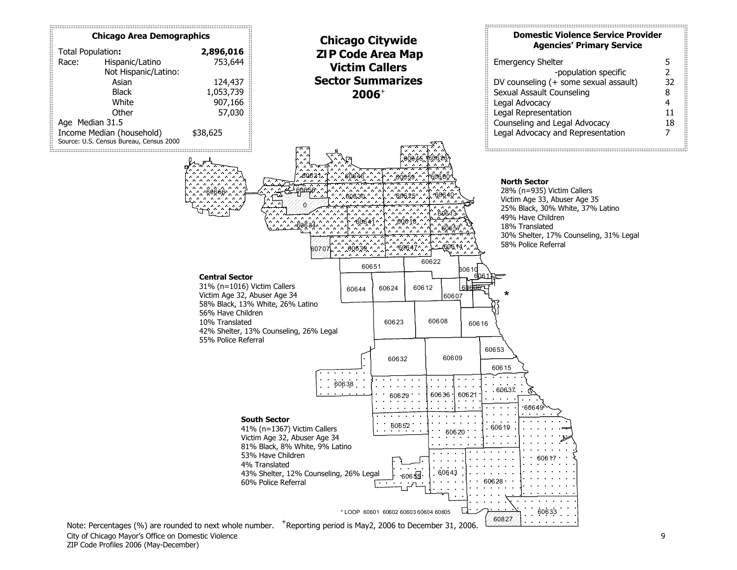<span id="page-8-0"></span>

ZIP Code Profiles 2006 (May-December)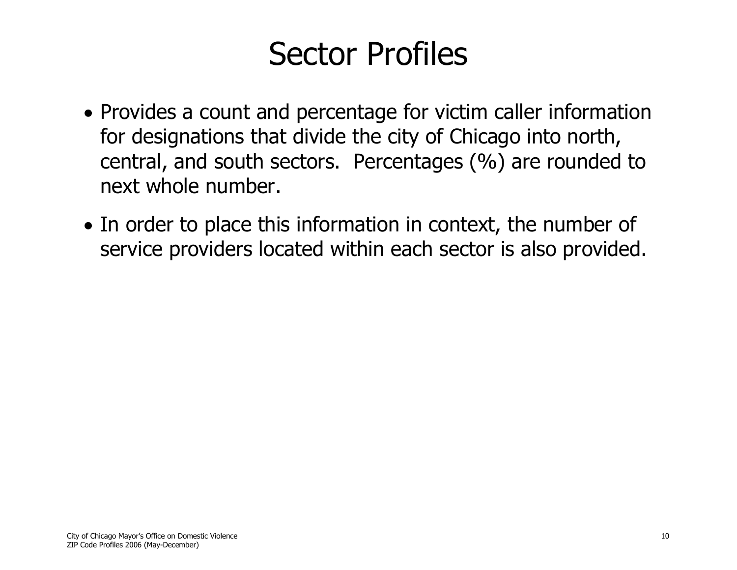# Sector Profiles

- <span id="page-9-0"></span>• Provides a count and percentage for victim caller information for designations that divide the city of Chicago into north, central, and south sectors. Percentages (%) are rounded to next whole number.
- In order to place this information in context, the number of service providers located within each sector is also provided.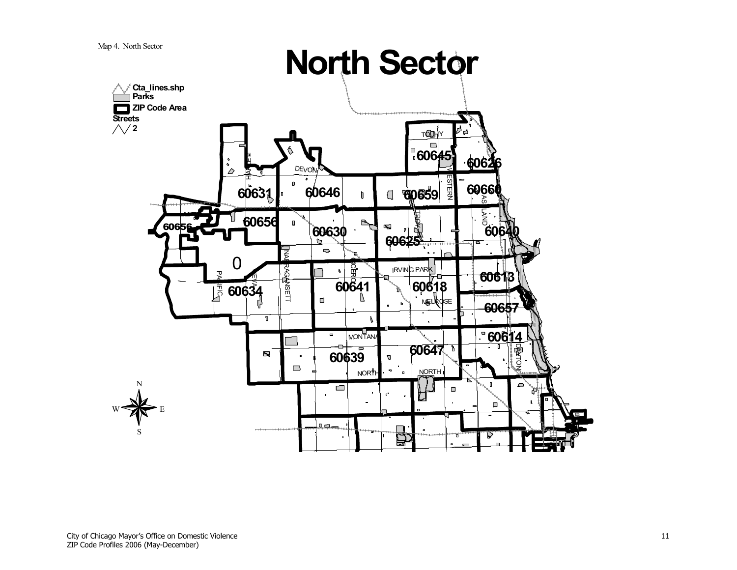<span id="page-10-0"></span>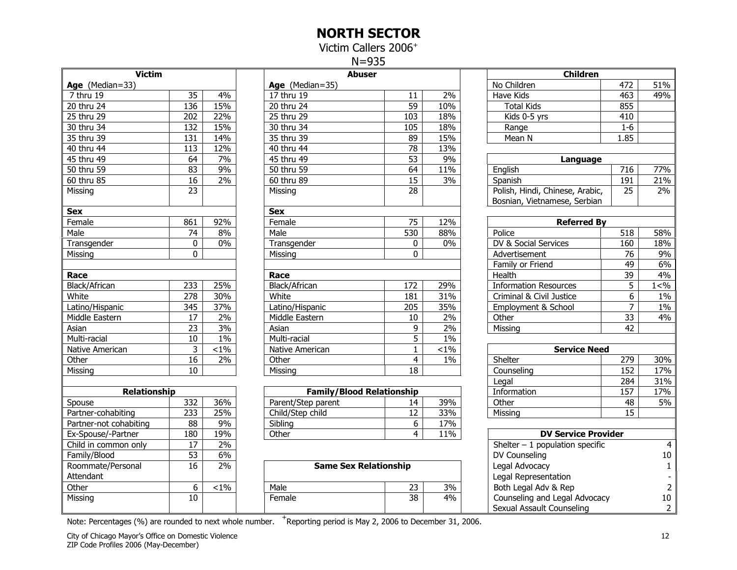#### NORTH SECTOR

Victim Callers 2006<sup>+</sup>

N=935

<span id="page-11-0"></span>

| <b>Victim</b><br>Age (Median=33) |                  |                  |                         |
|----------------------------------|------------------|------------------|-------------------------|
| 7 thru 19                        | 35               | 4%               | Age<br>17 <sub>th</sub> |
| 20 thru 24                       | $\overline{136}$ | 15%              | 20 th                   |
| 25 thru 29                       | 202              | 22%              | 25 <sub>th</sub>        |
| 30 thru 34                       | 132              | 15%              | 30 th                   |
| 35 thru 39                       | 131              | 14%              | 35 th                   |
| 40 thru 44                       | 113              | 12%              | 40 th                   |
| 45 thru 49                       | 64               | 7%               | 45 th                   |
| 50 thru 59                       | $\overline{83}$  | $\overline{9\%}$ | $\overline{50}$ th      |
| 60 thru 85                       | 16               | 2%               | 60 th                   |
| Missing                          | 23               |                  | Missi                   |
| <b>Sex</b>                       |                  |                  | <b>Sex</b>              |
| Female                           | 861              | 92%              | Fema                    |
| Male                             | 74               | 8%               | Male                    |
| Transgender                      | 0                | 0%               | Tran                    |
| Missing                          | 0                |                  | Missi                   |
| Race                             |                  |                  | Race                    |
| Black/African                    | 233              | 25%              | <b>Black</b>            |
| White                            | 278              | 30%              | Whit                    |
| Latino/Hispanic                  | 345              | 37%              | Latin                   |
| Middle Eastern                   | 17               | 2%               | Midd                    |
| Asian                            | 23               | 3%               | Asiar                   |
| Multi-racial                     | 10               | 1%               | Multi                   |
| Native American                  | 3                | $< 1\%$          | Nativ                   |
| Other                            | 16               | 2%               | Othe                    |
| Missing                          | 10               |                  | Missi                   |
| Relationship                     |                  |                  |                         |
| Spouse                           | 332              | 36%              | Pare                    |
| Partner-cohabiting               | $\overline{233}$ | 25%              | Child                   |
| Partner-not cohabiting           | 88               | 9%               | Siblir                  |
| Ex-Spouse/-Partner               | 180              | 19%              | Othe                    |
| Child in common only             | 17               | 2%               |                         |
| Family/Blood                     | 53               | 6%               |                         |
| Roommate/Personal<br>Attendant   | $\overline{16}$  | 2%               |                         |
| Other                            | 6                | $< 1\%$          | Male                    |
| Missing                          | 10               |                  | Fema                    |

| <b>Victim</b>          |          |         | <b>Abuser</b>     |                 |         | <b>Children</b>                 |       |         |
|------------------------|----------|---------|-------------------|-----------------|---------|---------------------------------|-------|---------|
| <b>Age</b> (Median=33) |          |         | Age $(Median=35)$ |                 |         | No Children                     | 472   | 51%     |
| 7 thru 19              | 35       | 4%      | 17 thru 19        | 11              | 2%      | Have Kids                       | 463   | 49%     |
| 20 thru 24             | 136      | 15%     | 20 thru 24        | $\overline{59}$ | 10%     | <b>Total Kids</b>               | 855   |         |
| 25 thru 29             | 202      | 22%     | 25 thru 29        | 103             | 18%     | Kids 0-5 yrs                    | 410   |         |
| 30 thru 34             | 132      | 15%     | 30 thru 34        | 105             | 18%     | Range                           | $1-6$ |         |
| 35 thru 39             | 131      | 14%     | 35 thru 39        | 89              | 15%     | Mean N                          | 1.85  |         |
| 40 thru 44             | 113      | 12%     | 40 thru 44        | 78              | 13%     |                                 |       |         |
| 45 thru 49             | 64       | 7%      | 45 thru 49        | 53              | 9%      | Language                        |       |         |
| 50 thru 59             | 83       | 9%      | 50 thru 59        | 64              | 11%     | English                         | 716   | 77%     |
| 60 thru 85             | 16       | 2%      | 60 thru 89        | 15              | 3%      | Spanish                         | 191   | 21%     |
| Missing                | 23       |         | Missing           | 28              |         | Polish, Hindi, Chinese, Arabic, | 25    | 2%      |
|                        |          |         |                   |                 |         | Bosnian, Vietnamese, Serbian    |       |         |
| Sex                    |          |         | <b>Sex</b>        |                 |         |                                 |       |         |
| Female                 | 861      | 92%     | Female            | 75              | 12%     | <b>Referred By</b>              |       |         |
| Male                   | 74       | 8%      | Male              | 530             | 88%     | Police                          | 518   | 58%     |
| Transgender            | 0        | 0%      | Transgender       | 0               | 0%      | DV & Social Services            | 160   | 18%     |
| Missing                | $\Omega$ |         | Missina           | 0               |         | Advertisement                   | 76    | 9%      |
|                        |          |         |                   |                 |         | Family or Friend                | 49    | 6%      |
| Race                   |          |         | Race              |                 |         | Health                          | 39    | 4%      |
| Black/African          | 233      | 25%     | Black/African     | 172             | 29%     | <b>Information Resources</b>    | 5     | 1 < 9/6 |
| White                  | 278      | 30%     | White             | 181             | 31%     | Criminal & Civil Justice        | 6     | $1\%$   |
| Latino/Hispanic        | 345      | 37%     | Latino/Hispanic   | 205             | 35%     | Employment & School             | 7     | 1%      |
| Middle Eastern         | 17       | 2%      | Middle Eastern    | 10              | 2%      | Other                           | 33    | 4%      |
| Asian                  | 23       | 3%      | Asian             | 9               | 2%      | Missing                         | 42    |         |
| Multi-racial           | 10       | $1\%$   | Multi-racial      | 5               | $1\%$   |                                 |       |         |
| Native American        | 3        | $< 1\%$ | Native American   |                 | $< 1\%$ | <b>Service Need</b>             |       |         |
| Other                  | 16       | 2%      | Other             | 4               | $1\%$   | Shelter                         | 279   | 30%     |
| Missing                | 10       |         | Missing           | 18              |         | Counseling                      | 152   | 17%     |
|                        |          |         |                   |                 |         |                                 |       |         |

| <b>Relationship</b>    |             |     | <b>Family/Blood Relationship</b> |    |     | Information                | ヒフ<br>ىر ي | 17% |
|------------------------|-------------|-----|----------------------------------|----|-----|----------------------------|------------|-----|
| Spouse                 | 332         | 36% | Parent/Step parent               |    | 39% | Other                      | 48         | 5%  |
| Partner-cohabiting     | ככר<br>ر رے | 25% | Child/Step child                 | ∸∸ | 33% | Missing                    | --         |     |
| Partner-not cohabiting | 88          | 9%  | Sibling                          |    | 17% |                            |            |     |
| Ex-Spouse/-Partner     | 180         | 19% | Other                            |    | 11% | <b>DV Service Provider</b> |            |     |

| .                 | -- | - - - |                              |        |    | - - - - - - - - - - - - -     | -- |
|-------------------|----|-------|------------------------------|--------|----|-------------------------------|----|
| Roommate/Personal |    | 2%    | <b>Same Sex Relationship</b> |        |    | Legal Advocacy                |    |
| Attendant         |    |       |                              |        |    | Legal Representation          |    |
| Other             |    | $1\%$ | Male                         | $\sim$ | 3% | Both Legal Adv & Rep          |    |
| Missina           | 10 |       | Female                       | 38     | 4% | Counseling and Legal Advocacy |    |
|                   |    |       |                              |        |    | Sexual Assault Counseling     |    |

Note: Percentages (%) are rounded to next whole number. <sup>+</sup>Reporting period is May 2, 2006 to December 31, 2006.

| <b>Victim</b>          |                  |         | <b>Abuser</b>                    |                  |         | Children                                                        |                 |                      |
|------------------------|------------------|---------|----------------------------------|------------------|---------|-----------------------------------------------------------------|-----------------|----------------------|
| Age (Median=33)        |                  |         | Age (Median=35)                  |                  |         | No Children                                                     | 472             | 51%                  |
| 7 thru 19              | 35               | 4%      | $\overline{17}$ thru 19          | 11               | 2%      | Have Kids                                                       | 463             | 49%                  |
| 20 thru 24             | $\frac{136}{2}$  | 15%     | $20$ thru $24$                   | $\overline{59}$  | 10%     | <b>Total Kids</b>                                               | 855             |                      |
| 25 thru 29             | 202              | 22%     | 25 thru 29                       | 103              | 18%     | Kids 0-5 yrs                                                    | 410             |                      |
| 30 thru 34             | 132              | 15%     | 30 thru 34                       | 105              | 18%     | Range                                                           | $1-6$           |                      |
| 35 thru 39             | 131              | 14%     | 35 thru 39                       | 89               | 15%     | Mean N                                                          | 1.85            |                      |
| 40 thru 44             | 113              | 12%     | 40 thru 44                       | 78               | 13%     |                                                                 |                 |                      |
| 45 thru 49             | 64               | 7%      | 45 thru 49                       | 53               | 9%      | Language                                                        |                 |                      |
| 50 thru 59             | $\overline{83}$  | 9%      | 50 thru 59                       | 64               | 11%     | English                                                         | 716             | 77%                  |
| 60 thru 85             | $\overline{16}$  | 2%      | 60 thru 89                       | $\overline{15}$  | 3%      | Spanish                                                         | 191             | 21%                  |
| Missing                | 23               |         | Missing                          | 28               |         | Polish, Hindi, Chinese, Arabic,<br>Bosnian, Vietnamese, Serbian | 25              | 2%                   |
| Sex                    |                  |         | <b>Sex</b>                       |                  |         |                                                                 |                 |                      |
| Female                 | 861              | 92%     | Female                           | 75               | 12%     | <b>Referred By</b>                                              |                 |                      |
| Male                   | 74               | 8%      | Male                             | 530              | 88%     | Police                                                          | 518             | 58%                  |
| Transgender            | 0                | 0%      | Transgender                      | 0                | 0%      | DV & Social Services                                            | 160             | 18%                  |
| Missing                | $\Omega$         |         | Missing                          | $\mathbf 0$      |         | Advertisement                                                   | $\overline{76}$ | 9%                   |
|                        |                  |         |                                  |                  |         | 49<br>Family or Friend                                          |                 | 6%                   |
| Race                   |                  |         | Race                             |                  |         | Health<br>$\overline{39}$                                       |                 | 4%                   |
| Black/African          | 233              | 25%     | Black/African                    | 172              | 29%     | <b>Information Resources</b>                                    | 5               | 1 < %                |
| White                  | 278              | 30%     | White                            | 181              | 31%     | Criminal & Civil Justice                                        | 6               | $1\%$                |
| Latino/Hispanic        | $\overline{345}$ | 37%     | Latino/Hispanic                  | $\overline{205}$ | 35%     | Employment & School                                             | $\overline{7}$  | $1\%$                |
| Middle Eastern         | 17               | 2%      | Middle Eastern                   | 10               | 2%      | Other                                                           | 33              | 4%                   |
| Asian                  | 23               | $3\%$   | Asian                            | $\boldsymbol{9}$ | $2\%$   | Missing                                                         | 42              |                      |
| Multi-racial           | 10               | $1\%$   | Multi-racial                     | 5                | 1%      |                                                                 |                 |                      |
| Native American        | 3                | $< 1\%$ | Native American                  | $\mathbf{1}$     | $< 1\%$ | <b>Service Need</b>                                             |                 |                      |
| Other                  | $\overline{16}$  | 2%      | Other                            | $\overline{4}$   | $1\%$   | Shelter                                                         | 279             | 30%                  |
| _<br>Missing           | 10               |         | Missing                          | 18               |         | Counseling                                                      | 152             | 17%                  |
|                        |                  |         |                                  |                  |         | Legal                                                           | 284             | 31%                  |
| Relationship           |                  |         | <b>Family/Blood Relationship</b> |                  |         | Information                                                     | 157             | 17%                  |
| Spouse                 | 332              | 36%     | Parent/Step parent               | 14               | 39%     | Other                                                           | 48              | 5%                   |
| Partner-cohabiting     | 233              | 25%     | Child/Step child                 | $\overline{12}$  | 33%     | Missing                                                         | $\overline{15}$ |                      |
| Partner-not cohabiting | 88               | 9%      | Sibling                          | 6                | 17%     |                                                                 |                 |                      |
| Ex-Spouse/-Partner     | 180              | 19%     | Other                            | $\overline{4}$   | 11%     | <b>DV Service Provider</b>                                      |                 |                      |
| Child in common only   | $\overline{17}$  | $2\%$   |                                  |                  |         | Shelter $-1$ population specific                                |                 | $\overline{4}$       |
| Family/Blood           | 53               | $6\%$   |                                  |                  |         | DV Counseling                                                   |                 | 10                   |
| Roommate/Personal      | 16               | 2%      | <b>Same Sex Relationship</b>     |                  |         | Legal Advocacy                                                  |                 | $\mathbf{1}$         |
| Attendant              |                  |         |                                  |                  |         | Legal Representation                                            |                 |                      |
| Other                  | 6                | $1\%$   | Male                             | 23               | 3%      | Both Legal Adv & Rep                                            |                 | $\overline{2}$       |
| Missing                | 10               |         | Female                           | 38               | 4%      | Counseling and Legal Advocacy<br>Sexual Assault Counseling      |                 | 10<br>$\overline{2}$ |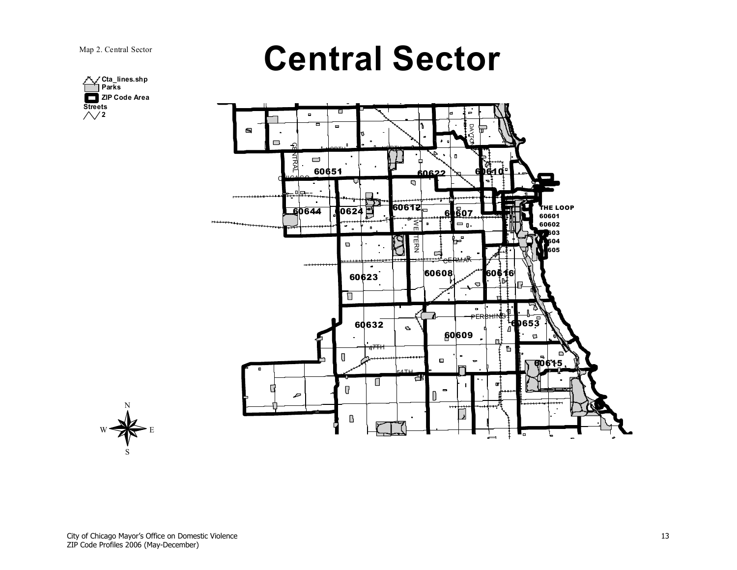

<span id="page-12-0"></span>



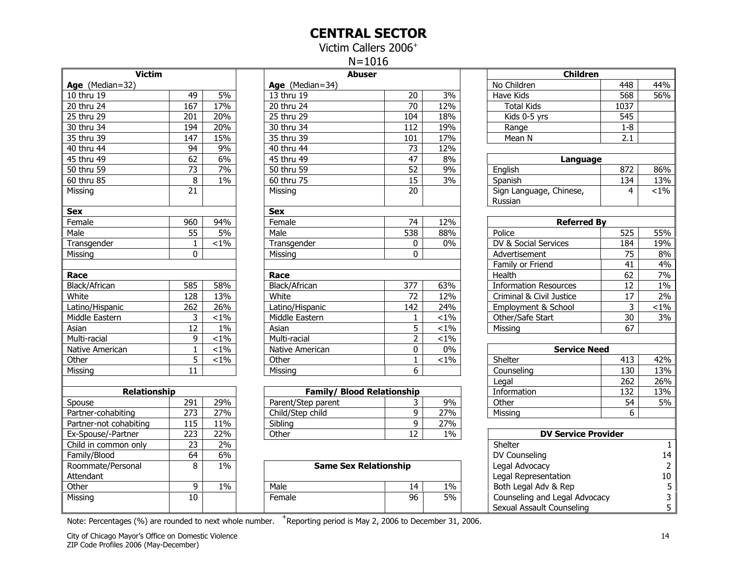#### CENTRAL SECTOR

Victim Callers 2006<sup>+</sup>

N=1016

<span id="page-13-0"></span>

| <b>Victim</b><br>Age (Median=32) |                  |         | Age                |
|----------------------------------|------------------|---------|--------------------|
| $\overline{10}$ thru 19          | 49               | 5%      | 13 th              |
| 20 thru 24                       | $\overline{167}$ | 17%     | 20 th              |
| 25 thru 29                       | 201              | 20%     | $\overline{25}$ th |
| 30 thru 34                       | 194              | 20%     | 30 th              |
| 35 thru 39                       | $\overline{147}$ | 15%     | 35 <sub>tt</sub>   |
| 40 thru 44                       | 94               | 9%      | 40 th              |
| 45 thru 49                       | 62               | 6%      | $\overline{4}5$ th |
| 50 thru 59                       | 73               | 7%      | 50 th              |
| 60 thru 85                       | 8                | 1%      | 60 th              |
| Missing                          | 21               |         | Missi              |
| <b>Sex</b>                       |                  |         | <b>Sex</b>         |
| Female                           | 960              | 94%     | Fema               |
| Male                             | 55               | 5%      | Male               |
| Transgender                      | $\mathbf{1}$     | $< 1\%$ | Tran               |
| Missing                          | 0                |         | Missi              |
|                                  |                  |         |                    |
| Race                             |                  |         | Race               |
| Black/African                    | 585              | 58%     | <b>Black</b>       |
| White                            | 128              | 13%     | Whit               |
| Latino/Hispanic                  | 262              | 26%     | Latin              |
| Middle Eastern                   | 3                | $< 1\%$ | Midd               |
| Asian                            | 12               | $1\%$   | Asiar              |
| Multi-racial                     | 9                | $< 1\%$ | Multi              |
| Native American                  | $\mathbf{1}$     | $< 1\%$ | Nativ              |
| Other                            | 5                | $< 1\%$ | Othe               |
| Missing                          | 11               |         | Missi              |
| <b>Relationship</b>              |                  |         |                    |
| Spouse                           | 291              | 29%     | Pare               |
| Partner-cohabiting               | 273              | 27%     | Child              |
| Partner-not cohabiting           | 115              | 11%     | Siblir             |
| Ex-Spouse/-Partner               | 223              | 22%     | Othe               |
| Child in common only             | $\overline{23}$  | 2%      |                    |
| Family/Blood                     | 64               | 6%      |                    |
| Roommate/Personal                | 8                | 1%      |                    |
| Attendant                        |                  |         |                    |
| Other                            | 9                | 1%      | Male               |
| Missing                          | 10               |         | Fem                |
|                                  |                  |         |                    |

| <b>Victim</b>   |          |         | <b>Abuser</b>           |                 |         | <b>Children</b>                    |                 |         |
|-----------------|----------|---------|-------------------------|-----------------|---------|------------------------------------|-----------------|---------|
| Age (Median=32) |          |         | Age (Median=34)         |                 |         | No Children                        | 448             | 44%     |
| 10 thru 19      | 49       | 5%      | 13 thru 19              | 20              | 3%      | Have Kids                          | 568             | 56%     |
| $20$ thru 24    | 167      | 17%     | $\overline{20}$ thru 24 | 70              | 12%     | <b>Total Kids</b>                  | 1037            |         |
| 25 thru 29      | 201      | 20%     | 25 thru 29              | 104             | 18%     | Kids 0-5 yrs                       | 545             |         |
| 30 thru 34      | 194      | 20%     | 30 thru 34              | 112             | 19%     | Range                              | $1 - 8$         |         |
| 35 thru 39      | 147      | 15%     | 35 thru 39              | 101             | 17%     | Mean N                             | 2.1             |         |
| 40 thru 44      | 94       | 9%      | 40 thru 44              | 73              | 12%     |                                    |                 |         |
| 45 thru 49      | 62       | 6%      | 45 thru 49              | 47              | 8%      | Language                           |                 |         |
| 50 thru 59      | 73       | 7%      | 50 thru 59              | $\overline{52}$ | 9%      | English                            | 872             | 86%     |
| 60 thru 85      | 8        | $1\%$   | 60 thru 75              | 15              | 3%      | Spanish                            | 134             | 13%     |
| Missing         | 21       |         | Missing                 | 20              |         | Sign Language, Chinese,<br>Russian | 4               | $< 1\%$ |
| Sex             |          |         | <b>Sex</b>              |                 |         |                                    |                 |         |
| Female          | 960      | 94%     | Female                  | 74              | 12%     | <b>Referred By</b>                 |                 |         |
| Male            | 55       | 5%      | Male                    | 538             | 88%     | Police                             | 525             | 55%     |
| Transgender     |          | $< 1\%$ | Transgender             | 0               | 0%      | DV & Social Services               | 184             | 19%     |
| Missing         | $\Omega$ |         | Missina                 | 0               |         | Advertisement                      | $\overline{75}$ | 8%      |
|                 |          |         |                         |                 |         | Family or Friend                   | 41              | 4%      |
| Race            |          |         | Race                    |                 |         | Health                             | 62              | 7%      |
| Black/African   | 585      | 58%     | Black/African           | 377             | 63%     | <b>Information Resources</b>       | 12              | 1%      |
| White           | 128      | 13%     | White                   | 72              | 12%     | Criminal & Civil Justice           | 17              | 2%      |
| Latino/Hispanic | 262      | 26%     | Latino/Hispanic         | 142             | 24%     | Employment & School                | 3               | $< 1\%$ |
| Middle Eastern  | 3        | $< 1\%$ | Middle Eastern          |                 | $< 1\%$ | Other/Safe Start                   | 30              | 3%      |
| Asian           | 12       | $1\%$   | Asian                   | 5               | $< 1\%$ | Missing                            | 67              |         |
| Multi-racial    | 9        | $< 1\%$ | Multi-racial            | 2               | $< 1\%$ |                                    |                 |         |
| Native American |          | $< 1\%$ | Native American         | 0               | $0\%$   | <b>Service Need</b>                |                 |         |
| Other           | 5        | $< 1\%$ | Other                   |                 | $< 1\%$ | Shelter                            | 413             | 42%     |
| Missing         | 11       |         | Missing                 | 6               |         | Counseling                         | 130             | 13%     |
|                 |          |         |                         |                 |         |                                    |                 |         |

| <b>Relationship</b>    |     |     | <b>Family/ Blood Relationship</b> |       | Information                | 132 | 13% |
|------------------------|-----|-----|-----------------------------------|-------|----------------------------|-----|-----|
| Spouse                 | 291 | 29% | Parent/Step parent                | 9%    | Other                      | 54  | 5%  |
| Partner-cohabiting     | ריר | 27% | Child/Step child                  | 27%   | Missing                    |     |     |
| Partner-not cohabiting |     | 1%، | Sibling                           | 27%   |                            |     |     |
| Ex-Spouse/-Partner     | ררר | 22% | Other                             | $1\%$ | <b>DV Service Provider</b> |     |     |

| .                 |    |       |                              |    |           | - - - - - - - - - - -         | . |
|-------------------|----|-------|------------------------------|----|-----------|-------------------------------|---|
| Roommate/Personal |    | $1\%$ | <b>Same Sex Relationship</b> |    |           | Legal Advocacy                |   |
| Attendant         |    |       |                              |    |           | Legal Representation          |   |
| Other             |    | 1%    | Male                         |    | $1\%$     | Both Legal Adv & Rep          |   |
| Missina           | 10 |       | Female                       | 96 | <b>5%</b> | Counseling and Legal Advocacy |   |
|                   |    |       |                              |    |           | Sexual Assault Counseling     |   |

| Note: Percentages (%) are rounded to next whole number. | $+$ Reporting period is May 2, 2006 to December 31, 2006. |
|---------------------------------------------------------|-----------------------------------------------------------|
|                                                         |                                                           |

|                         |                   |         | $1Y - IU1U$                       |                  |         |                                    |                 |                |
|-------------------------|-------------------|---------|-----------------------------------|------------------|---------|------------------------------------|-----------------|----------------|
| <b>Victim</b>           |                   |         | <b>Abuser</b>                     |                  |         | <b>Children</b>                    |                 |                |
| Age (Median=32)         |                   |         | Age (Median=34)                   |                  |         | No Children                        | 448             | 44%            |
| 10 thru 19              | 49                | 5%      | 13 thru 19                        | 20               | 3%      | <b>Have Kids</b>                   | 568             | 56%            |
| 20 thru 24              | 167               | 17%     | 20 thru 24                        | $\overline{70}$  | 12%     | <b>Total Kids</b>                  | 1037            |                |
| 25 thru 29              | 201               | 20%     | 25 thru 29                        | 104              | 18%     | Kids 0-5 yrs                       | 545             |                |
| 30 thru 34              | 194               | 20%     | 30 thru 34                        | 112              | 19%     | Range                              | $1 - 8$         |                |
| 35 thru 39              | $\overline{147}$  | 15%     | 35 thru 39                        | 101              | 17%     | $\overline{\mathsf{Mean}}$ N       | 2.1             |                |
| 40 thru 44              | 94                | 9%      | 40 thru 44                        | 73               | 12%     |                                    |                 |                |
| $\overline{45}$ thru 49 | 62                | 6%      | 45 thru 49                        | 47               | 8%      | Language                           |                 |                |
| 50 thru 59              | $\overline{73}$   | 7%      | 50 thru 59                        | $\overline{52}$  | 9%      | English                            | 872             | 86%            |
| 60 thru 85              | 8                 | $1\%$   | 60 thru 75                        | 15               | 3%      | Spanish                            | 134             | 13%            |
| Missing                 | 21                |         | Missing                           | 20               |         | Sign Language, Chinese,<br>Russian | 4               | $< 1\%$        |
| Sex                     |                   |         | <b>Sex</b>                        |                  |         |                                    |                 |                |
| Female                  | 960               | 94%     | Female                            | 74               | 12%     | <b>Referred By</b>                 |                 |                |
| Male                    | $\overline{55}$   | 5%      | Male                              | $\overline{538}$ | 88%     | Police                             | 525             | 55%            |
| Transgender             | 1                 | $< 1\%$ | Transgender                       | 0                | $0\%$   | DV & Social Services               | 184             | 19%            |
| Missing                 | 0                 |         | Missing                           | 0                |         | Advertisement                      | $\overline{75}$ | 8%             |
|                         |                   |         |                                   |                  |         | Family or Friend                   | 41              | 4%             |
| Race                    |                   |         | Race                              |                  |         | Health                             | 62              | 7%             |
| <b>Black/African</b>    | 585               | 58%     | Black/African                     | 377              | 63%     | <b>Information Resources</b>       | $\overline{12}$ | $1\%$          |
| White                   | 128               | 13%     | White                             | 72               | 12%     | Criminal & Civil Justice           | 17              | 2%             |
| Latino/Hispanic         | 262               | 26%     | Latino/Hispanic                   | 142              | 24%     | Employment & School                | 3               | $1\%$          |
| Middle Eastern          | 3                 | $< 1\%$ | Middle Eastern                    | 1                | $< 1\%$ | Other/Safe Start                   | $\overline{30}$ | 3%             |
| Asian                   | 12                | $1\%$   | Asian                             | 5                | $< 1\%$ | Missing                            | 67              |                |
| Multi-racial            | 9                 | $1\%$   | Multi-racial                      | $\overline{2}$   | $< 1\%$ |                                    |                 |                |
| Native American         | 1                 | $< 1\%$ | Native American                   | 0                | 0%      | <b>Service Need</b>                |                 |                |
| Other                   | $\overline{5}$    | $1\%$   | Other                             | $\mathbf{1}$     | $< 1\%$ | Shelter                            | 413             | 42%            |
| Missing                 | 11                |         | Missing                           | 6                |         | Counseling                         | 130             | 13%            |
|                         |                   |         |                                   |                  |         | Legal                              | 262             | 26%            |
| Relationship            |                   |         | <b>Family/ Blood Relationship</b> |                  |         | Information                        | 132             | 13%            |
| Spouse                  | 291               | 29%     | Parent/Step parent                | 3                | 9%      | Other                              | 54              | 5%             |
| Partner-cohabiting      | 273               | 27%     | Child/Step child                  | $\overline{9}$   | 27%     | Missing                            | 6               |                |
| Partner-not cohabiting  | $\frac{115}{115}$ | 11%     | Sibling                           | 9                | 27%     |                                    |                 |                |
| Ex-Spouse/-Partner      | 223               | 22%     | Other                             | 12               | 1%      | <b>DV Service Provider</b>         |                 |                |
| Child in common only    | $\overline{23}$   | $2\%$   |                                   |                  |         | Shelter                            |                 | $\mathbf{1}$   |
| Family/Blood            | 64                | 6%      |                                   |                  |         | DV Counseling                      |                 | 14             |
| Roommate/Personal       | 8                 | $1\%$   | <b>Same Sex Relationship</b>      |                  |         | Legal Advocacy                     |                 | $\overline{2}$ |
| Attendant               |                   |         |                                   |                  |         | Legal Representation               |                 | $10\,$         |
| Other                   | 9                 | $1\%$   | Male                              | 14               | $1\%$   | Both Legal Adv & Rep               |                 | $\sqrt{5}$     |
| Missing                 | 10                |         | Female                            | 96               | 5%      | Counseling and Legal Advocacy      |                 |                |
|                         |                   |         |                                   |                  |         | Sexual Assault Counseling          |                 | $\frac{3}{5}$  |
|                         |                   |         |                                   |                  |         |                                    |                 |                |

City of Chicago Mayor's Office on Domestic Violence 14 ZIP Code Profiles 2006 (May-December)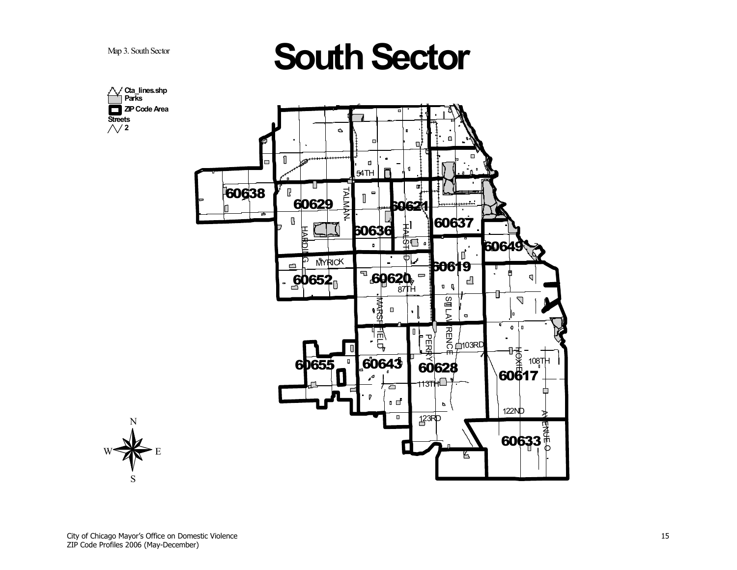<span id="page-14-0"></span>Map 3. South Sector



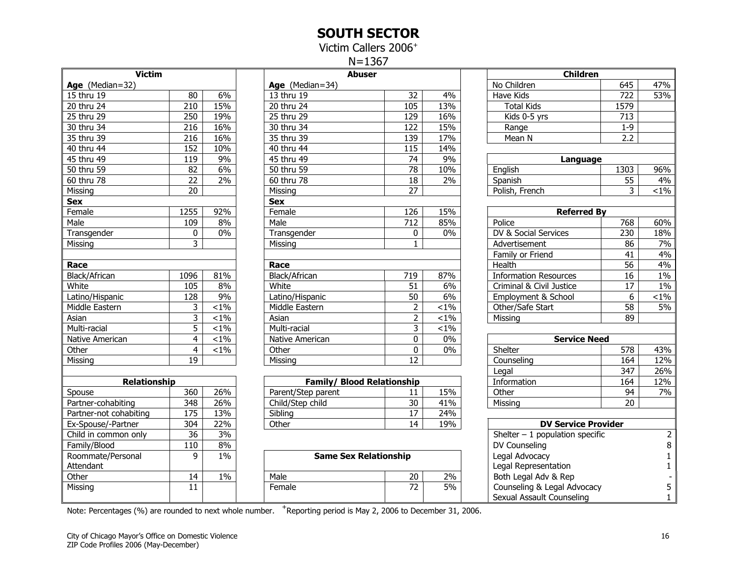#### SOUTH SECTOR

Victim Callers 2006<sup>+</sup>

N=1367

<span id="page-15-0"></span>

| <b>Victim</b><br>Age (Median=32) |                 |         |                  |
|----------------------------------|-----------------|---------|------------------|
| 15 thru 19                       | 80              | 6%      | Age<br>13 th     |
| 20 thru 24                       | 210             | 15%     | 20 th            |
| $\overline{25}$ thru 29          | 250             | 19%     | 25 <sub>th</sub> |
| 30 thru 34                       | 216             | 16%     | 30 th            |
| 35 thru 39                       | $\frac{1}{216}$ | 16%     | 35 th            |
| 40 thru 44                       | 152             | 10%     | 40 th            |
| 45 thru 49                       | 119             | 9%      | 45 th            |
| 50 thru 59                       | 82              | 6%      | 50 th            |
| 60 thru 78                       | $\overline{22}$ | 2%      | 60 th            |
| Missing                          | 20              |         | Missi            |
| <b>Sex</b>                       |                 |         | <b>Sex</b>       |
| Female                           | 1255            | 92%     | Fema             |
| Male                             | 109             | 8%      | Male             |
| Transgender                      | 0               | 0%      | Tran             |
| Missing                          | $\overline{3}$  |         | Missi            |
|                                  |                 |         |                  |
| Race                             |                 |         | Race             |
| Black/African                    | 1096            | 81%     | <b>Black</b>     |
| White                            | 105             | 8%      | Whit             |
| Latino/Hispanic                  | 128             | 9%      | Latin            |
| Middle Eastern                   | 3               | $< 1\%$ | Midd             |
| Asian                            | 3               | $< 1\%$ | Asiar            |
| Multi-racial                     | $\overline{5}$  | $< 1\%$ | Multi            |
| Native American                  | $\overline{4}$  | $< 1\%$ | Nativ            |
| Other                            | $\overline{4}$  | $< 1\%$ | Othe             |
| Missing                          | 19              |         | Missi            |
| Relationship                     |                 |         |                  |
| Spouse                           | 360             | 26%     | Pare             |
| Partner-cohabiting               | 348             | 26%     | Child            |
| Partner-not cohabiting           | 175             | 13%     | Siblir           |
| Ex-Spouse/-Partner               | 304             | 22%     | Othe             |
| Child in common only             | 36              | 3%      |                  |
| Family/Blood                     | 110             | 8%      |                  |
| Roommate/Personal                | 9               | $1\%$   |                  |
| Attendant                        |                 |         |                  |
| Other                            | 14              | 1%      | Male             |
| Missing                          | 11              |         | Fema             |
|                                  |                 |         |                  |

| <b>Victim</b>   |                |         | <b>Abuser</b>     |     |         | <b>Children</b>              |         |         |
|-----------------|----------------|---------|-------------------|-----|---------|------------------------------|---------|---------|
| Age (Median=32) |                |         | Age $(Median=34)$ |     |         | No Children                  | 645     | 47%     |
| 15 thru 19      | 80             | 6%      | 13 thru 19        | 32  | 4%      | Have Kids                    | 722     | 53%     |
| 20 thru 24      | 210            | 15%     | 20 thru 24        | 105 | 13%     | <b>Total Kids</b>            | 1579    |         |
| 25 thru 29      | 250            | 19%     | 25 thru 29        | 129 | 16%     | Kids 0-5 yrs                 | 713     |         |
| 30 thru 34      | 216            | 16%     | 30 thru 34        | 122 | 15%     | Range                        | $1 - 9$ |         |
| 35 thru 39      | 216            | 16%     | 35 thru 39        | 139 | 17%     | Mean N                       | 2.2     |         |
| 40 thru 44      | 152            | 10%     | 40 thru 44        | 115 | 14%     |                              |         |         |
| 45 thru 49      | 119            | 9%      | 45 thru 49        | 74  | 9%      | Language                     |         |         |
| 50 thru 59      | 82             | 6%      | 50 thru 59        | 78  | 10%     | English                      | 1303    | 96%     |
| 60 thru 78      | 22             | 2%      | 60 thru 78        | 18  | 2%      | Spanish                      | 55      | 4%      |
| Missing         | 20             |         | Missing           | 27  |         | Polish, French               | 3       | $< 1\%$ |
| Sex             |                |         | <b>Sex</b>        |     |         |                              |         |         |
| Female          | 1255           | 92%     | Female            | 126 | 15%     | <b>Referred By</b>           |         |         |
| Male            | 109            | 8%      | Male              | 712 | 85%     | Police                       | 768     | 60%     |
| Transgender     | 0              | 0%      | Transgender       | 0   | 0%      | DV & Social Services         | 230     | 18%     |
| Missing         | 3              |         | Missing           |     |         | Advertisement                | 86      | 7%      |
|                 |                |         |                   |     |         | Family or Friend             | 41      | 4%      |
| Race            |                |         | Race              |     |         | Health                       | 56      | 4%      |
| Black/African   | 1096           | 81%     | Black/African     | 719 | 87%     | <b>Information Resources</b> | 16      | 1%      |
| White           | 105            | 8%      | White             | 51  | 6%      | Criminal & Civil Justice     | 17      | 1%      |
| Latino/Hispanic | 128            | 9%      | Latino/Hispanic   | 50  | 6%      | Employment & School          | 6       | $< 1\%$ |
| Middle Eastern  | 3              | $< 1\%$ | Middle Eastern    | 2   | $< 1\%$ | Other/Safe Start             | 58      | 5%      |
| Asian           | 3              | $< 1\%$ | Asian             | 2   | $< 1\%$ | Missing                      | 89      |         |
| Multi-racial    | 5              | $< 1\%$ | Multi-racial      | 3   | $< 1\%$ |                              |         |         |
| Native American | 4              | $< 1\%$ | Native American   | 0   | 0%      | <b>Service Need</b>          |         |         |
| Other           | $\overline{4}$ | $< 1\%$ | Other             | 0   | $0\%$   | Shelter                      | 578     | 43%     |
| Missing         | 19             |         | Missina           | 12  |         | Counseling                   | 164     | 12%     |
|                 |                |         |                   |     |         | Legal                        | 347     | 26%     |

| <b>Relationship</b>    |     |     | <b>Family/ Blood Relationship</b> |    |     | Information                | 164 | 12% |
|------------------------|-----|-----|-----------------------------------|----|-----|----------------------------|-----|-----|
| Spouse                 | 360 | 26% | Parent/Step parent                | -- | 15% | Other                      | 94  | 7%  |
| Partner-cohabiting     | 348 | 26% | Child/Step child                  | 30 | 41% | Missing                    | 20  |     |
| Partner-not cohabiting | 175 | 13% | Sibling                           |    | 24% |                            |     |     |
| Ex-Spouse/-Partner     | 304 | 22% | Other                             |    | 19% | <b>DV Service Provider</b> |     |     |

| Roommate/Personal |            | $1\%$ | <b>Same Sex Relationship</b> |          |       | Legal Advocacy              |  |
|-------------------|------------|-------|------------------------------|----------|-------|-----------------------------|--|
| Attendant         |            |       |                              |          |       | Legal Representation        |  |
| Other             | 4          | 1%    | Male                         | つハ<br>∠∪ | $2\%$ | Both Legal Adv & Rep        |  |
| Missina           | <b>. .</b> |       | Female                       | $-1$     | 5%    | Counseling & Legal Advocacy |  |
|                   |            |       |                              |          |       | Sexual Assault Counseling   |  |

| Note: Percentages (%) are rounded to next whole number. <sup>T</sup> Reporting period is May 2, 2006 to December 31, 2006. |  |
|----------------------------------------------------------------------------------------------------------------------------|--|
|                                                                                                                            |  |

| <b>Victim</b>           |                  |         | <b>Abuser</b>                     |                 |         | Children                         |                  |                |
|-------------------------|------------------|---------|-----------------------------------|-----------------|---------|----------------------------------|------------------|----------------|
| Age (Median=32)         |                  |         | Age (Median=34)                   |                 |         | No Children                      | 645              | 47%            |
| 15 thru 19              | 80               | 6%      | 13 thru 19                        | 32              | 4%      | <b>Have Kids</b>                 | 722              | 53%            |
| 20 thru 24              | 210              | 15%     | 20 thru 24                        | 105             | 13%     | <b>Total Kids</b>                | 1579             |                |
| 25 thru 29              | $\overline{250}$ | 19%     | 25 thru 29                        | 129             | 16%     | Kids 0-5 yrs                     | 713              |                |
| 30 thru 34              | 216              | 16%     | 30 thru 34                        | 122             | 15%     | Range                            | $1-9$            |                |
| 35 thru 39              | $\overline{216}$ | 16%     | 35 thru 39                        | 139             | 17%     | Mean N                           | 2.2              |                |
| 40 thru 44              | 152              | 10%     | 40 thru 44                        | 115             | 14%     |                                  |                  |                |
| 45 thru 49              | 119              | 9%      | 45 thru 49                        | 74              | 9%      | Language                         |                  |                |
| $\overline{50}$ thru 59 | 82               | 6%      | 50 thru 59                        | 78              | 10%     | English                          | 1303             | 96%            |
| $60$ thru 78            | $\overline{22}$  | 2%      | 60 thru 78                        | 18              | 2%      | Spanish                          | $\overline{55}$  | 4%             |
| Missing                 | 20               |         | Missing                           | 27              |         | Polish, French                   | 3                | $1\%$          |
| Sex                     |                  |         | <b>Sex</b>                        |                 |         |                                  |                  |                |
| Female                  | 1255             | 92%     | Female                            | 126             | 15%     | <b>Referred By</b>               |                  |                |
| Male                    | 109              | 8%      | Male                              | 712             | 85%     | Police                           | 768              | 60%            |
| Transgender             | 0                | $0\%$   | Transgender                       | 0               | 0%      | DV & Social Services             | 230              | 18%            |
| Missing                 | 3                |         | Missing                           | $\mathbf{1}$    |         | Advertisement                    | 86               | 7%             |
|                         |                  |         |                                   |                 |         | Family or Friend                 | 41               | 4%             |
| Race                    |                  |         | Race                              |                 |         | <b>Health</b>                    | 56               | 4%             |
| <b>Black/African</b>    | 1096             | 81%     | Black/African                     | 719             | 87%     | <b>Information Resources</b>     | 16               | $1\%$          |
| White                   | 105              | 8%      | White                             | 51              | 6%      | Criminal & Civil Justice         | 17               | $1\%$          |
| Latino/Hispanic         | 128              | 9%      | Latino/Hispanic                   | 50              | 6%      | Employment & School              | 6                | $1\%$          |
| Middle Eastern          | 3                | $1\%$   | Middle Eastern                    | $\overline{2}$  | $< 1\%$ | Other/Safe Start                 | $\overline{58}$  | $5\%$          |
| Asian                   | 3                | $1\%$   | Asian                             | $\overline{2}$  | $< 1\%$ | Missing                          | 89               |                |
| Multi-racial            | 5                | $1\%$   | Multi-racial                      | 3               | $1\%$   |                                  |                  |                |
| Native American         | $\overline{4}$   | $< 1\%$ | Native American                   | 0               | 0%      | <b>Service Need</b>              |                  |                |
| Other                   | $\overline{4}$   | $1\%$   | Other                             | $\overline{0}$  | $0\%$   | Shelter                          | $\overline{578}$ | 43%            |
| Missing                 | 19               |         | Missing                           | 12              |         | Counseling                       | 164              | 12%            |
|                         |                  |         |                                   |                 |         | Legal                            | 347              | 26%            |
| <b>Relationship</b>     |                  |         | <b>Family/ Blood Relationship</b> |                 |         | Information                      | 164              | 12%            |
| Spouse                  | 360              | 26%     | Parent/Step parent                | 11              | 15%     | Other                            | 94               | 7%             |
| Partner-cohabiting      | 348              | 26%     | Child/Step child                  | $\overline{30}$ | 41%     | Missing                          | $\overline{20}$  |                |
| Partner-not cohabiting  | 175              | 13%     | Sibling                           | $\overline{17}$ | 24%     |                                  |                  |                |
| Ex-Spouse/-Partner      | 304              | 22%     | Other                             | 14              | 19%     | <b>DV Service Provider</b>       |                  |                |
| Child in common only    | $\overline{36}$  | 3%      |                                   |                 |         | Shelter $-1$ population specific |                  | $\overline{2}$ |
| Family/Blood            | 110              | 8%      |                                   |                 |         | DV Counseling                    |                  | 8              |
| Roommate/Personal       | 9                | $1\%$   | <b>Same Sex Relationship</b>      |                 |         | Legal Advocacy                   |                  | 1              |
| Attendant               |                  |         |                                   |                 |         | Legal Representation             |                  | 1              |
| Other                   | 14               | 1%      | Male                              | 20              | 2%      | Both Legal Adv & Rep             |                  |                |
| Missing                 | 11               |         | Female                            | 72              | 5%      | Counseling & Legal Advocacy      |                  | 5              |
|                         |                  |         |                                   |                 |         | Sexual Assault Counseling        |                  | $\mathbf{1}$   |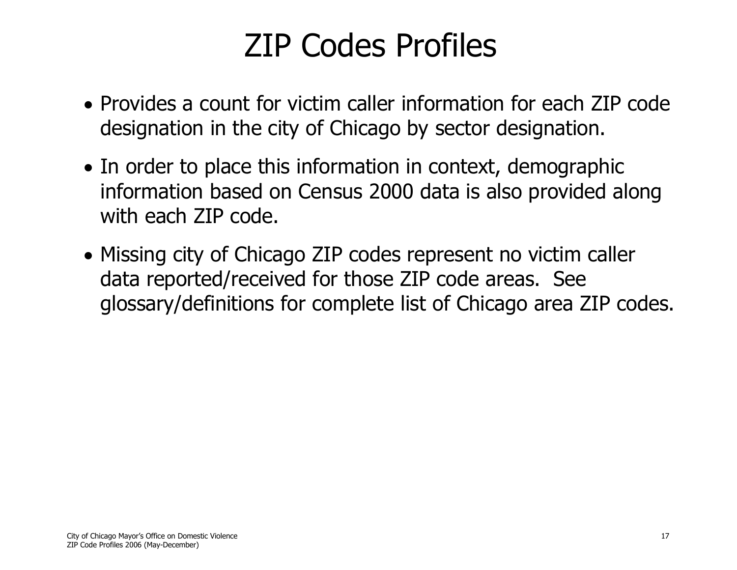# ZIP Codes Profiles

- <span id="page-16-0"></span>• Provides a count for victim caller information for each ZIP code designation in the city of Chicago by sector designation.
- In order to place this information in context, demographic information based on Census 2000 data is also provided along with each ZIP code.
- Missing city of Chicago ZIP codes represent no victim caller data reported/received for those ZIP code areas. See glossary/definitions for complete list of Chicago area ZIP codes.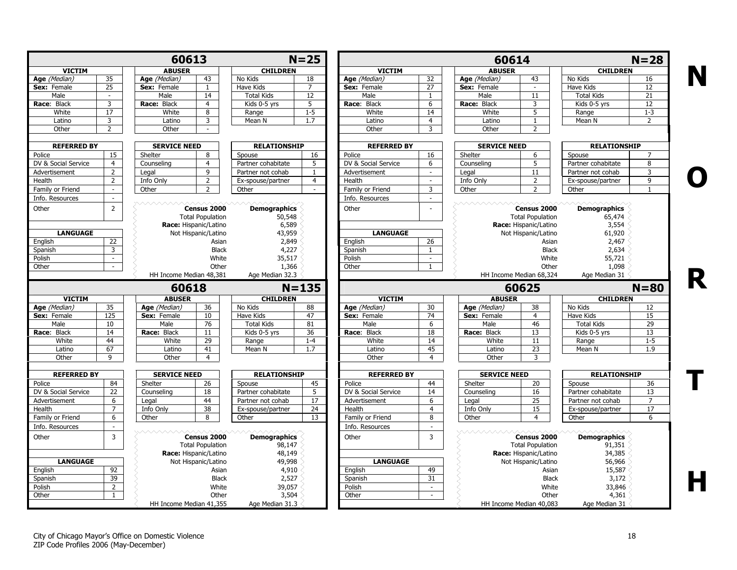<span id="page-17-0"></span>

|                             |                         | 60613                       |                         |                            | $N = 25$        |                               |                             | 60614                       |                         |                            | $N = 28$        |
|-----------------------------|-------------------------|-----------------------------|-------------------------|----------------------------|-----------------|-------------------------------|-----------------------------|-----------------------------|-------------------------|----------------------------|-----------------|
| <b>VICTIM</b>               |                         | <b>ABUSER</b>               |                         | <b>CHILDREN</b>            |                 | <b>VICTIM</b>                 |                             | <b>ABUSER</b>               |                         | <b>CHILDREN</b>            |                 |
| Age (Median)                | 35                      | Age (Median)                | 43                      | No Kids                    | 18              | Age (Median)                  | 32                          | Age (Median)                | 43                      | No Kids                    | 16              |
| Sex: Female                 | 25                      | Sex: Female                 | $\mathbf{1}$            | Have Kids                  | $\overline{7}$  | Sex: Female                   | 27                          | Sex: Female                 | $\sim$                  | Have Kids                  | 12              |
| Male                        | $\sim$                  | Male                        | 14                      | <b>Total Kids</b>          | 12              | Male                          | 1                           | Male                        | 11                      | <b>Total Kids</b>          | 21              |
| Race: Black                 | $\overline{\mathbf{3}}$ | Race: Black                 | $\overline{4}$          | Kids 0-5 yrs               | 5               | Race: Black                   | 6                           | Race: Black                 | 3                       | Kids 0-5 yrs               | 12              |
| White                       | 17                      | White                       | 8                       | Range                      | $1 - 5$         | White                         | 14                          | White                       | 5                       | Range                      | $1 - 3$         |
| Latino                      | 3                       | Latino                      | 3                       | Mean N                     | 1.7             | Latino                        | $\overline{4}$              | Latino                      | $\mathbf{1}$            | Mean N                     | $\overline{2}$  |
| Other                       | 2                       | Other                       | $\sim$                  |                            |                 | Other                         | 3                           | Other                       | $\overline{2}$          |                            |                 |
| <b>REFERRED BY</b>          |                         | <b>SERVICE NEED</b>         |                         | <b>RELATIONSHIP</b>        |                 | <b>REFERRED BY</b>            |                             | <b>SERVICE NEED</b>         |                         | <b>RELATIONSHIP</b>        |                 |
| Police                      | 15                      | Shelter                     | 8                       | Spouse                     | 16              | Police                        | 16                          | Shelter                     | 6                       | Spouse                     | 7               |
| DV & Social Service         | $\overline{4}$          | Counseling                  | $\overline{4}$          | Partner cohabitate         | 5               | DV & Social Service           | 6                           | Counseling                  | 5                       | Partner cohabitate         | 8               |
| Advertisement               | $\overline{2}$          | Legal                       | 9                       | Partner not cohab          | $\mathbf{1}$    | Advertisement                 | $\mathcal{L}$               | Legal                       | 11                      | Partner not cohab          | 3               |
| Health                      | $\overline{2}$          | Info Only                   | $\overline{2}$          | Ex-spouse/partner          | $\overline{4}$  | Health                        | $\mathcal{L}$               | Info Only                   | $\overline{2}$          | Ex-spouse/partner          | 9               |
| Family or Friend            | $\sim$                  | Other                       | $\overline{2}$          | Other                      | $\sim$          | Family or Friend              | 3                           | Other                       | $\overline{2}$          | Other                      | $\mathbf{1}$    |
| Info. Resources             | $\mathbf{r}$            |                             |                         |                            |                 | Info. Resources               | $\sim$                      |                             |                         |                            |                 |
| Other                       | $\overline{2}$          |                             | Census 2000             | <b>Demographics</b>        |                 | Other                         |                             | wwwwww                      | Census 2000             | <b>Demographics</b>        |                 |
|                             |                         |                             | <b>Total Population</b> | 50,548                     |                 |                               |                             |                             | <b>Total Population</b> | 65,474                     |                 |
|                             |                         | Race: Hispanic/Latino       |                         | 6,589                      |                 |                               |                             |                             | Race: Hispanic/Latino   | 3,554                      |                 |
| <b>LANGUAGE</b>             |                         |                             | Not Hispanic/Latino     | 43,959                     |                 | <b>LANGUAGE</b>               |                             |                             | Not Hispanic/Latino     | 61,920                     |                 |
| English                     | 22                      |                             | Asian                   | 2,849                      |                 | English                       | 26                          |                             | Asian                   | 2,467                      |                 |
|                             | $\overline{3}$          |                             |                         |                            |                 |                               | -1                          |                             |                         | 2,634                      |                 |
| Spanish<br>Polish           | $\sim$                  |                             | Black<br>White          | 4,227                      |                 | Spanish<br>Polish             | $\sim$                      |                             | Black<br>White          |                            |                 |
| Other                       | $\sim$                  |                             | Other                   | 35,517                     |                 | Other                         | $\mathbf{1}$                |                             | Other                   | 55,721<br>1,098            |                 |
|                             |                         | HH Income Median 48,381     |                         | 1,366                      |                 |                               |                             |                             |                         |                            |                 |
|                             |                         |                             |                         | Age Median 32.3            |                 |                               |                             |                             | HH Income Median 68,324 | Age Median 31              |                 |
|                             |                         | 60618                       |                         |                            | $N = 135$       |                               |                             |                             | 60625                   |                            | $N = 80$        |
| <b>VICTIM</b>               | 35                      | <b>ABUSER</b>               | 36                      | <b>CHILDREN</b><br>No Kids | 88              | <b>VICTIM</b><br>Age (Median) |                             | <b>ABUSER</b>               | 38                      | <b>CHILDREN</b><br>No Kids | 12              |
| Age (Median)<br>Sex: Female | 125                     | Age (Median)<br>Sex: Female | 10                      | Have Kids                  | 47              | Sex: Female                   | 30<br>74                    | Age (Median)<br>Sex: Female | $\overline{4}$          | Have Kids                  | 15              |
| Male                        | 10                      | Male                        | 76                      | <b>Total Kids</b>          | 81              | Male                          | 6                           | Male                        | 46                      | <b>Total Kids</b>          | 29              |
|                             |                         |                             |                         |                            |                 |                               |                             | Race: Black                 | 13                      |                            | 13              |
| Race: Black                 | 14                      | Race: Black                 | 11                      | Kids 0-5 yrs               | 36              | Race: Black                   | 18                          |                             |                         | Kids 0-5 yrs               |                 |
| White                       | 44                      | White                       | 29                      | Range                      | $1 - 4$         | White                         | 14                          | White                       | 11                      | Range                      | $1 - 5$         |
| Latino                      | 67                      | Latino                      | 41                      | Mean N                     | 1.7             | Latino                        | 45                          | Latino                      | 23                      | Mean N                     | 1.9             |
| Other                       | 9                       | Other                       | $\overline{4}$          |                            |                 | Other                         | $\overline{4}$              | Other                       | 3                       |                            |                 |
| <b>REFERRED BY</b>          |                         | <b>SERVICE NEED</b>         |                         | <b>RELATIONSHIP</b>        |                 | <b>REFERRED BY</b>            |                             | <b>SERVICE NEED</b>         |                         | <b>RELATIONSHIP</b>        |                 |
| Police                      | 84                      | Shelter                     | 26                      | Spouse                     | 45              | Police                        | 44                          | Shelter                     | 20                      | Spouse                     | 36              |
| DV & Social Service         | 22                      | Counseling                  | 18                      | Partner cohabitate         | 5               | DV & Social Service           | 14                          | Counseling                  | 16                      | Partner cohabitate         | 13              |
| Advertisement               | 6                       | Legal                       | 44                      | Partner not cohab          | 17              | Advertisement                 | 6                           | Legal                       | 25                      | Partner not cohab          | $\overline{7}$  |
| Health                      | $\overline{7}$          | Info Only                   | $\overline{38}$         | Ex-spouse/partner          | $\overline{24}$ | Health                        | $\overline{4}$              | Info Only                   | $\overline{15}$         | Ex-spouse/partner          | $\overline{17}$ |
| Family or Friend            | 6                       | Other                       | 8                       | Other                      | 13              | Family or Friend              | 8                           | Other                       | $\overline{4}$          | Other                      | 6               |
| Info. Resources             | $\sim$                  |                             |                         |                            |                 | Info. Resources               | $\sim$                      |                             |                         |                            |                 |
| Other                       | $\overline{3}$          |                             | Census 2000             | <b>Demographics</b>        |                 | Other                         | 3                           | www.ww                      | Census 2000             | <b>Demographics</b>        |                 |
|                             |                         |                             | <b>Total Population</b> | 98,147                     |                 |                               |                             |                             | <b>Total Population</b> | 91,351                     |                 |
|                             |                         | Race: Hispanic/Latino       |                         | 48,149                     |                 |                               |                             |                             | Race: Hispanic/Latino   | 34,385                     |                 |
| <b>LANGUAGE</b>             |                         |                             | Not Hispanic/Latino     | 49,998                     |                 | <b>LANGUAGE</b>               |                             |                             | Not Hispanic/Latino     | 56,966                     |                 |
|                             | 92                      |                             | Asian                   | 4,910                      |                 | English                       | 49                          |                             | Asian                   | 15,587                     |                 |
| English                     | $\overline{39}$         |                             |                         |                            |                 |                               | 31                          |                             |                         |                            |                 |
| Spanish                     |                         |                             | <b>Black</b>            | 2,527                      |                 | Spanish                       |                             |                             | <b>Black</b>            | 3,172                      |                 |
| Polish                      | $\overline{2}$          |                             | White                   | 39,057                     |                 | Polish                        | $\mathcal{L}_{\mathcal{A}}$ |                             | White                   | 33,846                     |                 |
| Other                       | $\mathbf{1}$            |                             | Other                   | 3,504                      |                 | Other                         | $\sim$                      |                             | Other                   | 4,361                      |                 |
|                             |                         | HH Income Median 41,355     |                         | Age Median 31.3            |                 |                               |                             |                             | HH Income Median 40,083 | Age Median 31              |                 |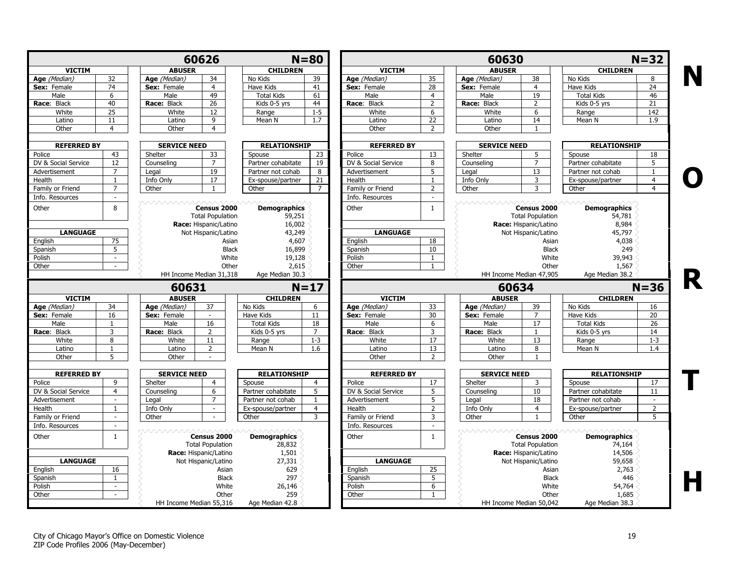|                     | <b>VICTIM</b>            |                         | 60626                                  |                     | $N = 80$       |                     |                 | 60630               |                                        |                     | $N = 32$        |
|---------------------|--------------------------|-------------------------|----------------------------------------|---------------------|----------------|---------------------|-----------------|---------------------|----------------------------------------|---------------------|-----------------|
|                     |                          | <b>ABUSER</b>           |                                        | <b>CHILDREN</b>     |                | <b>VICTIM</b>       |                 | <b>ABUSER</b>       |                                        | <b>CHILDREN</b>     |                 |
| Age (Median)        | 32                       | Age (Median)            | 34                                     | No Kids             | 39             | Age (Median)        | 35              | Age (Median)        | 38                                     | No Kids             | 8               |
| Sex: Female         | 74                       | Sex: Female             | $\overline{4}$                         | Have Kids           | 41             | Sex: Female         | $\overline{28}$ | Sex: Female         | $\overline{4}$                         | Have Kids           | $\overline{24}$ |
| Male                | 6                        | Male                    | 49                                     | <b>Total Kids</b>   | 61             | Male                | $\overline{4}$  | Male                | $\overline{19}$                        | <b>Total Kids</b>   | 46              |
| Race: Black         | 40                       | Race: Black             | $\overline{26}$                        | Kids 0-5 yrs        | 44             | Race: Black         | $\overline{2}$  | Race: Black         | 2                                      | Kids 0-5 yrs        | 21              |
| White               | 25                       | White                   | 12                                     | Range               | $1 - 5$        | White               | 6               | White               | 6                                      | Range               | 142             |
| Latino              | 11                       | Latino                  | $\overline{9}$                         | Mean N              | 1.7            | Latino              | $\overline{22}$ | Latino              | 14                                     | Mean N              | 1.9             |
| Other               | $\overline{4}$           | Other                   | $\overline{4}$                         |                     |                | Other               | $\overline{2}$  | Other               | $\overline{1}$                         |                     |                 |
| <b>REFERRED BY</b>  |                          | <b>SERVICE NEED</b>     |                                        | <b>RELATIONSHIP</b> |                | <b>REFERRED BY</b>  |                 | <b>SERVICE NEED</b> |                                        | <b>RELATIONSHIP</b> |                 |
| Police              | 43                       | Shelter                 | 33                                     | Spouse              | 23             | Police              | 13              | Shelter             | 5                                      | Spouse              | 18              |
| DV & Social Service | 12                       | Counseling              | $\overline{7}$                         | Partner cohabitate  | 19             | DV & Social Service | 8               | Counseling          | $\overline{7}$                         | Partner cohabitate  | 5               |
| Advertisement       | $\overline{7}$           | Legal                   | 19                                     | Partner not cohab   | 8              | Advertisement       | 5               | Legal               | 13                                     | Partner not cohab   | 1               |
| Health              | $\mathbf{1}$             | Info Only               | 17                                     | Ex-spouse/partner   | 21             | Health              | $\mathbf{1}$    | Info Only           | 3                                      | Ex-spouse/partner   | $\overline{4}$  |
| Family or Friend    | $\overline{7}$           | Other                   | $\overline{1}$                         | Other               | $\overline{7}$ | Family or Friend    | 2               | Other               | 3                                      | Other               | $\overline{4}$  |
| Info. Resources     | $\sim$                   | <u> AAAAAAAAA</u>       |                                        |                     |                | Info. Resources     | $\sim$          | <b>ヘヘヘヘヘヘヘヘヘ</b>    |                                        |                     |                 |
| Other               | 8                        |                         | Census 2000<br><b>Total Population</b> | <b>Demographics</b> |                | Other               | $\mathbf{1}$    |                     | Census 2000<br><b>Total Population</b> | <b>Demographics</b> |                 |
|                     |                          |                         | Race: Hispanic/Latino                  | 59,251<br>16,002    |                |                     |                 |                     | Race: Hispanic/Latino                  | 54,781<br>8,984     |                 |
|                     |                          |                         |                                        |                     |                | <b>LANGUAGE</b>     |                 |                     |                                        |                     |                 |
| <b>LANGUAGE</b>     |                          |                         | Not Hispanic/Latino                    | 43,249              |                |                     | 18              |                     | Not Hispanic/Latino                    | 45,797              |                 |
| English             | 75                       |                         | Asian                                  | 4,607               |                | English             |                 |                     | Asian                                  | 4,038               |                 |
| Spanish             | 5                        |                         | <b>Black</b>                           | 16,899              |                | Spanish             | 10              |                     | <b>Black</b>                           | 249                 |                 |
| Polish              | $\sim$                   |                         | White                                  | 19,128              |                | Polish              | $\mathbf{1}$    |                     | White                                  | 39,943              |                 |
| Other               | $\sim$                   |                         | Other                                  | 2,615               |                | Other               | $\mathbf{1}$    |                     | Other                                  | 1,567               |                 |
|                     |                          | HH Income Median 31,318 |                                        | Age Median 30.3     |                |                     |                 |                     | HH Income Median 47,905                | Age Median 38.2     |                 |
|                     |                          | 60631                   |                                        |                     | $N=17$         |                     |                 | 60634               |                                        |                     | $N = 36$        |
| <b>VICTIM</b>       |                          | <b>ABUSER</b>           |                                        | <b>CHILDREN</b>     |                | <b>VICTIM</b>       |                 | <b>ABUSER</b>       |                                        | <b>CHILDREN</b>     |                 |
| Age (Median)        | 34                       | Age (Median)            | 37                                     | No Kids             | 6              | Age (Median)        | 33              | Age (Median)        | 39                                     | No Kids             | 16              |
| Sex: Female         | 16                       | Sex: Female             |                                        | <b>Have Kids</b>    | 11             | Sex: Female         | 30              | Sex: Female         | $\overline{7}$                         | <b>Have Kids</b>    | $\overline{20}$ |
| Male                | $\mathbf{1}$             | Male                    | 16                                     | <b>Total Kids</b>   | 18             | Male                | 6               | Male                | 17                                     | <b>Total Kids</b>   | 26              |
| Race: Black         | 3                        | Race: Black             | $\overline{2}$                         | Kids 0-5 vrs        | $\overline{7}$ | Race: Black         | 3               | Race: Black         | $\mathbf{1}$                           | $Kids$ 0-5 yrs      | 14              |
| White               | 8                        | White                   | 11                                     | Range               | $1 - 3$        | White               | 17              | White               | 13                                     | Range               | $1 - 3$         |
| Latino              |                          | Latino                  | $\overline{2}$                         | Mean N              | 1.6            | Latino              | 13              | Latino              | 8                                      | Mean N              | 1.4             |
| Other               | 5                        | Other                   | $\sim$                                 |                     |                | Other               | 2               | Other               | $\mathbf{1}$                           |                     |                 |
| <b>REFERRED BY</b>  |                          | <b>SERVICE NEED</b>     |                                        | <b>RELATIONSHIP</b> |                | <b>REFERRED BY</b>  |                 | <b>SERVICE NEED</b> |                                        | <b>RELATIONSHIP</b> |                 |
| Police              | 9                        | Shelter                 | $\overline{4}$                         | Spouse              | $\overline{4}$ | Police              | 17              | Shelter             | 3                                      | Spouse              | 17              |
| DV & Social Service | $\overline{4}$           | Counseling              | 6                                      | Partner cohabitate  | 5              | DV & Social Service | $\overline{5}$  | Counseling          | 10                                     | Partner cohabitate  | 11              |
| Advertisement       | $\overline{\phantom{a}}$ | Legal                   | $\overline{7}$                         | Partner not cohab   | $\overline{1}$ | Advertisement       | 5               | Legal               | 18                                     | Partner not cohab   | $\bar{a}$       |
| Health              | 1                        | Info Only               | $\mathbf{r}$                           | Ex-spouse/partner   | 4              | Health              | $\overline{2}$  | Info Only           | $\overline{4}$                         | Ex-spouse/partner   | $\overline{2}$  |
| Family or Friend    | $\sim$                   | Other                   | $\sim$                                 | Other               | 3              | Family or Friend    | 3               | Other               | 1                                      | Other               | 5               |
| Info. Resources     | $\sim$                   |                         |                                        |                     |                | Info. Resources     | $\sim$          |                     |                                        |                     |                 |
| Other               | $\mathbf{1}$             |                         | Census 2000                            | <b>Demographics</b> |                | Other               | $\mathbf{1}$    |                     | Census 2000                            | <b>Demographics</b> |                 |
|                     |                          |                         | <b>Total Population</b>                | 28,832              |                |                     |                 |                     | <b>Total Population</b>                | 74,164              |                 |
|                     |                          |                         | Race: Hispanic/Latino                  | 1,501               |                |                     |                 |                     | Race: Hispanic/Latino                  | 14,506              |                 |
| <b>LANGUAGE</b>     |                          |                         |                                        |                     |                | <b>LANGUAGE</b>     |                 |                     |                                        | 59,658              |                 |
|                     |                          |                         | Not Hispanic/Latino                    | 27,331              |                |                     |                 |                     | Not Hispanic/Latino                    |                     |                 |
| English             | 16                       |                         | Asian                                  | 629                 |                | English             | 25              |                     | Asian                                  | 2,763               |                 |
| Spanish             | -1                       |                         | <b>Black</b>                           | 297                 |                | Spanish             | 5               |                     | <b>Black</b>                           | 446                 |                 |
| Polish              | $\sim$                   |                         | White                                  | 26,146              |                | Polish              | 6               |                     | White                                  | 54,764              |                 |
| Other               | $\sim$                   |                         | Other                                  | 259                 |                | Other               | $\mathbf{1}$    |                     | Other                                  | 1,685               |                 |
|                     |                          | HH Income Median 55,316 |                                        | Age Median 42.8     |                |                     |                 |                     | HH Income Median 50,042                | Age Median 38.3     |                 |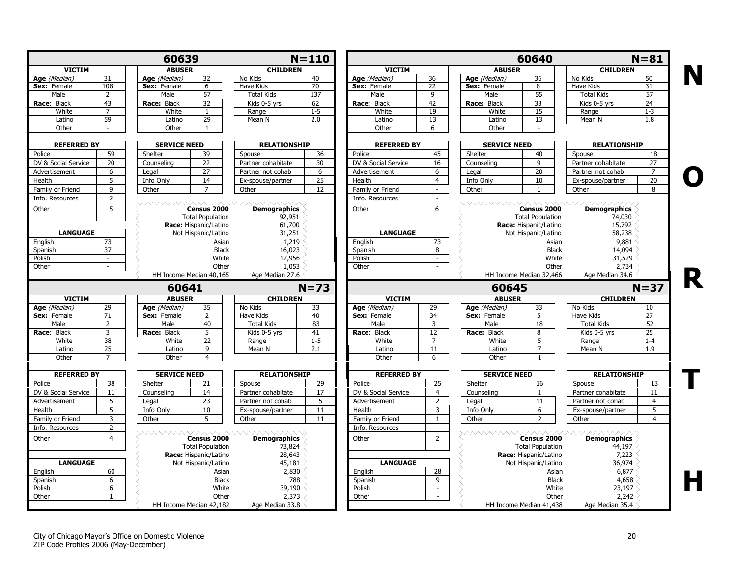|                                                                                                 | 60639<br><b>VICTIM</b><br>31 |                     |                                        |                               | $N = 110$       |                     |                        |                     | 60640                                  |                               | $N = 81$        |
|-------------------------------------------------------------------------------------------------|------------------------------|---------------------|----------------------------------------|-------------------------------|-----------------|---------------------|------------------------|---------------------|----------------------------------------|-------------------------------|-----------------|
|                                                                                                 |                              | <b>ABUSER</b>       |                                        | <b>CHILDREN</b>               |                 | <b>VICTIM</b>       |                        | <b>ABUSER</b>       |                                        | <b>CHILDREN</b>               |                 |
| Age (Median)                                                                                    |                              | Age (Median)        | 32                                     | No Kids                       | 40              | Age (Median)        | 36                     | Age (Median)        | 36                                     | No Kids                       | 50              |
| Sex: Female                                                                                     | 108                          | Sex: Female         | 6                                      | Have Kids                     | 70              | Sex: Female         | 22                     | Sex: Female         | 8                                      | Have Kids                     | 31              |
| Male                                                                                            | 2                            | Male                | 57                                     | <b>Total Kids</b>             | 137             | Male                | 9                      | Male                | 55                                     | <b>Total Kids</b>             | 57              |
| Race: Black                                                                                     | 43                           | Race: Black         | $\overline{32}$                        | Kids 0-5 yrs                  | 62              | Race: Black         | 42                     | Race: Black         | 33                                     | Kids 0-5 yrs                  | 24              |
| White                                                                                           | 7                            | White               | -1                                     | Range                         | $1 - 5$         | White               | 19                     | White               | 15                                     | Range                         | $1 - 3$         |
| Latino                                                                                          | 59                           | Latino              | 29                                     | Mean N                        | 2.0             | Latino              | 13                     | Latino              | 13                                     | Mean N                        | 1.8             |
| Other                                                                                           |                              | Other               | $\mathbf{1}$                           |                               |                 | Other               | 6                      | Other               |                                        |                               |                 |
| <b>REFERRED BY</b>                                                                              |                              | <b>SERVICE NEED</b> |                                        | <b>RELATIONSHIP</b>           |                 | <b>REFERRED BY</b>  |                        | <b>SERVICE NEED</b> |                                        | <b>RELATIONSHIP</b>           |                 |
| Police                                                                                          | 59                           | Shelter             | 39                                     | Spouse                        | 36              | Police              | 45                     | Shelter             | 40                                     | Spouse                        | 18              |
| DV & Social Service                                                                             | 20                           | Counseling          | 22                                     | Partner cohabitate            | 30              | DV & Social Service | 16                     | Counseling          | 9                                      | Partner cohabitate            | $\overline{27}$ |
| Advertisement                                                                                   | 6                            | Legal               | 27                                     | Partner not cohab             | 6               | Advertisement       | 6                      | Legal               | 20                                     | Partner not cohab             | $\overline{7}$  |
| Health                                                                                          | 5                            | Info Only           | 14                                     | Ex-spouse/partner             | $\overline{25}$ | Health              | $\overline{4}$         | Info Only           | 10                                     | Ex-spouse/partner             | 20              |
| Family or Friend                                                                                | 9                            | Other               | $\overline{7}$                         | Other                         | 12              | Family or Friend    | $\sim$                 | Other               | 1                                      | Other                         | 8               |
| Info. Resources                                                                                 | $\overline{2}$               |                     |                                        |                               |                 | Info. Resources     | $\sim$                 |                     |                                        |                               |                 |
| Other                                                                                           | 5                            | <u>WAAAAAAA</u>     | Census 2000<br><b>Total Population</b> | <b>Demographics</b><br>92,951 |                 | Other               | 6                      | . A A A A A A A A . | Census 2000<br><b>Total Population</b> | <b>Demographics</b><br>74,030 |                 |
|                                                                                                 |                              |                     | Race: Hispanic/Latino                  | 61,700                        |                 |                     |                        |                     | Race: Hispanic/Latino                  | 15,792                        |                 |
| <b>LANGUAGE</b>                                                                                 |                              |                     | Not Hispanic/Latino                    | 31,251                        |                 | <b>LANGUAGE</b>     |                        |                     | Not Hispanic/Latino                    | 58,238                        |                 |
| English                                                                                         | 73                           |                     | Asian                                  | 1,219                         |                 | English             | 73                     |                     | Asian                                  | 9,881                         |                 |
| Spanish                                                                                         | 37                           |                     | <b>Black</b>                           | 16,023                        |                 | Spanish             | 8                      |                     | <b>Black</b>                           | 14,094                        |                 |
| Polish                                                                                          | $\sim$                       |                     | White                                  | 12,956                        |                 | Polish              | $\sim$                 |                     | White                                  | 31,529                        |                 |
| Other                                                                                           | $\sim$                       |                     | Other                                  | 1,053                         |                 | Other               | $\sim$                 |                     | Other                                  | 2,734                         |                 |
|                                                                                                 |                              |                     | HH Income Median 40,165                | Age Median 27.6               |                 |                     |                        |                     | HH Income Median 32,466                | Age Median 34.6               |                 |
|                                                                                                 |                              | 60641               |                                        |                               | $N=73$          |                     |                        | 60645               |                                        |                               | $N = 37$        |
| <b>VICTIM</b>                                                                                   |                              | <b>ABUSER</b>       |                                        | <b>CHILDREN</b>               |                 | <b>VICTIM</b>       |                        | <b>ABUSER</b>       |                                        | <b>CHILDREN</b>               |                 |
| Age (Median)                                                                                    | 29                           | Age (Median)        | 35                                     | No Kids                       | 33              | Age (Median)        | 29                     | Age (Median)        | 33                                     | No Kids                       | 10              |
| Sex: Female                                                                                     | 71                           | Sex: Female         | 2                                      | Have Kids                     | 40              | Sex: Female         | $\overline{34}$        | Sex: Female         | 5                                      | Have Kids                     | $\overline{27}$ |
| Male                                                                                            | 2                            | Male                | 40                                     | <b>Total Kids</b>             | 83              | Male                | $\overline{3}$         | Male                | 18                                     | <b>Total Kids</b>             | 52              |
| Race: Black                                                                                     | 3                            | Race: Black         | 5                                      | Kids 0-5 yrs                  | 41              | Race: Black         | 12                     | Race: Black         | 8                                      | Kids 0-5 yrs                  | 25              |
| White                                                                                           | 38                           | White               | 22                                     | Range                         | $1 - 5$         | White               |                        |                     |                                        |                               |                 |
|                                                                                                 |                              |                     |                                        |                               |                 |                     | $\overline{7}$         | White               | 5                                      | Range                         | $1 - 4$         |
| Latino                                                                                          | 25                           | Latino              | 9                                      | Mean N                        | 2.1             | Latino              | 11                     | Latino              | $\overline{7}$                         | Mean N                        | 1.9             |
| Other                                                                                           | $\overline{7}$               | Other               | 4                                      |                               |                 | Other               | 6                      | Other               | 1                                      |                               |                 |
| <b>REFERRED BY</b>                                                                              |                              | <b>SERVICE NEED</b> |                                        | <b>RELATIONSHIP</b>           |                 | <b>REFERRED BY</b>  |                        | <b>SERVICE NEED</b> |                                        | <b>RELATIONSHIP</b>           |                 |
|                                                                                                 | 38                           | Shelter             | 21                                     | Spouse                        | 29              | Police              | 25                     | Shelter             | 16                                     | Spouse                        | 13              |
|                                                                                                 | 11                           | Counseling          | 14                                     | Partner cohabitate            | 17              | DV & Social Service | $\overline{4}$         | Counseling          | $\mathbf{1}$                           | Partner cohabitate            | 11              |
|                                                                                                 | 5                            | Legal               | 23                                     | Partner not cohab             | 5               | Advertisement       | 2                      | Legal               | 11                                     | Partner not cohab             | 4               |
|                                                                                                 | 5                            |                     | 10                                     |                               | 11              | Health              | 3                      |                     | 6                                      |                               | 5               |
|                                                                                                 |                              | Info Only           |                                        | Ex-spouse/partner             |                 |                     |                        | Info Only           |                                        | Ex-spouse/partner             |                 |
|                                                                                                 | 3<br>$\overline{2}$          | Other               | 5                                      | Other                         | 11              | Family or Friend    | $\mathbf{1}$<br>$\sim$ | Other               |                                        | Other                         | $\overline{4}$  |
| Police<br>DV & Social Service<br>Advertisement<br>Health<br>Family or Friend<br>Info. Resources |                              |                     |                                        |                               |                 | Info. Resources     |                        | <u>WWWWWW</u>       |                                        |                               |                 |
|                                                                                                 | $\overline{4}$               |                     | Census 2000                            | <b>Demographics</b>           |                 | Other               | $\overline{2}$         |                     | Census 2000                            | <b>Demographics</b>           |                 |
| Other                                                                                           |                              |                     | <b>Total Population</b>                | 73,824                        |                 |                     |                        |                     | <b>Total Population</b>                | 44,197                        |                 |
|                                                                                                 |                              |                     | Race: Hispanic/Latino                  | 28,643                        |                 |                     |                        |                     | Race: Hispanic/Latino                  | 7,223                         |                 |
| <b>LANGUAGE</b>                                                                                 |                              |                     | Not Hispanic/Latino                    | 45,181                        |                 | <b>LANGUAGE</b>     |                        |                     | Not Hispanic/Latino                    | 36,974                        |                 |
|                                                                                                 | 60                           |                     | Asian                                  | 2,830                         |                 | English             | 28                     |                     | Asian                                  | 6,877                         |                 |
| English<br>Spanish                                                                              | 6                            |                     | <b>Black</b>                           | 788                           |                 | Spanish             | $\overline{9}$         |                     | <b>Black</b>                           | 4,658                         |                 |
| Polish                                                                                          | 6                            |                     | White                                  | 39,190                        |                 | Polish              | $\sim$                 |                     | White                                  | 23,197                        |                 |
| Other                                                                                           | $\mathbf{1}$                 |                     | Other<br>HH Income Median 42,182       | 2,373<br>Age Median 33.8      |                 | Other               | $\sim$                 |                     | Other<br>HH Income Median 41,438       | 2,242<br>Age Median 35.4      |                 |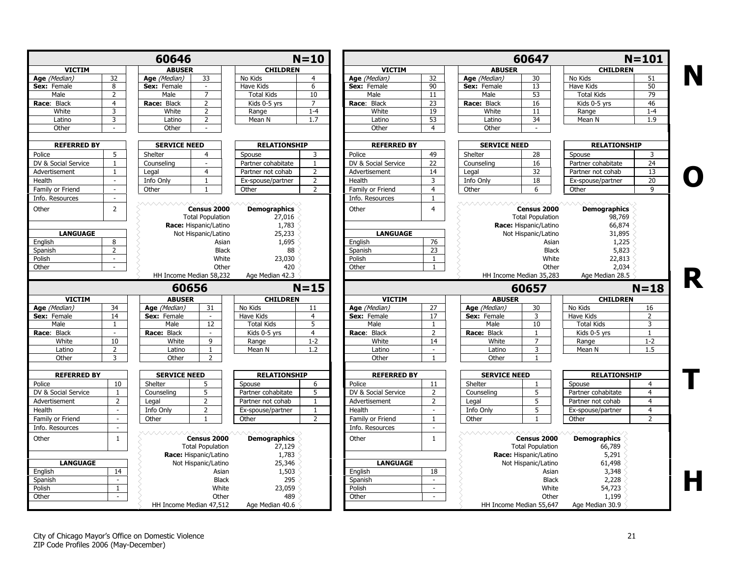|                     |                             | 60646                   |                                                                 |                                        | $N = 10$       |                     |                 |                     | 60647                                                           |                                         | $N = 101$      |
|---------------------|-----------------------------|-------------------------|-----------------------------------------------------------------|----------------------------------------|----------------|---------------------|-----------------|---------------------|-----------------------------------------------------------------|-----------------------------------------|----------------|
| <b>VICTIM</b>       |                             | <b>ABUSER</b>           |                                                                 | <b>CHILDREN</b>                        |                | <b>VICTIM</b>       |                 | <b>ABUSER</b>       |                                                                 | <b>CHILDREN</b>                         |                |
| Age (Median)        | $\overline{32}$             | Age (Median)            | 33                                                              | No Kids                                | 4              | Age (Median)        | $\overline{32}$ | Age (Median)        | 30                                                              | No Kids                                 | 51             |
| Sex: Female         | 8                           | Sex: Female             | $\sim$                                                          | Have Kids                              | 6              | Sex: Female         | 90              | Sex: Female         | 13                                                              | Have Kids                               | 50             |
| Male                | $\overline{2}$              | Male                    | $\overline{7}$                                                  | <b>Total Kids</b>                      | 10             | Male                | 11              | Male                | 53                                                              | <b>Total Kids</b>                       | 79             |
| Race: Black         | $\overline{4}$              | Race: Black             | $\overline{2}$                                                  | Kids 0-5 yrs                           | $\overline{7}$ | Race: Black         | 23              | Race: Black         | 16                                                              | Kids 0-5 yrs                            | 46             |
| White               | 3                           | White                   | $\overline{2}$                                                  | Range                                  | $1 - 4$        | White               | 19              | White               | 11                                                              | Range                                   | $1 - 4$        |
| Latino              | 3                           | Latino                  | $\overline{2}$                                                  | Mean N                                 | 1.7            | Latino              | 53              | Latino              | 34                                                              | Mean N                                  | 1.9            |
| Other               | $\sim$                      | Other                   |                                                                 |                                        |                | Other               | $\overline{4}$  | Other               |                                                                 |                                         |                |
| <b>REFERRED BY</b>  |                             | <b>SERVICE NEED</b>     |                                                                 | <b>RELATIONSHIP</b>                    |                | <b>REFERRED BY</b>  |                 | <b>SERVICE NEED</b> |                                                                 | <b>RELATIONSHIP</b>                     |                |
| Police              | 5                           | Shelter                 | $\overline{4}$                                                  | Spouse                                 | 3              | Police              | 49              | Shelter             | 28                                                              | Spouse                                  | 3              |
| DV & Social Service | $\mathbf{1}$                | Counseling              | $\sim$                                                          | Partner cohabitate                     | $\mathbf{1}$   | DV & Social Service | 22              | Counseling          | 16                                                              | Partner cohabitate                      | 24             |
| Advertisement       | $\mathbf{1}$                | Legal                   | $\overline{4}$                                                  | Partner not cohab                      | $\overline{2}$ | Advertisement       | 14              | Legal               | 32                                                              | Partner not cohab                       | 13             |
| Health              | $\sim$                      | Info Only               | $\mathbf{1}$                                                    | Ex-spouse/partner                      | $\overline{2}$ | Health              | 3               | Info Only           | 18                                                              | Ex-spouse/partner                       | 20             |
| Family or Friend    | $\mathcal{L}$               | Other                   | $\mathbf{1}$                                                    | Other                                  | $\overline{2}$ | Family or Friend    | $\overline{4}$  | Other               | 6                                                               | Other                                   | $\mathsf q$    |
| Info. Resources     | $\sim$                      |                         |                                                                 |                                        |                | Info. Resources     | $\mathbf{1}$    |                     |                                                                 |                                         |                |
| Other               | $\overline{2}$              |                         | Census 2000<br><b>Total Population</b><br>Race: Hispanic/Latino | <b>Demographics</b><br>27,016<br>1,783 |                | Other               | $\overline{4}$  |                     | Census 2000<br><b>Total Population</b><br>Race: Hispanic/Latino | <b>Demographics</b><br>98,769<br>66,874 |                |
| <b>LANGUAGE</b>     |                             |                         | Not Hispanic/Latino                                             | 25,233                                 |                | <b>LANGUAGE</b>     |                 |                     | Not Hispanic/Latino                                             | 31,895                                  |                |
| English             | 8                           |                         | Asian                                                           | 1,695                                  |                | English             | 76              |                     | Asian                                                           | 1,225                                   |                |
| Spanish             | $\overline{2}$              |                         | <b>Black</b>                                                    | 88                                     |                | Spanish             | 23              |                     | <b>Black</b>                                                    | 5,823                                   |                |
| Polish              | $\sim$                      |                         | White                                                           | 23,030                                 |                | Polish              | 1               |                     | White                                                           | 22,813                                  |                |
| Other               | $\sim$                      |                         | Other                                                           | 420                                    |                | Other               | $\mathbf{1}$    |                     | Other                                                           | 2,034                                   |                |
|                     |                             | HH Income Median 58,232 |                                                                 | Age Median 42.3                        |                |                     |                 |                     | HH Income Median 35,283                                         | Age Median 28.5                         |                |
|                     |                             | 60656                   |                                                                 | $N = 15$                               |                |                     |                 |                     | 60657                                                           |                                         | $N = 18$       |
| <b>VICTIM</b>       |                             | <b>ABUSER</b>           |                                                                 | <b>CHILDREN</b>                        |                | <b>VICTIM</b>       |                 | <b>ABUSER</b>       |                                                                 | <b>CHILDREN</b>                         |                |
| Age (Median)        | 34                          | Age (Median)            | 31                                                              | No Kids                                | 11             | Age (Median)        | 27              | Age (Median)        | 30                                                              | No Kids                                 | 16             |
| Sex: Female         | 14                          | Sex: Female             | $\sim$                                                          | Have Kids                              | $\overline{4}$ | Sex: Female         | 17              | Sex: Female         | $\overline{3}$                                                  | <b>Have Kids</b>                        | $\overline{2}$ |
| Male                | $\mathbf{1}$                | Male                    | 12                                                              | <b>Total Kids</b>                      | 5              | Male                | 1               | Male                | 10                                                              | <b>Total Kids</b>                       | 3              |
| Race: Black         | $\sim$                      | Race: Black             | $\sim$                                                          | Kids 0-5 yrs                           | $\overline{4}$ | Race: Black         | $\overline{2}$  | Race: Black         | 1                                                               | Kids 0-5 yrs                            | 1              |
| White               | 10                          | White                   | 9                                                               | Range                                  | $1 - 2$        | White               | 14              | White               | 7                                                               | Range                                   | $1 - 2$        |
| Latino              | $\overline{2}$              | Latino                  | $\mathbf{1}$                                                    | Mean N                                 | 1.2            | Latino              | $\sim$          | Latino              | 3                                                               | Mean N                                  | 1.5            |
| Other               | 3                           | Other                   | $\overline{2}$                                                  |                                        |                | Other               | $\mathbf{1}$    | Other               | $\mathbf{1}$                                                    |                                         |                |
| <b>REFERRED BY</b>  |                             | <b>SERVICE NEED</b>     |                                                                 | <b>RELATIONSHIP</b>                    |                | <b>REFERRED BY</b>  |                 | <b>SERVICE NEED</b> |                                                                 | <b>RELATIONSHIP</b>                     |                |
| Police              | 10                          | Shelter                 | 5                                                               | Spouse                                 | 6              | Police              | 11              | Shelter             |                                                                 | Spouse                                  | $\overline{4}$ |
| DV & Social Service | $\mathbf{1}$                | Counseling              | 5                                                               | Partner cohabitate                     | $\overline{5}$ | DV & Social Service | $\overline{2}$  | Counseling          | 5                                                               | Partner cohabitate                      | $\overline{4}$ |
| Advertisement       | $\overline{2}$              | Legal                   | $\overline{2}$                                                  | Partner not cohab                      | $\mathbf{1}$   | Advertisement       | $\overline{2}$  | Legal               | 5                                                               | Partner not cohab                       | $\overline{4}$ |
| Health              | $\sim$                      | Info Only               | $\overline{2}$                                                  | Ex-spouse/partner                      | $\mathbf{1}$   | Health              | $\sim$          | Info Only           | 5                                                               | Ex-spouse/partner                       | $\overline{4}$ |
| Family or Friend    | $\omega$                    | Other                   | $\mathbf{1}$                                                    | Other                                  | $\overline{2}$ | Family or Friend    | $\mathbf{1}$    | Other               | $\mathbf{1}$                                                    | Other                                   | $\overline{2}$ |
| Info. Resources     | $\sim$                      |                         |                                                                 |                                        |                | Info. Resources     | $\sim$          |                     |                                                                 |                                         |                |
| Other               | $\mathbf{1}$                | <i><b>MAAAAAA</b></i>   | Census 2000<br><b>Total Population</b><br>Race: Hispanic/Latino | <b>Demographics</b><br>27,129<br>1,783 |                | Other               | $\mathbf{1}$    | <u>VAAAAAAAV</u>    | Census 2000<br><b>Total Population</b><br>Race: Hispanic/Latino | <b>Demographics</b><br>66,789<br>5,291  |                |
| <b>LANGUAGE</b>     |                             |                         | Not Hispanic/Latino                                             | 25,346                                 |                | <b>LANGUAGE</b>     |                 |                     | Not Hispanic/Latino                                             |                                         |                |
|                     |                             |                         | Asian                                                           |                                        |                |                     | 18              |                     | Asian                                                           | 61,498                                  |                |
| English             | 14<br>$\sim$                |                         |                                                                 | 1,503                                  |                | English             | $\sim$          |                     |                                                                 | 3,348                                   |                |
| Spanish             | $\mathbf{1}$                |                         | <b>Black</b>                                                    | 295                                    |                | Spanish             | $\sim$          |                     | <b>Black</b>                                                    | 2,228                                   |                |
|                     |                             |                         | White                                                           | 23,059                                 |                | Polish              |                 |                     | White                                                           | 54,723                                  |                |
| Polish              |                             |                         |                                                                 |                                        |                |                     |                 |                     |                                                                 |                                         |                |
| Other               | $\mathcal{L}_{\mathcal{A}}$ | HH Income Median 47,512 | Other                                                           | 489<br>Age Median 40.6                 |                | Other               | $\sim$          |                     | Other<br>HH Income Median 55,647                                | 1,199<br>Age Median 30.9                |                |

City of Chicago Mayor's Office on Domestic Violence 21 ZIP Code Profiles 2006 (May-December)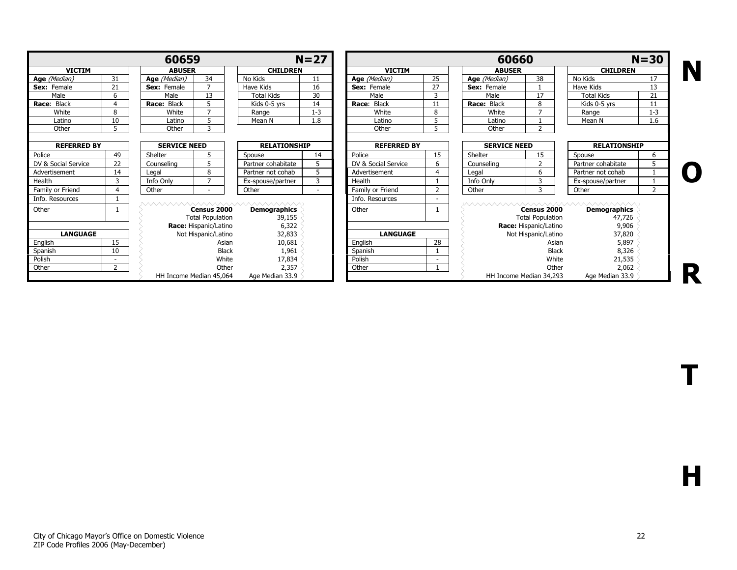|                     |                                           | 60659                   |                                        |                                                               | $N=27$  |                       |                         | 60660               |                                        |                                                                  | $N = 30$       |
|---------------------|-------------------------------------------|-------------------------|----------------------------------------|---------------------------------------------------------------|---------|-----------------------|-------------------------|---------------------|----------------------------------------|------------------------------------------------------------------|----------------|
| <b>VICTIM</b>       |                                           | <b>ABUSER</b>           |                                        | <b>CHILDREN</b>                                               |         | <b>VICTIM</b>         |                         | <b>ABUSER</b>       |                                        | <b>CHILDREN</b>                                                  |                |
| Age (Median)        | 31                                        | Age (Median)            | 34                                     | No Kids                                                       | 11      | Age (Median)          | 25                      | Age (Median)        | 38                                     | No Kids                                                          | 17             |
| Sex: Female         | 21                                        | Sex: Female             | $\overline{z}$                         | Have Kids                                                     | 16      | Sex: Female           | 27                      | Sex: Female         |                                        | Have Kids                                                        | 13             |
| Male                | 6                                         | Male                    | 13                                     | <b>Total Kids</b>                                             | 30      | Male                  | 3                       | Male                | 17                                     | <b>Total Kids</b>                                                | 21             |
| Black<br>Race:      | $\Delta$                                  | Race: Black             |                                        | Kids 0-5 yrs                                                  | 14      | <b>Black</b><br>Race: |                         | Race: Black         | 8                                      | Kids 0-5 yrs                                                     | 11             |
| White               | 8                                         | White                   | <u>т</u>                               | Range                                                         | $1 - 3$ | White                 | 8                       | White               |                                        | Range                                                            | $1 - 3$        |
| Latino              | 10                                        | Latino                  | 5                                      | Mean N                                                        | 1.8     | Latino                | 5                       | Latino              |                                        | Mean N                                                           | 1.6            |
| Other               | 5                                         | Other                   | 3                                      |                                                               |         | Other                 | 5                       | Other               | $\mathbf{r}$                           |                                                                  |                |
|                     | <b>SERVICE NEED</b><br><b>REFERRED BY</b> |                         |                                        | <b>RELATIONSHIP</b>                                           |         | <b>REFERRED BY</b>    |                         | <b>SERVICE NEED</b> |                                        | <b>RELATIONSHIP</b>                                              |                |
| Police              | 49                                        | Shelter                 |                                        | Spouse                                                        | 14      | Police                | 15                      | Shelter             | 15                                     | Spouse                                                           | 6              |
| DV & Social Service | 22                                        | Counseling              | 5                                      | Partner cohabitate                                            | 5       | DV & Social Service   | 6                       | Counseling          | $\mathcal{L}$                          | Partner cohabitate                                               |                |
| Advertisement       | 14                                        | Legal                   | 8                                      | Partner not cohab                                             | 5       | Advertisement         | $\overline{\mathbf{4}}$ | Legal               | 6                                      | Partner not cohab                                                |                |
| Health              | 3                                         | Info Only               | <b>–</b>                               | Ex-spouse/partner                                             | 3       | Health                |                         | Info Only           | 3                                      | Ex-spouse/partner                                                |                |
| Family or Friend    | 4                                         | Other                   | $\sim$                                 | Other                                                         | $\sim$  | Family or Friend      | $\overline{z}$          | Other               | २                                      | Other                                                            | $\overline{2}$ |
| Info. Resources     |                                           |                         |                                        |                                                               |         | Info. Resources       |                         |                     |                                        |                                                                  |                |
| Other               |                                           |                         | Census 2000<br><b>Total Population</b> | xvvvvvvvvvvvvvvvvvvvvvvvvvvv<br><b>Demographics</b><br>39,155 |         | Other                 |                         |                     | Census 2000<br><b>Total Population</b> | xvvvvvvvvvvvvvvvvvvvvvvvvvvvvvv<br><b>Demographics</b><br>47,726 |                |
|                     |                                           |                         | Race: Hispanic/Latino                  | 6,322                                                         |         |                       |                         |                     | Race: Hispanic/Latino                  | 9,906                                                            |                |
| <b>LANGUAGE</b>     |                                           |                         | Not Hispanic/Latino                    | 32,833                                                        |         | <b>LANGUAGE</b>       |                         |                     | Not Hispanic/Latino                    | 37,820                                                           |                |
| Enalish             | 15                                        |                         | Asian                                  | 10,681                                                        |         | Enalish               | 28                      |                     | Asian                                  | 5,897                                                            |                |
| Spanish             | 10                                        |                         | <b>Black</b>                           | 1,961                                                         |         | Spanish               |                         |                     | <b>Black</b>                           | 8,326                                                            |                |
| Polish              |                                           |                         | White                                  | 17,834                                                        |         | Polish                |                         |                     | White                                  | 21,535                                                           |                |
| Other               | 2                                         |                         | Other                                  | 2,357                                                         |         | Other                 |                         |                     | Other                                  | 2,062                                                            |                |
|                     |                                           | HH Income Median 45,064 |                                        | Age Median 33.9                                               |         |                       |                         |                     | HH Income Median 34,293                | Age Median 33.9                                                  |                |

T

H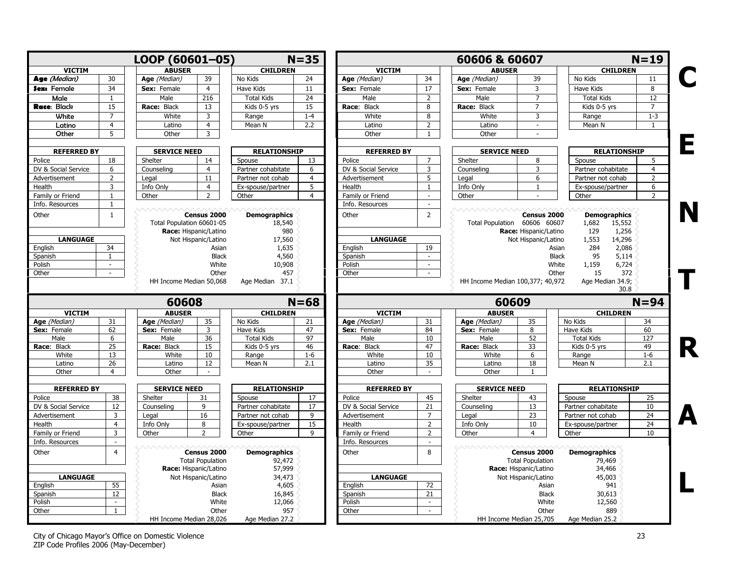<span id="page-22-0"></span>

|                                                                                                                                                                                                 |                          | LOOP (60601-05)           |                                              |                                      | $N = 35$        |                                     |                          | 60606 & 60607                    |                                              |                                                        | $N = 19$        |
|-------------------------------------------------------------------------------------------------------------------------------------------------------------------------------------------------|--------------------------|---------------------------|----------------------------------------------|--------------------------------------|-----------------|-------------------------------------|--------------------------|----------------------------------|----------------------------------------------|--------------------------------------------------------|-----------------|
| <b>VICTIM</b>                                                                                                                                                                                   |                          | <b>ABUSER</b>             |                                              | <b>CHILDREN</b>                      |                 | <b>VICTIM</b>                       |                          | <b>ABUSER</b>                    |                                              | <b>CHILDREN</b>                                        |                 |
| Age (Median)                                                                                                                                                                                    | 30                       | Age (Median)              | 39                                           | No Kids                              | 24              | Age (Median)                        | 34                       | Age (Median)                     | 39                                           | No Kids                                                | 11              |
| Sex: Female                                                                                                                                                                                     | 34                       | Sex: Female               | $\overline{4}$                               | Have Kids                            | $\overline{11}$ | Sex: Female                         | 17                       | Sex: Female                      | $\overline{3}$                               | Have Kids                                              | $\overline{8}$  |
| Male                                                                                                                                                                                            | $\mathbf{1}$             | Male                      | 216                                          | <b>Total Kids</b>                    | 24              | Male                                | 2                        | Male                             | $\overline{7}$                               | <b>Total Kids</b>                                      | $\overline{12}$ |
| Race: Black                                                                                                                                                                                     | 15                       | Race: Black               | 13                                           | Kids 0-5 yrs                         | 15              | Race: Black                         | 8                        | Race: Black                      | $\overline{7}$                               | Kids 0-5 yrs                                           | $\overline{7}$  |
| White                                                                                                                                                                                           | $\overline{7}$           | White                     | 3                                            | Range                                | $1 - 4$         | White                               | 8                        | White                            | 3                                            | Range                                                  | $1 - 3$         |
| Latino                                                                                                                                                                                          | $\overline{4}$           | Latino                    | $\overline{4}$                               | Mean N                               | 2.2             | Latino                              | $\overline{2}$           | Latino                           | $\sim$                                       | Mean N                                                 | 1               |
| Other                                                                                                                                                                                           | 5                        | Other                     | 3                                            |                                      |                 | Other                               | 1                        | Other                            | ÷                                            |                                                        |                 |
| <b>REFERRED BY</b>                                                                                                                                                                              |                          | <b>SERVICE NEED</b>       |                                              | <b>RELATIONSHIP</b>                  |                 | <b>REFERRED BY</b>                  |                          | <b>SERVICE NEED</b>              |                                              | <b>RELATIONSHIP</b>                                    |                 |
| Police                                                                                                                                                                                          | 18                       | Shelter                   | 14                                           | Spouse                               | 13              | Police                              | $\overline{7}$           | Shelter                          | 8                                            | Spouse                                                 | 5               |
| DV & Social Service                                                                                                                                                                             | 6                        | Counseling                | $\overline{4}$                               | Partner cohabitate                   | 6               | DV & Social Service                 | $\overline{3}$           | Counselina                       | $\overline{3}$                               | Partner cohabitate                                     | $\overline{4}$  |
| Advertisement                                                                                                                                                                                   | $\overline{2}$           | Legal                     | 11                                           | Partner not cohab                    | $\overline{4}$  | Advertisement                       | 5                        | Legal                            | 6                                            | Partner not cohab                                      | $\overline{2}$  |
| Health                                                                                                                                                                                          | 3                        | Info Only                 | $\overline{4}$                               | Ex-spouse/partner                    | 5               | Health                              | $\mathbf{1}$             | Info Only                        | $\mathbf{1}$                                 | Ex-spouse/partner                                      | 6               |
| Family or Friend                                                                                                                                                                                | $\mathbf{1}$             | Other                     | $\overline{2}$                               | Other                                | $\overline{4}$  | Family or Friend                    | $\omega$                 | Other                            |                                              | Other                                                  | $\overline{2}$  |
| Info. Resources                                                                                                                                                                                 | $\mathbf{1}$             |                           |                                              |                                      |                 | Info. Resources                     | $\mathbb{Z}^2$           |                                  |                                              |                                                        |                 |
| Other                                                                                                                                                                                           | $\mathbf{1}$             | Total Population 60601-05 | Census 2000<br>Race: Hispanic/Latino         | <b>Demographics</b><br>18,540<br>980 |                 | Other                               | $\overline{2}$           | Total Population 60606 60607     | Census 2000<br>Race: Hispanic/Latino         | <b>Demographics</b><br>1,682<br>15,552<br>129<br>1,256 |                 |
| <b>LANGUAGE</b>                                                                                                                                                                                 |                          |                           | Not Hispanic/Latino                          | 17,560                               |                 | <b>LANGUAGE</b>                     |                          |                                  | Not Hispanic/Latino                          | 14,296<br>1,553                                        |                 |
| English                                                                                                                                                                                         | 34                       |                           | Asian                                        | 1,635                                |                 | English                             | 19                       |                                  | Asian                                        | 284<br>2,086                                           |                 |
| Spanish                                                                                                                                                                                         | $\mathbf{1}$             |                           | <b>Black</b>                                 | 4,560                                |                 | Spanish                             | $\sim$                   |                                  | <b>Black</b>                                 | 95<br>5,114                                            |                 |
| Polish                                                                                                                                                                                          | $\overline{a}$           |                           | White                                        | 10,908                               |                 | Polish                              | $\sim$                   |                                  | White                                        | 1,159<br>6,724                                         |                 |
|                                                                                                                                                                                                 |                          |                           |                                              |                                      |                 | Other                               |                          |                                  |                                              |                                                        |                 |
|                                                                                                                                                                                                 | $\sim$                   | HH Income Median 50,068   | Other                                        | 457<br>Age Median 37.1               |                 |                                     | $\sim$                   | HH Income Median 100,377; 40,972 | Other                                        | 372<br>15<br>Age Median 34.9;<br>30.8                  |                 |
|                                                                                                                                                                                                 |                          | 60608                     |                                              |                                      | $N = 68$        |                                     |                          | 60609                            |                                              |                                                        | $N = 94$        |
| <b>VICTIM</b>                                                                                                                                                                                   |                          | <b>ABUSER</b>             |                                              | <b>CHILDREN</b>                      |                 | <b>VICTIM</b>                       |                          | <b>ABUSER</b>                    |                                              | <b>CHILDREN</b>                                        |                 |
|                                                                                                                                                                                                 | 31                       | Age (Median)              | 35                                           | No Kids                              | 21              | Age (Median)                        | 31                       | Age (Median)                     | 35                                           | No Kids                                                | 34              |
|                                                                                                                                                                                                 | 62                       | Sex: Female               | 3                                            | Have Kids                            | 47              | Sex: Female                         | 84                       | Sex: Female                      | 8                                            | Have Kids                                              | 60              |
| Male                                                                                                                                                                                            | 6                        | Male                      | 36                                           | <b>Total Kids</b>                    | 97              | Male                                | 10                       | Male                             | 52                                           | <b>Total Kids</b>                                      | 127             |
|                                                                                                                                                                                                 | 25                       | Race: Black               | 15                                           | Kids 0-5 yrs                         | 46              | Race: Black                         | 47                       | Race: Black                      | 33                                           | Kids 0-5 yrs                                           | 49              |
| White                                                                                                                                                                                           | 13                       | White                     | 10                                           | Range                                | $1 - 6$         | White                               | 10                       | White                            | 6                                            | Range                                                  | $1 - 6$         |
| Latino<br>Other                                                                                                                                                                                 | 26<br>$\overline{4}$     | Latino<br>Other           | 12<br>$\sim$                                 | Mean N                               | 2.1             | Latino<br>Other                     | 35<br>$\sim$             | Latino<br>Other                  | 18<br>$\mathbf{1}$                           | Mean N                                                 | 2.1             |
|                                                                                                                                                                                                 |                          |                           |                                              |                                      |                 |                                     |                          |                                  |                                              |                                                        |                 |
| <b>REFERRED BY</b>                                                                                                                                                                              |                          | <b>SERVICE NEED</b>       |                                              | <b>RELATIONSHIP</b>                  |                 | <b>REFERRED BY</b>                  |                          | <b>SERVICE NEED</b>              |                                              | <b>RELATIONSHIP</b>                                    |                 |
|                                                                                                                                                                                                 | 38                       | Shelter                   | 31                                           | Spouse                               | 17              | Police                              | 45                       | Shelter                          | 43                                           | Spouse                                                 | 25              |
|                                                                                                                                                                                                 | 12                       | Counseling                | 9                                            | Partner cohabitate                   | 17              | DV & Social Service                 | 21                       | Counseling                       | 13                                           | Partner cohabitate                                     | 10              |
|                                                                                                                                                                                                 | 3                        | Legal                     | 16                                           | Partner not cohab                    | 9               | Advertisement                       | $\overline{7}$           | Legal                            | 23                                           | Partner not cohab                                      | 24              |
|                                                                                                                                                                                                 | $\overline{4}$           | Info Only                 | 8                                            | Ex-spouse/partner                    | 15              | Health                              | $\overline{2}$           | Info Only                        | 10                                           | Ex-spouse/partner                                      | 24              |
|                                                                                                                                                                                                 | $\overline{3}$<br>$\sim$ | Other                     | $\overline{\phantom{a}}$                     | Other                                | $\mathsf{q}$    | Family or Friend<br>Info. Resources | $\overline{2}$<br>$\sim$ | Other                            | $\overline{4}$                               | Other                                                  | 10              |
|                                                                                                                                                                                                 | $\overline{4}$           |                           | Census 2000<br><b>Total Population</b>       | <b>Demographics</b><br>92,472        |                 | Other                               | 8                        | <i>AAAAAAAA</i>                  | Census 2000<br><b>Total Population</b>       | <b>Demographics</b><br>79,469                          |                 |
| <b>LANGUAGE</b>                                                                                                                                                                                 |                          |                           | Race: Hispanic/Latino<br>Not Hispanic/Latino | 57,999<br>34,473                     |                 | <b>LANGUAGE</b>                     |                          |                                  | Race: Hispanic/Latino<br>Not Hispanic/Latino | 34,466<br>45,003                                       |                 |
|                                                                                                                                                                                                 | $\overline{55}$          |                           | Asian                                        | 4,605                                |                 | English                             | $\overline{72}$          |                                  | Asian                                        | 941                                                    |                 |
|                                                                                                                                                                                                 | 12                       |                           | <b>Black</b>                                 | 16,845                               |                 | Spanish                             | 21                       |                                  | <b>Black</b>                                 | 30,613                                                 |                 |
| Other<br>Age (Median)<br>Sex: Female<br>Race: Black<br>Police<br>DV & Social Service<br>Advertisement<br>Health<br>Family or Friend<br>Info. Resources<br>Other<br>English<br>Spanish<br>Polish | $\sim$                   |                           | White                                        | 12,066                               |                 | Polish                              | $\sim$                   |                                  | White                                        | 12,560                                                 |                 |
| Other                                                                                                                                                                                           | $\mathbf{1}$             |                           | Other                                        | 957                                  |                 | Other                               | $\sim$                   |                                  | Other                                        | 889                                                    |                 |

City of Chicago Mayor's Office on Domestic Violence 23 ZIP Code Profiles 2006 (May-December)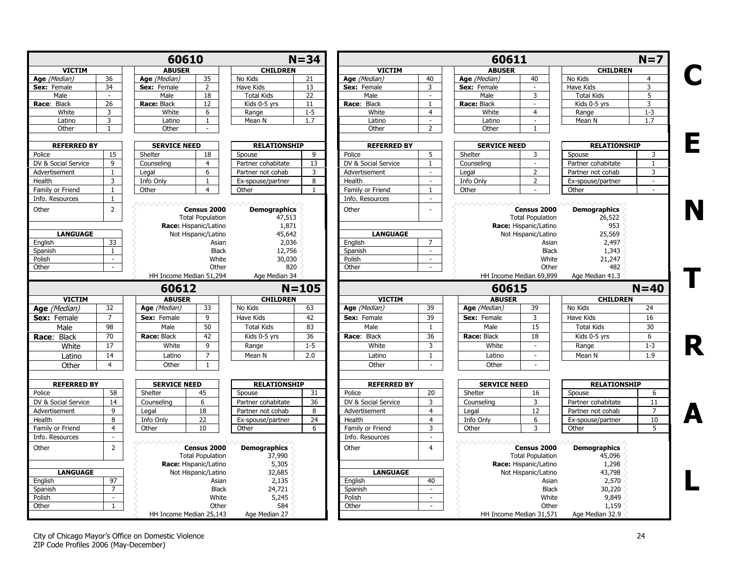|                     |                     | 60610                   |                                        |                               | $N = 34$        |                     |                             | 60611               |                                        |                               | $N=7$                       |
|---------------------|---------------------|-------------------------|----------------------------------------|-------------------------------|-----------------|---------------------|-----------------------------|---------------------|----------------------------------------|-------------------------------|-----------------------------|
| <b>VICTIM</b>       |                     | <b>ABUSER</b>           |                                        | <b>CHILDREN</b>               |                 | <b>VICTIM</b>       |                             | <b>ABUSER</b>       |                                        | <b>CHILDREN</b>               |                             |
| Age (Median)        | 36                  | Age (Median)            | 35                                     | No Kids                       | 21              | Age (Median)        | 40                          | Age (Median)        | 40                                     | No Kids                       | $\overline{4}$              |
| Sex: Female         | 34                  | Sex: Female             | $\overline{2}$                         | Have Kids                     | 13              | Sex: Female         | $\overline{3}$              | Sex: Female         | $\omega$                               | Have Kids                     | 3                           |
| Male                | $\sim$              | Male                    | 18                                     | <b>Total Kids</b>             | 22              | Male                | $\mathcal{L}_{\mathcal{A}}$ | Male                | $\overline{3}$                         | <b>Total Kids</b>             | 5                           |
| Race: Black         | 26                  | Race: Black             | 12                                     | Kids 0-5 yrs                  | 11              | Race: Black         | $\mathbf{1}$                | Race: Black         | $\sim$                                 | Kids 0-5 yrs                  | 3                           |
| White               | 3                   | White                   | 6                                      | Range                         | $1 - 5$         | White               | $\overline{4}$              | White               | $\overline{4}$                         | Range                         | $1 - 3$                     |
| Latino              | $\overline{3}$      | Latino                  | $\mathbf{1}$                           | Mean N                        | 1.7             | Latino              | $\mathcal{L}^{\mathcal{L}}$ | Latino              | $\sim$                                 | Mean N                        | 1.7                         |
| Other               | 1                   | Other                   | $\sim$                                 |                               |                 | Other               | $\overline{2}$              | Other               | 1                                      |                               |                             |
| <b>REFERRED BY</b>  |                     | <b>SERVICE NEED</b>     |                                        | <b>RELATIONSHIP</b>           |                 | <b>REFERRED BY</b>  |                             | <b>SERVICE NEED</b> |                                        | <b>RELATIONSHIP</b>           |                             |
| Police              | 15                  | Shelter                 | 18                                     | Spouse                        | 9               | Police              | 5                           | Shelter             | 3                                      | Spouse                        | 3                           |
| DV & Social Service | 9                   | Counseling              | $\overline{4}$                         | Partner cohabitate            | 13              | DV & Social Service | $\mathbf{1}$                | Counseling          | $\sim$                                 | Partner cohabitate            | 1                           |
| Advertisement       | $\mathbf{1}$        | Legal                   | 6                                      | Partner not cohab             | $\overline{3}$  | Advertisement       | $\sim$                      | Legal               | $\overline{2}$                         | Partner not cohab             | 3                           |
| Health              | $\overline{3}$      | Info Only               | $\mathbf{1}$                           | Ex-spouse/partner             | 8               | Health              | $\omega$                    | Info Only           | $\overline{2}$                         | Ex-spouse/partner             | $\omega$                    |
| Family or Friend    | $\mathbf{1}$        | Other                   | $\overline{4}$                         | Other                         | 1               | Family or Friend    | $\mathbf{1}$                | Other               | $\mathcal{L}_{\mathcal{A}}$            | Other                         | $\mathcal{L}_{\mathcal{A}}$ |
| Info. Resources     | 1                   |                         |                                        |                               |                 | Info. Resources     | $\sim$                      |                     |                                        |                               |                             |
| Other               | $\overline{2}$      | <u>VAAAAAAAA</u>        | Census 2000<br><b>Total Population</b> | <b>Demographics</b><br>47,513 |                 | Other               | ×.                          | wwwwww              | Census 2000<br><b>Total Population</b> | <b>Demographics</b><br>26,522 |                             |
|                     |                     |                         | Race: Hispanic/Latino                  | 1,871                         |                 |                     |                             |                     | Race: Hispanic/Latino                  | 953                           |                             |
| <b>LANGUAGE</b>     |                     |                         | Not Hispanic/Latino                    | 45,642                        |                 | <b>LANGUAGE</b>     |                             |                     | Not Hispanic/Latino                    | 25,569                        |                             |
| English             | 33                  |                         | Asian                                  | 2,036                         |                 | English             | $\overline{7}$              |                     | Asian                                  | 2,497                         |                             |
| Spanish             | $\mathbf{1}$        |                         | <b>Black</b>                           | 12,756                        |                 | Spanish             | $\sim$                      |                     | <b>Black</b>                           | 1,343                         |                             |
| Polish              | $\sim$              |                         | White                                  | 30,030                        |                 | Polish              | $\sim$                      |                     | White                                  | 21,247                        |                             |
| Other               | $\mathcal{L}^{\pm}$ |                         | Other                                  | 820                           |                 | Other               | $\sim$                      |                     | Other                                  | 482                           |                             |
|                     |                     | HH Income Median 51,294 |                                        | Age Median 34                 |                 |                     |                             |                     | HH Income Median 69,899                | Age Median 41.3               |                             |
|                     |                     | 60612                   |                                        |                               | $N = 105$       |                     |                             | 60615               |                                        |                               | $N=40$                      |
| <b>VICTIM</b>       |                     | <b>ABUSER</b>           |                                        | <b>CHILDREN</b>               |                 | <b>VICTIM</b>       |                             | <b>ABUSER</b>       |                                        | <b>CHILDREN</b>               |                             |
| Age (Median)        | 32                  | Age (Median)            | 33                                     | No Kids                       | 63              | Age (Median)        | 39                          | Age (Median)        | 39                                     | No Kids                       | 24                          |
| <b>Sex:</b> Female  | $\overline{7}$      | Sex: Female             | 9                                      | Have Kids                     | 42              | Sex: Female         | 39                          | Sex: Female         | 3                                      | Have Kids                     | 16                          |
| Male                | 98                  | Male                    | 50                                     | <b>Total Kids</b>             | 83              | Male                | $\mathbf{1}$                | Male                | 15                                     | <b>Total Kids</b>             | 30                          |
|                     | $\overline{70}$     | Race: Black             | 42                                     | Kids 0-5 yrs                  | $\overline{36}$ | Race: Black         | $\overline{36}$             | Race: Black         | 18                                     | Kids 0-5 yrs                  | 6                           |
| Race: Black         | $\overline{17}$     |                         | $\overline{9}$                         |                               | $1-5$           | White               | $\overline{\mathbf{3}}$     | White               | $\omega$                               |                               |                             |
| White               |                     | White                   |                                        | Range                         |                 |                     |                             |                     |                                        | Range                         | $1 - 3$                     |
| Latino              | 14                  | Latino                  | $\overline{7}$                         | Mean N                        | 2.0             | Latino              | $\mathbf{1}$                | Latino              | $\sim$                                 | Mean N                        | 1.9                         |
| Other               | $\overline{4}$      | Other                   | $\mathbf{1}$                           |                               |                 | Other               | $\mathcal{L}_{\mathcal{A}}$ | Other               | $\sim$                                 |                               |                             |
| <b>REFERRED BY</b>  |                     | <b>SERVICE NEED</b>     |                                        | <b>RELATIONSHIP</b>           |                 | <b>REFERRED BY</b>  |                             | <b>SERVICE NEED</b> |                                        | <b>RELATIONSHIP</b>           |                             |
| Police              | 58                  | Shelter                 | 45                                     | Spouse                        | 31              | Police              | 20                          | Shelter             | 16                                     | Spouse                        | 6                           |
| DV & Social Service | 14                  | Counseling              | 6                                      | Partner cohabitate            | 36              | DV & Social Service | 3                           | Counseling          | 3                                      | Partner cohabitate            | 11                          |
| Advertisement       | 9                   | Legal                   | 18                                     | Partner not cohab             | 8               | Advertisement       | $\overline{4}$              | Legal               | 12                                     | Partner not cohab             | $\overline{7}$              |
| Health              | 8                   | Info Only               | 22                                     | Ex-spouse/partner             | 24              | Health              | $\overline{4}$              | Info Only           | 6                                      | Ex-spouse/partner             | 10                          |
| Family or Friend    | $\overline{4}$      | Other                   | 10                                     | Other                         | 6               | Family or Friend    | 3                           | Other               | 3                                      | Other                         | 5                           |
|                     | $\sim$              |                         |                                        |                               |                 |                     | $\sim$                      |                     |                                        |                               |                             |
| Info. Resources     |                     |                         |                                        |                               |                 | Info. Resources     |                             | <i>AAAAAAAAA</i>    |                                        |                               |                             |
| Other               | $\overline{2}$      |                         | Census 2000<br><b>Total Population</b> | <b>Demographics</b><br>37,990 |                 | Other               | $\overline{4}$              |                     | Census 2000<br><b>Total Population</b> | <b>Demographics</b><br>45,096 |                             |
|                     |                     |                         | Race: Hispanic/Latino                  | 5,305                         |                 |                     |                             |                     | Race: Hispanic/Latino                  | 1,298                         |                             |
| <b>LANGUAGE</b>     |                     |                         | Not Hispanic/Latino                    | 32,685                        |                 | <b>LANGUAGE</b>     |                             |                     | Not Hispanic/Latino                    | 43,798                        |                             |
| English             | $\overline{97}$     |                         | Asian                                  | 2,135                         |                 | English             | 40                          |                     | Asian                                  | 2,570                         |                             |
| Spanish             | $\overline{7}$      |                         | <b>Black</b>                           | 24,721                        |                 | Spanish             | in 1919.                    |                     | <b>Black</b>                           | 30,220                        |                             |
| Polish              | $\sim$              |                         | White                                  | 5,245                         |                 | Polish              | $\mathcal{L}_{\mathcal{A}}$ |                     | White                                  | 9,849                         |                             |
| Other               | $\mathbf{1}$        |                         | Other                                  | 584                           |                 | Other               | $\sim$                      |                     | Other                                  | 1,159                         |                             |
|                     |                     |                         | HH Income Median 25,143                | Age Median 27                 |                 |                     |                             |                     | HH Income Median 31,571                | Age Median 32.9               |                             |

City of Chicago Mayor's Office on Domestic Violence 24 ZIP Code Profiles 2006 (May-December)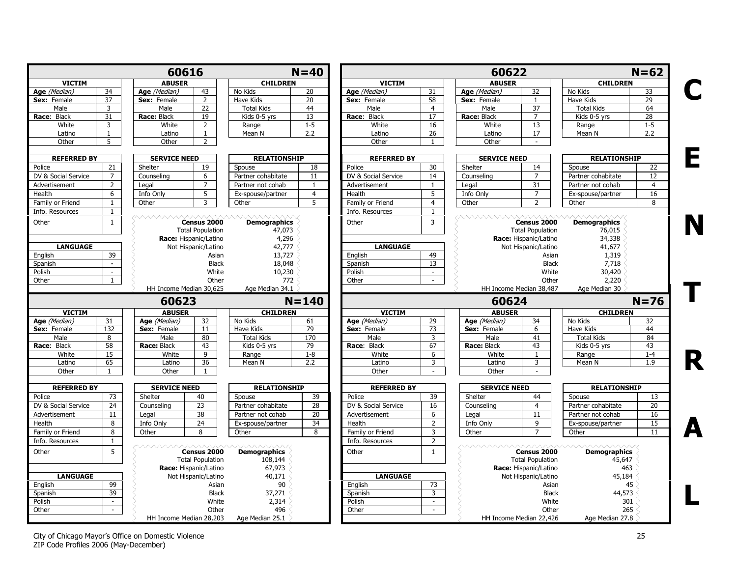|                     |                | 60616                   |                                                                 |                                        | $N=40$          |                     |                 | 60622               |                                                                 |                                         | $N=62$            |
|---------------------|----------------|-------------------------|-----------------------------------------------------------------|----------------------------------------|-----------------|---------------------|-----------------|---------------------|-----------------------------------------------------------------|-----------------------------------------|-------------------|
| <b>VICTIM</b>       |                | <b>ABUSER</b>           |                                                                 | <b>CHILDREN</b>                        |                 | <b>VICTIM</b>       |                 | <b>ABUSER</b>       |                                                                 | <b>CHILDREN</b>                         |                   |
| Age (Median)        | 34             | Age (Median)            | 43                                                              | No Kids                                | 20              | Age (Median)        | 31              | Age (Median)        | 32                                                              | No Kids                                 | 33                |
| Sex: Female         | 37             | Sex: Female             | $\overline{2}$                                                  | Have Kids                              | $\overline{20}$ | Sex: Female         | 58              | Sex: Female         | 1                                                               | Have Kids                               | 29                |
| Male                | 3              | Male                    | 22                                                              | <b>Total Kids</b>                      | 44              | Male                | $\overline{4}$  | Male                | 37                                                              | <b>Total Kids</b>                       | 64                |
| Race: Black         | 31             | Race: Black             | 19                                                              | Kids 0-5 yrs                           | 13              | Race: Black         | $\overline{17}$ | Race: Black         | $\overline{7}$                                                  | Kids 0-5 yrs                            | 28                |
| White               | 3              | White                   | $\overline{2}$                                                  | Range                                  | $1 - 5$         | White               | 16              | White               | 13                                                              | Range                                   | $1 - 5$           |
| Latino              | 1              | Latino                  | $\mathbf{1}$                                                    | Mean N                                 | 2.2             | Latino              | 26              | Latino              | 17                                                              | Mean N                                  | 2.2               |
| Other               | 5              | Other                   | $\overline{2}$                                                  |                                        |                 | Other               | $\overline{1}$  | Other               |                                                                 |                                         |                   |
| <b>REFERRED BY</b>  |                | <b>SERVICE NEED</b>     |                                                                 | <b>RELATIONSHIP</b>                    |                 | <b>REFERRED BY</b>  |                 | <b>SERVICE NEED</b> |                                                                 | <b>RELATIONSHIP</b>                     |                   |
| Police              | 21             | Shelter                 | 19                                                              | Spouse                                 | 18              | Police              | 30              | Shelter             | 14                                                              | Spouse                                  | 22                |
| DV & Social Service | $\overline{7}$ | Counseling              | 6                                                               | Partner cohabitate                     | 11              | DV & Social Service | 14              | Counselina          | $\overline{7}$                                                  | Partner cohabitate                      | $12 \overline{ }$ |
| Advertisement       | $\overline{2}$ | Legal                   | $\overline{7}$                                                  | Partner not cohab                      | $\mathbf{1}$    | Advertisement       | $\mathbf{1}$    | Legal               | 31                                                              | Partner not cohab                       | $\overline{4}$    |
| Health              | 6              | Info Only               | 5                                                               | Ex-spouse/partner                      | $\overline{4}$  | Health              | 5               | Info Only           | $\overline{7}$                                                  | Ex-spouse/partner                       | 16                |
| Family or Friend    | $\mathbf{1}$   | Other                   | $\overline{3}$                                                  | Other                                  | 5               | Family or Friend    | $\overline{4}$  | Other               | $\overline{2}$                                                  | Other                                   | 8                 |
| Info. Resources     | 1              |                         |                                                                 |                                        |                 | Info. Resources     | -1              |                     |                                                                 |                                         |                   |
| Other               | $\mathbf{1}$   |                         | Census 2000<br><b>Total Population</b><br>Race: Hispanic/Latino | <b>Demographics</b><br>47,073<br>4,296 |                 | Other               | $\overline{3}$  |                     | Census 2000<br><b>Total Population</b><br>Race: Hispanic/Latino | <b>Demographics</b><br>76,015<br>34,338 |                   |
| <b>LANGUAGE</b>     |                |                         | Not Hispanic/Latino                                             | 42,777                                 |                 | <b>LANGUAGE</b>     |                 |                     | Not Hispanic/Latino                                             | 41,677                                  |                   |
| English             | 39             |                         | Asian                                                           | 13,727                                 |                 | English             | 49              |                     | Asian                                                           | 1,319                                   |                   |
| Spanish             | $\sim$         |                         | <b>Black</b>                                                    | 18,048                                 |                 | Spanish             | $\overline{13}$ |                     | <b>Black</b>                                                    | 7,718                                   |                   |
| Polish              | $\omega$       |                         | White                                                           | 10,230                                 |                 | Polish              | $\sim$          |                     | White                                                           | 30,420                                  |                   |
| Other               | $\mathbf{1}$   |                         | Other                                                           | 772                                    |                 | Other               | $\mathcal{L}$   |                     | Other                                                           | 2,220                                   |                   |
|                     |                | HH Income Median 30,625 |                                                                 | Age Median 34.1                        |                 |                     |                 |                     | HH Income Median 38,487                                         | Age Median 30                           |                   |
|                     |                | 60623                   |                                                                 |                                        | $N = 140$       |                     |                 | 60624               |                                                                 |                                         | $N = 76$          |
| <b>VICTIM</b>       |                | <b>ABUSER</b>           |                                                                 | <b>CHILDREN</b>                        |                 | <b>VICTIM</b>       |                 | <b>ABUSER</b>       |                                                                 | <b>CHILDREN</b>                         |                   |
| Age (Median)        | 31             | Age (Median)            | 32                                                              | No Kids                                | 61              | Age (Median)        | 29              | Age (Median)        | 34                                                              | No Kids                                 | 32                |
| Sex: Female         | 132            | Sex: Female             | 11                                                              | Have Kids                              | 79              | Sex: Female         | 73              | Sex: Female         | 6                                                               | Have Kids                               | 44                |
| Male                | 8              | Male                    | 80                                                              | <b>Total Kids</b>                      | 170             | Male                | 3               | Male                | 41                                                              | <b>Total Kids</b>                       | 84                |
| Race: Black         | 58             | Race: Black             | 43                                                              | Kids 0-5 yrs                           | 79              | Race: Black         | 67              | Race: Black         | 43                                                              | Kids 0-5 yrs                            | 43                |
| White               | 15             | White                   | 9                                                               | Range                                  | $1 - 8$         | White               | 6               | White               | $\mathbf{1}$                                                    | Range                                   | $1 - 4$           |
| Latino              | 65             | Latino                  | $\overline{36}$                                                 | Mean N                                 | 2.2             | Latino              | 3               | Latino              | 3                                                               | Mean N                                  | 1.9               |
| Other               | 1              | Other                   | 1                                                               |                                        |                 | Other               | $\sim$          | Other               | $\overline{\phantom{a}}$                                        |                                         |                   |
| <b>REFERRED BY</b>  |                | <b>SERVICE NEED</b>     |                                                                 | <b>RELATIONSHIP</b>                    |                 | <b>REFERRED BY</b>  |                 | <b>SERVICE NEED</b> |                                                                 | <b>RELATIONSHIP</b>                     |                   |
| Police              | 73             | Shelter                 | 40                                                              | Spouse                                 | 39              | Police              | 39              | Shelter             | 44                                                              | Spouse                                  | 13                |
| DV & Social Service | 24             | Counseling              | 23                                                              | Partner cohabitate                     | 28              | DV & Social Service | $\overline{16}$ | Counseling          | $\overline{4}$                                                  | Partner cohabitate                      | 20                |
| Advertisement       | 11             | Legal                   | 38                                                              | Partner not cohab                      | 20              | Advertisement       | 6               | Legal               | 11                                                              | Partner not cohab                       | 16                |
| Health              | 8              | Info Only               | 24                                                              | Ex-spouse/partner                      | $\overline{34}$ | Health              | $\overline{2}$  | Info Only           | 9                                                               | Ex-spouse/partner                       | 15                |
| Family or Friend    | 8              | Other                   | 8                                                               | Other                                  | 8               | Family or Friend    | $\overline{3}$  | Other               | 7                                                               | Other                                   | 11                |
| Info. Resources     | $\mathbf{1}$   |                         |                                                                 |                                        |                 | Info. Resources     | $\overline{2}$  |                     |                                                                 |                                         |                   |
|                     | 5              |                         |                                                                 |                                        |                 |                     |                 | <b>ヘヘヘヘヘヘヘ</b>      |                                                                 |                                         |                   |
| Other               |                |                         | Census 2000                                                     | <b>Demographics</b>                    |                 | Other               | $\mathbf{1}$    |                     | Census 2000                                                     | <b>Demographics</b>                     |                   |
|                     |                |                         | <b>Total Population</b>                                         | 108,144                                |                 |                     |                 |                     | <b>Total Population</b>                                         | 45,647                                  |                   |
|                     |                |                         | Race: Hispanic/Latino                                           | 67,973                                 |                 |                     |                 |                     | Race: Hispanic/Latino                                           | 463                                     |                   |
| <b>LANGUAGE</b>     |                |                         | Not Hispanic/Latino                                             | 40,171                                 |                 | <b>LANGUAGE</b>     |                 |                     | Not Hispanic/Latino                                             | 45,184                                  |                   |
| English             | 99             |                         | Asian                                                           | 90                                     |                 | English             | $\overline{73}$ |                     | Asian                                                           | 45                                      |                   |
| Spanish             | 39             |                         | <b>Black</b>                                                    | 37,271                                 |                 | Spanish             | 3               |                     | <b>Black</b>                                                    | 44,573                                  |                   |
| Polish              | $\sim$         |                         | White                                                           | 2,314                                  |                 | Polish              | $\sim$          |                     | White                                                           | 301                                     |                   |
| Other               | $\sim$         |                         | Other                                                           | 496                                    |                 | Other               | $\sim$          |                     | Other                                                           | 265                                     |                   |
|                     |                | HH Income Median 28,203 |                                                                 | Age Median 25.1                        |                 |                     |                 |                     | HH Income Median 22,426                                         | Age Median 27.8                         |                   |

City of Chicago Mayor's Office on Domestic Violence 25 ZIP Code Profiles 2006 (May-December)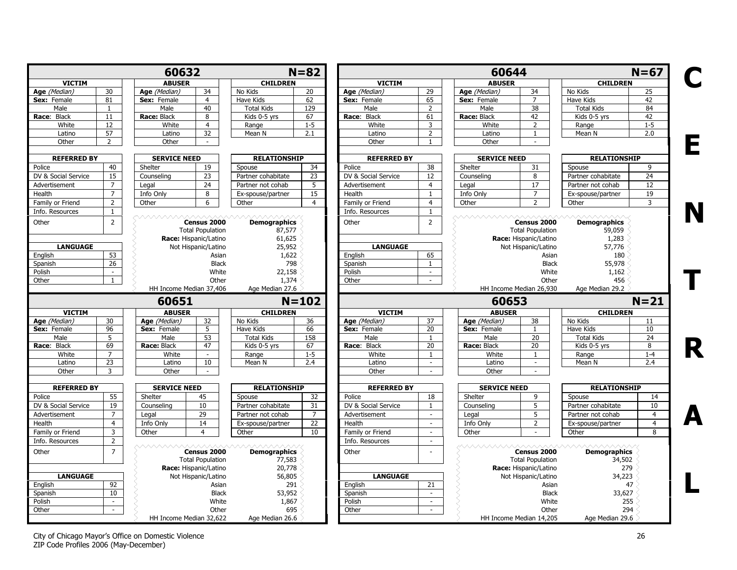|                                                                                                                                                   |                             | 60632                   |                         |                     | $N = 82$        |                     |                 | 60644               |                         |                     | $N=67$          |
|---------------------------------------------------------------------------------------------------------------------------------------------------|-----------------------------|-------------------------|-------------------------|---------------------|-----------------|---------------------|-----------------|---------------------|-------------------------|---------------------|-----------------|
| <b>VICTIM</b>                                                                                                                                     |                             | <b>ABUSER</b>           |                         | <b>CHILDREN</b>     |                 | <b>VICTIM</b>       |                 | <b>ABUSER</b>       |                         | <b>CHILDREN</b>     |                 |
| Age (Median)                                                                                                                                      | 30                          | Age (Median)            | 34                      | No Kids             | 20              | Age (Median)        | 29              | Age (Median)        | 34                      | No Kids             | 25              |
| Sex: Female                                                                                                                                       | 81                          | Sex: Female             | $\overline{4}$          | <b>Have Kids</b>    | 62              | Sex: Female         | 65              | Sex: Female         | $\overline{7}$          | Have Kids           | $\overline{42}$ |
| Male                                                                                                                                              | 1                           | Male                    | 40                      | <b>Total Kids</b>   | 129             | Male                | $\overline{2}$  | Male                | 38                      | <b>Total Kids</b>   | 84              |
| Race: Black                                                                                                                                       | 11                          | Race: Black             | 8                       | Kids 0-5 yrs        | 67              | Race: Black         | 61              | Race: Black         | 42                      | Kids 0-5 yrs        | 42              |
| White                                                                                                                                             | 12                          | White                   | $\overline{4}$          | Range               | $1 - 5$         | White               | 3               | White               | 2                       | Range               | $1 - 5$         |
| Latino                                                                                                                                            | 57                          | Latino                  | 32                      | Mean N              | 2.1             | Latino              | $\overline{2}$  | Latino              | $\mathbf{1}$            | Mean N              | 2.0             |
| Other                                                                                                                                             | $\overline{2}$              | Other                   | $\sim$                  |                     |                 | Other               | $\mathbf{1}$    | Other               |                         |                     |                 |
|                                                                                                                                                   |                             |                         |                         |                     |                 |                     |                 |                     |                         |                     |                 |
| <b>REFERRED BY</b>                                                                                                                                |                             | <b>SERVICE NEED</b>     |                         | <b>RELATIONSHIP</b> |                 | <b>REFERRED BY</b>  |                 | <b>SERVICE NEED</b> |                         | <b>RELATIONSHIP</b> |                 |
| Police                                                                                                                                            | 40                          | Shelter                 | 19                      | Spouse              | 34              | Police              | 38              | Shelter             | 31                      | Spouse              | 9               |
| DV & Social Service                                                                                                                               | 15                          | Counseling              | 23                      | Partner cohabitate  | 23              | DV & Social Service | 12              | Counseling          | 8                       | Partner cohabitate  | 24              |
| Advertisement                                                                                                                                     | $\overline{7}$              | Legal                   | 24                      | Partner not cohab   | 5               | Advertisement       | $\overline{4}$  | Legal               | 17                      | Partner not cohab   | 12              |
| Health                                                                                                                                            | $\overline{7}$              | Info Only               | 8                       | Ex-spouse/partner   | 15              | Health              | $\mathbf{1}$    | Info Only           | $\overline{7}$          | Ex-spouse/partner   | 19              |
| Family or Friend                                                                                                                                  | $\overline{2}$              | Other                   | 6                       | Other               | $\overline{4}$  | Family or Friend    | $\overline{4}$  | Other               | $\overline{2}$          | Other               | 3               |
| Info. Resources                                                                                                                                   | $\mathbf{1}$                |                         |                         |                     |                 | Info. Resources     | $\mathbf{1}$    |                     |                         |                     |                 |
| Other                                                                                                                                             | $\overline{2}$              | wwwww                   | Census 2000             | <b>Demographics</b> |                 | Other               | $\overline{2}$  | wwwwww              | Census 2000             | <b>Demographics</b> |                 |
|                                                                                                                                                   |                             |                         | <b>Total Population</b> | 87,577              |                 |                     |                 |                     | <b>Total Population</b> | 59,059              |                 |
|                                                                                                                                                   |                             |                         | Race: Hispanic/Latino   | 61,625              |                 |                     |                 |                     | Race: Hispanic/Latino   | 1,283               |                 |
| <b>LANGUAGE</b>                                                                                                                                   |                             |                         | Not Hispanic/Latino     | 25,952              |                 | <b>LANGUAGE</b>     |                 |                     | Not Hispanic/Latino     | 57,776              |                 |
| English                                                                                                                                           | 53                          |                         | Asian                   | 1,622               |                 | English             | 65              |                     | Asian                   | 180                 |                 |
| Spanish                                                                                                                                           | 26                          |                         | <b>Black</b>            | 798                 |                 | Spanish             | $\mathbf{1}$    |                     | <b>Black</b>            | 55,978              |                 |
| Polish                                                                                                                                            | $\sim$                      |                         | White                   | 22,158              |                 | Polish              | $\omega$        |                     | White                   | 1,162               |                 |
| Other                                                                                                                                             | $\mathbf{1}$                |                         | Other                   | 1,374               |                 | Other               | $\sim$          |                     | Other                   | 456                 |                 |
|                                                                                                                                                   |                             |                         |                         |                     |                 |                     |                 |                     |                         |                     |                 |
|                                                                                                                                                   |                             | HH Income Median 37,406 |                         | Age Median 27.6     |                 |                     |                 |                     | HH Income Median 26,930 | Age Median 29.2     |                 |
|                                                                                                                                                   |                             | 60651                   |                         |                     | $N = 102$       |                     |                 | 60653               |                         |                     | $N = 21$        |
| <b>VICTIM</b>                                                                                                                                     |                             | <b>ABUSER</b>           |                         | <b>CHILDREN</b>     |                 | <b>VICTIM</b>       |                 | <b>ABUSER</b>       |                         | <b>CHILDREN</b>     |                 |
| Age (Median)                                                                                                                                      | 30                          | Age (Median)            | 32                      | No Kids             | 36              | Age (Median)        | 37              | Age (Median)        | 38                      | No Kids             | 11              |
| Sex: Female                                                                                                                                       | 96                          | Sex: Female             | 5                       | Have Kids           | 66              | Sex: Female         | 20              | Sex: Female         | $\mathbf{1}$            | Have Kids           | 10              |
| Male                                                                                                                                              | 5                           | Male                    | 53                      | <b>Total Kids</b>   | 158             | Male                | 1               | Male                | 20                      | <b>Total Kids</b>   | 24              |
| Race: Black                                                                                                                                       | 69                          | Race: Black             | 47                      | Kids 0-5 yrs        | 67              | Race: Black         | 20              | Race: Black         | 20                      | Kids 0-5 yrs        | 8               |
| White                                                                                                                                             | $\overline{7}$              | White                   | $\sim$                  | Range               | $1 - 5$         | White               | $\mathbf{1}$    | White               | $\mathbf{1}$            | Range               | $1 - 4$         |
| Latino                                                                                                                                            | $\overline{23}$             | Latino                  | 10                      | Mean N              | 2.4             | Latino              | $\sim$          | Latino              | $\sim$                  | Mean N              | 2.4             |
| Other                                                                                                                                             | 3                           | Other                   | $\sim$                  |                     |                 | Other               | $\sim$          | Other               | $\sim$                  |                     |                 |
|                                                                                                                                                   |                             | <b>SERVICE NEED</b>     |                         | <b>RELATIONSHIP</b> |                 | <b>REFERRED BY</b>  |                 | <b>SERVICE NEED</b> |                         | <b>RELATIONSHIP</b> |                 |
| <b>REFERRED BY</b>                                                                                                                                |                             |                         |                         |                     |                 |                     |                 | Shelter             | 9                       | Spouse              | 14              |
|                                                                                                                                                   | 55                          | Shelter                 | 45                      | Spouse              | 32              | Police              | 18              |                     |                         |                     |                 |
|                                                                                                                                                   | 19                          | Counseling              | 10                      | Partner cohabitate  | 31              | DV & Social Service | 1               | Counseling          | 5                       | Partner cohabitate  | 10              |
|                                                                                                                                                   |                             |                         |                         |                     |                 |                     | $\sim$          |                     |                         |                     |                 |
|                                                                                                                                                   | $\overline{7}$              | Legal                   | 29                      | Partner not cohab   | $\overline{7}$  | Advertisement       | $\omega$        | Legal               | 5                       | Partner not cohab   | $\overline{4}$  |
|                                                                                                                                                   | $\overline{4}$              | Info Only               | 14<br>4                 | Ex-spouse/partner   | $\overline{22}$ | Health              | $\overline{a}$  | Info Only           | $\overline{2}$          | Ex-spouse/partner   | $\overline{4}$  |
|                                                                                                                                                   | $\overline{3}$              | Other                   |                         | Other               | 10              | Family or Friend    |                 | Other               |                         | Other               | $\mathbf{8}$    |
|                                                                                                                                                   | $\overline{2}$              |                         |                         |                     |                 | Info. Resources     | $\omega$        | <b>WWW.WW</b>       |                         |                     |                 |
|                                                                                                                                                   | $\overline{7}$              |                         | Census 2000             | <b>Demographics</b> |                 | Other               |                 |                     | Census 2000             | <b>Demographics</b> |                 |
|                                                                                                                                                   |                             |                         | <b>Total Population</b> | 77,583              |                 |                     |                 |                     | <b>Total Population</b> | 34,502              |                 |
|                                                                                                                                                   |                             |                         | Race: Hispanic/Latino   | 20,778              |                 |                     |                 |                     | Race: Hispanic/Latino   | 279                 |                 |
| <b>LANGUAGE</b>                                                                                                                                   |                             |                         | Not Hispanic/Latino     | 56,805              |                 | <b>LANGUAGE</b>     |                 |                     | Not Hispanic/Latino     | 34,223              |                 |
|                                                                                                                                                   | $\overline{92}$             |                         | Asian                   | 291                 |                 | English             | $\overline{21}$ |                     | Asian                   | 47                  |                 |
|                                                                                                                                                   | 10 <sup>°</sup>             |                         | <b>Black</b>            | 53,952              |                 | Spanish             | $\sim$          |                     | <b>Black</b>            | 33,627              |                 |
|                                                                                                                                                   | $\mathcal{L}_{\mathcal{A}}$ |                         | White                   | 1,867               |                 | Polish              | $\sim$          |                     | White                   | 255                 |                 |
| Police<br>DV & Social Service<br>Advertisement<br>Health<br>Family or Friend<br>Info. Resources<br>Other<br>English<br>Spanish<br>Polish<br>Other | $\sim$                      |                         | Other                   | 695                 |                 | Other               | $\sim$          |                     | Other                   | 294                 |                 |

City of Chicago Mayor's Office on Domestic Violence 26 ZIP Code Profiles 2006 (May-December)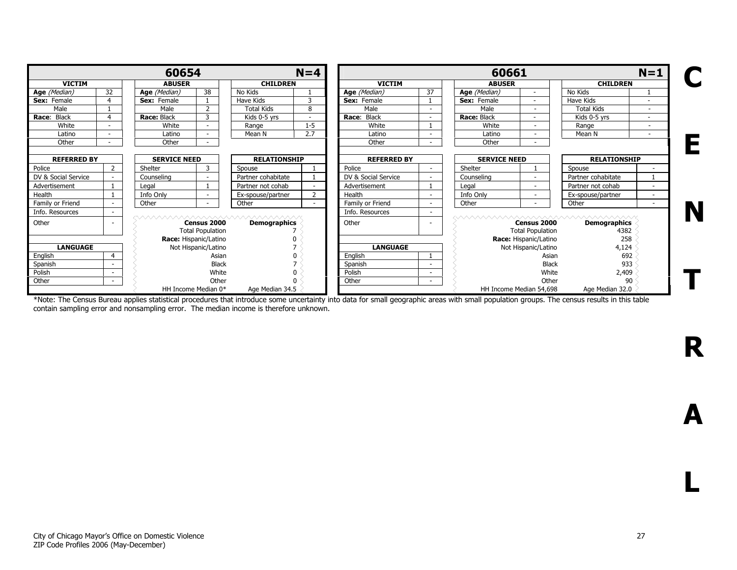|                     |                                           | 60654         |                                        |                                                | $N=4$          |                     |        | 60661               |                                        |                                                                   | $N=1$                    |
|---------------------|-------------------------------------------|---------------|----------------------------------------|------------------------------------------------|----------------|---------------------|--------|---------------------|----------------------------------------|-------------------------------------------------------------------|--------------------------|
| <b>VICTIM</b>       |                                           | <b>ABUSER</b> |                                        | <b>CHILDREN</b>                                |                | <b>VICTIM</b>       |        | <b>ABUSER</b>       |                                        | <b>CHILDREN</b>                                                   |                          |
| Age (Median)        | 32                                        | Age (Median)  | $\overline{38}$                        | No Kids                                        |                | Age (Median)        | 37     | Age (Median)        |                                        | No Kids                                                           |                          |
| Sex: Female         | $\overline{4}$                            | Sex: Female   |                                        | Have Kids                                      | 3              | Sex: Female         |        | Sex: Female         | $\sim$                                 | Have Kids                                                         |                          |
| Male                |                                           | Male          | 2                                      | <b>Total Kids</b>                              | 8              | Male                |        | Male                | $\overline{\phantom{a}}$               | <b>Total Kids</b>                                                 | $\overline{\phantom{a}}$ |
| Race: Black         | 4                                         | Race: Black   | 3                                      | Kids 0-5 yrs                                   |                | Black<br>Race:      |        | Race: Black         | $\overline{\phantom{a}}$               | Kids 0-5 yrs                                                      | $\sim$                   |
| White               |                                           | White         |                                        | Range                                          | $1 - 5$        | White               |        | White               | ٠                                      | Range                                                             |                          |
| Latino              |                                           | Latino        |                                        | Mean N                                         | 2.7            | Latino              |        | Latino              | ۰                                      | Mean N                                                            |                          |
| Other               |                                           | Other         |                                        |                                                |                | Other               |        | Other               | $\overline{\phantom{a}}$               |                                                                   |                          |
|                     | <b>SERVICE NEED</b><br><b>REFERRED BY</b> |               |                                        | <b>RELATIONSHIP</b>                            |                | <b>REFERRED BY</b>  |        | <b>SERVICE NEED</b> |                                        | <b>RELATIONSHIP</b>                                               |                          |
| Police              |                                           | Shelter       | 3                                      | Spouse                                         |                | Police              | $\sim$ | Shelter             |                                        | Spouse                                                            |                          |
| DV & Social Service |                                           | Counseling    | ۰.                                     | Partner cohabitate                             |                | DV & Social Service |        | Counseling          | ۰                                      | Partner cohabitate                                                |                          |
| Advertisement       |                                           | Legal         |                                        | Partner not cohab                              |                | Advertisement       |        | Legal               | $\overline{\phantom{a}}$               | Partner not cohab                                                 | $\sim$                   |
| Health              |                                           | Info Only     |                                        | Ex-spouse/partner                              | $\overline{2}$ | Health              |        | Info Only           | $\overline{\phantom{a}}$               | Ex-spouse/partner                                                 | $\overline{\phantom{a}}$ |
| Family or Friend    |                                           | Other         | $\sim$                                 | Other                                          |                | Family or Friend    |        | Other               | ٠                                      | Other                                                             | $\overline{\phantom{a}}$ |
| Info. Resources     |                                           |               |                                        |                                                |                | Info. Resources     |        |                     |                                        |                                                                   |                          |
| Other               |                                           |               | Census 2000<br><b>Total Population</b> | <u>MMMMMMMMMMMMMMMM</u><br><b>Demographics</b> |                | Other               |        |                     | Census 2000<br><b>Total Population</b> | <u>WWW.WWW.WWW.WWW.WWW.WWW.WWW</u><br><b>Demographics</b><br>4382 |                          |
|                     |                                           |               | Race: Hispanic/Latino                  |                                                |                |                     |        |                     | Race: Hispanic/Latino                  | 258                                                               |                          |
| <b>LANGUAGE</b>     |                                           |               | Not Hispanic/Latino                    |                                                |                | <b>LANGUAGE</b>     |        |                     | Not Hispanic/Latino                    | 4,124                                                             |                          |
| English             | $\overline{4}$                            |               | Asian                                  |                                                |                | English             |        |                     | Asian                                  | 692                                                               |                          |
| Spanish             |                                           |               | <b>Black</b>                           |                                                |                | Spanish             |        |                     | <b>Black</b>                           | 933                                                               |                          |
| Polish              |                                           |               | White                                  |                                                |                | Polish              |        |                     | White                                  | 2,409                                                             |                          |
| Other               |                                           |               | Other                                  |                                                |                | Other               |        |                     | Other                                  | 90                                                                |                          |
|                     |                                           |               | HH Income Median 0*                    | Age Median 34.5                                |                |                     |        |                     | HH Income Median 54,698                | Age Median 32.0                                                   |                          |

\*Note: The Census Bureau applies statistical procedures that introduce some uncertainty into data for small geographic areas with small population groups. The census results in this table contain sampling error and nonsampling error. The median income is therefore unknown.

N

R

A

L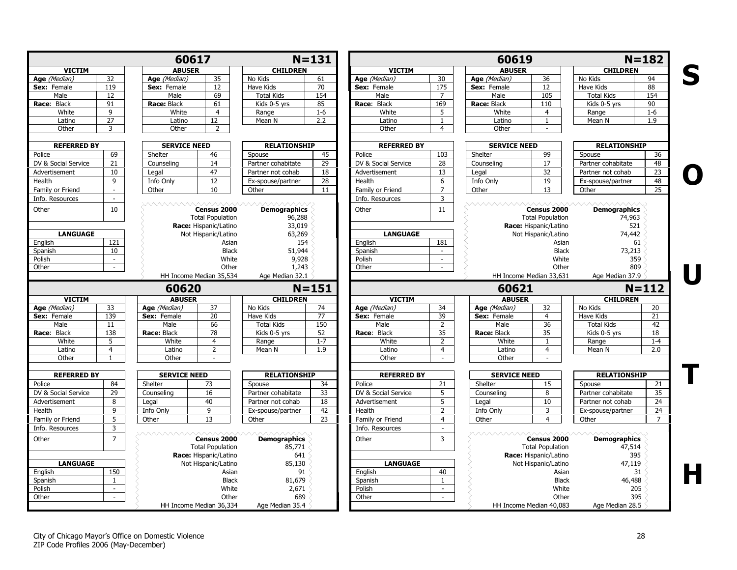<span id="page-27-0"></span>

|                                                                                      |                     | 60617               |                                                                 |                                         | $N = 131$       |                          |                    | 60619               |                                                                 | $N = 182$                            |                                               |
|--------------------------------------------------------------------------------------|---------------------|---------------------|-----------------------------------------------------------------|-----------------------------------------|-----------------|--------------------------|--------------------|---------------------|-----------------------------------------------------------------|--------------------------------------|-----------------------------------------------|
| <b>VICTIM</b>                                                                        |                     | <b>ABUSER</b>       |                                                                 | <b>CHILDREN</b>                         |                 | <b>VICTIM</b>            |                    | <b>ABUSER</b>       |                                                                 | <b>CHILDREN</b>                      |                                               |
| Age (Median)                                                                         | 32                  | Age (Median)        | 35                                                              | No Kids                                 | 61              | Age (Median)             | 30                 | Age (Median)        | 36                                                              | No Kids                              | 94                                            |
| Sex: Female                                                                          | 119                 | Sex: Female         | 12                                                              | Have Kids                               | 70              | Sex: Female              | 175                | Sex: Female         | 12                                                              | Have Kids                            | 88                                            |
| Male                                                                                 | 12                  | Male                | 69                                                              | <b>Total Kids</b>                       | 154             | Male                     | $\overline{7}$     | Male                | 105                                                             | <b>Total Kids</b>                    | 154                                           |
| Race: Black                                                                          | 91                  | Race: Black         | 61                                                              | Kids 0-5 yrs                            | 85              | Race: Black              | 169                | Race: Black         | 110                                                             | Kids 0-5 yrs                         | 90                                            |
| White                                                                                | 9                   | White               | $\overline{4}$                                                  | Range                                   | $1-6$           | White                    | 5                  | White               | $\overline{4}$                                                  | Range                                | $1-6$                                         |
| Latino                                                                               | 27                  | Latino              | 12                                                              | Mean N                                  | 2.2             | Latino                   | $\mathbf{1}$       | Latino              | $\mathbf{1}$                                                    | Mean N                               | 1.9                                           |
| Other                                                                                | 3                   | Other               | $\overline{2}$                                                  |                                         |                 | Other                    | $\overline{4}$     | Other               | $\sim$                                                          |                                      |                                               |
| <b>REFERRED BY</b>                                                                   |                     | <b>SERVICE NEED</b> |                                                                 | <b>RELATIONSHIP</b>                     |                 | <b>REFERRED BY</b>       |                    | <b>SERVICE NEED</b> |                                                                 | <b>RELATIONSHIP</b>                  |                                               |
| Police                                                                               | 69                  | Shelter             | 46                                                              | Spouse                                  | 45              | Police                   | 103                | Shelter             | 99                                                              | Spouse                               | 36                                            |
| DV & Social Service                                                                  | 21                  | Counseling          | 14                                                              | Partner cohabitate                      | $\overline{29}$ | DV & Social Service      | 28                 | Counseling          | 17                                                              | Partner cohabitate                   | 48                                            |
| Advertisement                                                                        | 10 <sub>1</sub>     | Legal               | 47                                                              | Partner not cohab                       | 18              | Advertisement            | 13                 | Legal               | 32                                                              | Partner not cohab                    | 23                                            |
| Health                                                                               | $\overline{9}$      | Info Only           | 12                                                              | Ex-spouse/partner                       | 28              | Health                   | 6                  | Info Only           | 19                                                              | Ex-spouse/partner                    | 48                                            |
| Family or Friend                                                                     | $\sim$              | Other               | 10                                                              | Other                                   | 11              | Family or Friend         | $\overline{7}$     | Other               | 13                                                              | Other                                | 25                                            |
| Info. Resources                                                                      | $\sim$              |                     |                                                                 |                                         |                 | Info. Resources          | $\overline{3}$     |                     |                                                                 |                                      |                                               |
| Other                                                                                | 10                  |                     | Census 2000<br><b>Total Population</b><br>Race: Hispanic/Latino | <b>Demographics</b><br>96,288<br>33,019 |                 | Other                    | 11                 | <b>AAAAAAAAA</b> A  | Census 2000<br><b>Total Population</b><br>Race: Hispanic/Latino | <b>Demographics</b><br>74,963<br>521 |                                               |
| <b>LANGUAGE</b>                                                                      |                     |                     | Not Hispanic/Latino                                             | 63,269                                  |                 | <b>LANGUAGE</b>          |                    |                     | Not Hispanic/Latino                                             | 74,442                               |                                               |
| English                                                                              | 121                 |                     | Asian                                                           | 154                                     |                 | English                  | 181                |                     | Asian                                                           | 61                                   |                                               |
| Spanish                                                                              | 10                  |                     | <b>Black</b>                                                    | 51,944                                  |                 | Spanish                  | $\sim$             |                     | <b>Black</b>                                                    | 73,213                               |                                               |
| Polish                                                                               | $\sim$              |                     | White                                                           | 9,928                                   |                 | Polish                   | $\sim$             |                     | White                                                           | 359                                  |                                               |
| Other                                                                                | $\sim$              |                     | Other                                                           | 1,243                                   |                 | Other                    | $\sim$             |                     | Other                                                           | 809                                  |                                               |
|                                                                                      |                     |                     | HH Income Median 35,534                                         | Age Median 32.1                         |                 |                          |                    |                     | HH Income Median 33,631                                         | Age Median 37.9                      |                                               |
|                                                                                      |                     | 60620               |                                                                 |                                         | $N = 151$       |                          |                    | 60621               |                                                                 | $N = 112$                            |                                               |
| <b>VICTIM</b>                                                                        |                     | <b>ABUSER</b>       |                                                                 | <b>CHILDREN</b>                         |                 | <b>VICTIM</b>            |                    | <b>ABUSER</b>       |                                                                 | <b>CHILDREN</b>                      |                                               |
| Age (Median)                                                                         | 33                  | Age (Median)        | 37                                                              | No Kids                                 | 74              | Age (Median)             | 34                 | Age (Median)        | 32                                                              | No Kids                              | 20                                            |
| Sex: Female                                                                          | 139                 | Sex: Female         | 20                                                              | Have Kids                               | 77              | Sex: Female              | 39                 | Sex: Female         | $\overline{4}$                                                  | Have Kids                            | 21                                            |
| Male                                                                                 | 11                  | Male                | 66                                                              | <b>Total Kids</b>                       | 150             | Male                     | $\overline{2}$     | Male                | 36                                                              | <b>Total Kids</b>                    | 42                                            |
| Race: Black                                                                          | 138                 | Race: Black         | 78                                                              | Kids 0-5 yrs                            | 52              | Race: Black              | 35                 | Race: Black         | 35                                                              | Kids 0-5 yrs                         | $\overline{18}$                               |
| White                                                                                | 5                   | White               | $\overline{4}$                                                  | Range                                   | $1 - 7$         | White                    | 2                  | White               | $\mathbf{1}$                                                    | Range                                | $1 - 4$                                       |
| Latino                                                                               | $\overline{4}$      | Latino              | $\overline{2}$                                                  | Mean N                                  | 1.9             | Latino                   | $\overline{4}$     | Latino              | $\overline{4}$                                                  | Mean N                               | 2.0                                           |
| Other                                                                                | $\mathbf{1}$        | Other               | $\sim$                                                          |                                         |                 | Other                    | $\sim$             | Other               | ÷                                                               |                                      |                                               |
| <b>REFERRED BY</b>                                                                   |                     | <b>SERVICE NEED</b> |                                                                 | <b>RELATIONSHIP</b>                     |                 | <b>REFERRED BY</b>       |                    | <b>SERVICE NEED</b> |                                                                 | <b>RELATIONSHIP</b>                  |                                               |
| Police                                                                               |                     |                     |                                                                 |                                         |                 |                          |                    | Shelter             | 15                                                              | Spouse                               | 21                                            |
|                                                                                      | 84                  | Shelter             | 73                                                              | Spouse                                  | 34              | Police                   | 21                 |                     |                                                                 |                                      |                                               |
|                                                                                      | 29                  | Counseling          | 16                                                              | Partner cohabitate                      | 33              | DV & Social Service      | 5                  | Counseling          | 8                                                               | Partner cohabitate                   |                                               |
|                                                                                      | 8                   | Legal               | 40                                                              | Partner not cohab                       | 18              | Advertisement            | 5                  | Legal               | 10                                                              | Partner not cohab                    |                                               |
|                                                                                      | 9                   | Info Only           | 9                                                               | Ex-spouse/partner                       | 42              | Health                   | $\overline{2}$     | Info Only           | 3                                                               | Ex-spouse/partner                    |                                               |
|                                                                                      | 5                   |                     | 13                                                              | Other                                   | 23              | Family or Friend         | $\overline{4}$     | Other               | $\overline{4}$                                                  | Other                                |                                               |
|                                                                                      |                     | Other               |                                                                 |                                         |                 |                          | $\sim$             |                     |                                                                 |                                      |                                               |
|                                                                                      | 3<br>$\overline{7}$ |                     | Census 2000<br><b>Total Population</b><br>Race: Hispanic/Latino | <b>Demographics</b><br>85,771<br>641    |                 | Info. Resources<br>Other | $\overline{3}$     | wwwwww              | Census 2000<br><b>Total Population</b><br>Race: Hispanic/Latino | <b>Demographics</b><br>47,514<br>395 |                                               |
| DV & Social Service<br>Advertisement<br>Family or Friend<br>Info. Resources<br>Other |                     |                     |                                                                 |                                         |                 |                          |                    |                     |                                                                 |                                      |                                               |
| <b>LANGUAGE</b>                                                                      |                     |                     | Not Hispanic/Latino                                             | 85,130                                  |                 | <b>LANGUAGE</b>          |                    |                     | Not Hispanic/Latino                                             | 47,119                               |                                               |
| English                                                                              | 150                 |                     | Asian                                                           | 91                                      |                 | English                  | 40<br>$\mathbf{1}$ |                     | Asian                                                           | 31                                   |                                               |
| Health<br>Spanish                                                                    | $\mathbf{1}$        |                     | <b>Black</b>                                                    | 81,679                                  |                 | Spanish                  |                    |                     | <b>Black</b>                                                    | 46,488                               |                                               |
| Polish<br>Other                                                                      | $\sim$<br>$\sim$    |                     | White<br>Other                                                  | 2,671<br>689                            |                 | Polish<br>Other          | $\sim$<br>$\sim$   |                     | White<br>Other                                                  | 205<br>395                           | $\overline{35}$<br>24<br>24<br>$\overline{7}$ |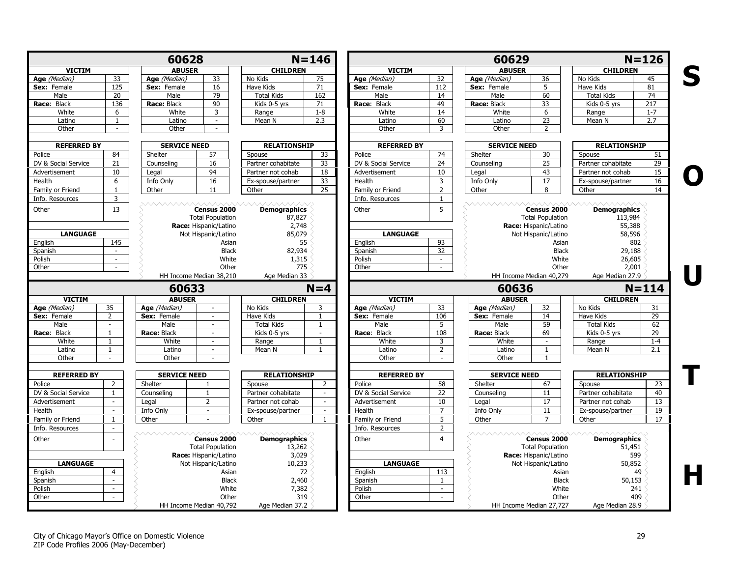|                     |                | 60628               |                                                  |                     | $N = 146$                |                     |                             | 60629               |                                                  |                     | $N = 126$       |
|---------------------|----------------|---------------------|--------------------------------------------------|---------------------|--------------------------|---------------------|-----------------------------|---------------------|--------------------------------------------------|---------------------|-----------------|
| <b>VICTIM</b>       |                | <b>ABUSER</b>       |                                                  | <b>CHILDREN</b>     |                          | <b>VICTIM</b>       |                             | <b>ABUSER</b>       |                                                  | <b>CHILDREN</b>     |                 |
| Age (Median)        | 33             | Age (Median)        | 33                                               | No Kids             | 75                       | Age (Median)        | 32                          | Age (Median)        | 36                                               | No Kids             | 45              |
| Sex: Female         | 125            | Sex: Female         | 16                                               | Have Kids           | 71                       | Sex: Female         | 112                         | Sex: Female         | 5                                                | Have Kids           | 81              |
| Male                | 20             | Male                | 79                                               | <b>Total Kids</b>   | 162                      | Male                | 14                          | Male                | 60                                               | <b>Total Kids</b>   | 74              |
| Race: Black         | 136            | Race: Black         | 90                                               | Kids 0-5 yrs        | 71                       | Race: Black         | 49                          | Race: Black         | 33                                               | Kids 0-5 yrs        | 217             |
| White               | 6              | White               | 3                                                | Range               | $1 - 8$                  | White               | 14                          | White               | 6                                                | Range               | $1 - 7$         |
| Latino              | $\mathbf{1}$   | Latino              | $\sim$                                           | Mean N              | 2.3                      | Latino              | 60                          | Latino              | $\overline{23}$                                  | Mean N              | 2.7             |
| Other               | $\omega$       | Other               | $\sim$                                           |                     |                          | Other               | 3                           | Other               | $\overline{2}$                                   |                     |                 |
| <b>REFERRED BY</b>  |                | <b>SERVICE NEED</b> |                                                  | <b>RELATIONSHIP</b> |                          | <b>REFERRED BY</b>  |                             | <b>SERVICE NEED</b> |                                                  | <b>RELATIONSHIP</b> |                 |
| Police              | 84             | Shelter             | 57                                               | Spouse              | 33                       | Police              | 74                          | Shelter             | 30                                               | Spouse              | 51              |
| DV & Social Service | 21             | Counseling          | 16                                               | Partner cohabitate  | 33                       | DV & Social Service | 24                          | Counseling          | 25                                               | Partner cohabitate  | $\overline{29}$ |
| Advertisement       | 10             | Legal               | 94                                               | Partner not cohab   | 18                       | Advertisement       | 10                          | Legal               | 43                                               | Partner not cohab   | 15              |
| Health              | 6              | Info Only           | 16                                               | Ex-spouse/partner   | 33                       | Health              | 3                           | Info Only           | 17                                               | Ex-spouse/partner   | 16              |
| Family or Friend    | $\mathbf{1}$   | Other               | 11                                               |                     | $\overline{25}$          | Family or Friend    | $\overline{2}$              | Other               | 8                                                | Other               | 14              |
| Info. Resources     | 3              |                     |                                                  | Other               |                          | Info. Resources     | 1                           |                     |                                                  |                     |                 |
|                     | 13             |                     | Census 2000                                      |                     |                          | Other               | 5                           |                     | Census 2000                                      |                     |                 |
| Other               |                |                     |                                                  | <b>Demographics</b> |                          |                     |                             |                     |                                                  | <b>Demographics</b> |                 |
|                     |                |                     | <b>Total Population</b><br>Race: Hispanic/Latino | 87,827<br>2,748     |                          |                     |                             |                     | <b>Total Population</b><br>Race: Hispanic/Latino | 113,984<br>55,388   |                 |
| <b>LANGUAGE</b>     |                |                     | Not Hispanic/Latino                              | 85,079              |                          | <b>LANGUAGE</b>     |                             |                     | Not Hispanic/Latino                              | 58,596              |                 |
| English             | 145            |                     | Asian                                            | 55                  |                          | English             | 93                          |                     | Asian                                            | 802                 |                 |
| Spanish             | $\sim$         |                     | <b>Black</b>                                     | 82,934              |                          | Spanish             | 32                          |                     | <b>Black</b>                                     | 29,188              |                 |
| Polish              | $\sim$         |                     | White                                            | 1,315               |                          | Polish              | $\sim$                      |                     | White                                            | 26,605              |                 |
| Other               | $\sim$         |                     | Other                                            | 775                 |                          | Other               | $\mathcal{L}_{\mathcal{A}}$ |                     | Other                                            | 2,001               |                 |
|                     |                |                     | HH Income Median 38,210                          | Age Median 33       |                          |                     |                             |                     | HH Income Median 40,279                          | Age Median 27.9     |                 |
|                     |                | 60633               |                                                  |                     | $N=4$                    |                     |                             | 60636               |                                                  |                     | $N = 114$       |
| <b>VICTIM</b>       |                | <b>ABUSER</b>       |                                                  | <b>CHILDREN</b>     |                          | <b>VICTIM</b>       |                             | <b>ABUSER</b>       |                                                  | <b>CHILDREN</b>     |                 |
| Age (Median)        | 35             | Age (Median)        |                                                  | No Kids             | 3                        | Age (Median)        | 33                          | Age (Median)        | 32                                               | No Kids             | 31              |
| Sex: Female         | $\overline{2}$ | Sex: Female         |                                                  | Have Kids           | $\overline{1}$           | Sex: Female         | 106                         | Sex: Female         | 14                                               | Have Kids           | 29              |
| Male                | $\sim$         | Male                | $\sim$                                           | <b>Total Kids</b>   | $\overline{1}$           | Male                | 5                           | Male                | 59                                               | <b>Total Kids</b>   | 62              |
| Race: Black         | $\mathbf{1}$   | Race: Black         | $\sim$                                           | Kids 0-5 yrs        | $\overline{\phantom{a}}$ | Race: Black         | 108                         | Race: Black         | 69                                               | Kids 0-5 yrs        | 29              |
| White               | $\mathbf{1}$   | White               |                                                  | Range               | $\mathbf{1}$             | White               | 3                           | White               | $\sim$                                           | Range               | $1 - 4$         |
| Latino              | -1             | Latino              | $\sim$                                           | Mean N              | $\overline{1}$           | Latino              | $\overline{2}$              | Latino              | $\mathbf{1}$                                     | Mean N              | 2.1             |
| Other               | $\sim$         | Other               | $\sim$                                           |                     |                          | Other               | $\sim$                      | Other               | $\mathbf{1}$                                     |                     |                 |
| <b>REFERRED BY</b>  |                | <b>SERVICE NEED</b> |                                                  | <b>RELATIONSHIP</b> |                          | <b>REFERRED BY</b>  |                             | <b>SERVICE NEED</b> |                                                  | <b>RELATIONSHIP</b> |                 |
| Police              | 2              | Shelter             | $\mathbf{1}$                                     | Spouse              | 2                        | Police              | 58                          | Shelter             | 67                                               | Spouse              | 23              |
| DV & Social Service | $\mathbf{1}$   | Counseling          | $\mathbf{1}$                                     | Partner cohabitate  | $\sim$                   | DV & Social Service | 22                          | Counseling          | 11                                               | Partner cohabitate  | 40              |
| Advertisement       | $\sim$         | Legal               | 2                                                | Partner not cohab   | $\sim$                   | Advertisement       | 10                          | Legal               | 17                                               | Partner not cohab   | 13              |
| Health              | $\sim$         | Info Only           | $\sim$                                           | Ex-spouse/partner   | $\sim$                   | Health              | $\overline{7}$              | Info Only           | 11                                               | Ex-spouse/partner   | 19              |
| Family or Friend    | $\mathbf{1}$   | Other               |                                                  | Other               | $\overline{1}$           | Family or Friend    | 5                           | Other               | $\overline{7}$                                   | Other               | 17              |
| Info. Resources     | $\sim$         |                     |                                                  |                     |                          | Info. Resources     | $\overline{2}$              |                     |                                                  |                     |                 |
|                     |                |                     |                                                  |                     |                          |                     |                             |                     |                                                  |                     |                 |
| Other               |                |                     | Census 2000                                      | <b>Demographics</b> |                          | Other               | $\overline{4}$              |                     | Census 2000                                      | <b>Demographics</b> |                 |
|                     |                |                     | <b>Total Population</b>                          | 13,262              |                          |                     |                             |                     | <b>Total Population</b>                          | 51,451              |                 |
|                     |                |                     | Race: Hispanic/Latino                            | 3,029               |                          |                     |                             |                     | Race: Hispanic/Latino                            | 599                 |                 |
| <b>LANGUAGE</b>     |                |                     | Not Hispanic/Latino                              | 10,233              |                          | <b>LANGUAGE</b>     |                             |                     | Not Hispanic/Latino                              | 50,852              |                 |
| English             | $\overline{4}$ |                     | Asian                                            | 72                  |                          | English             | 113                         |                     | Asian                                            | 49                  |                 |
| Spanish             | $\sim$         |                     | <b>Black</b>                                     | 2,460               |                          | Spanish             | $\mathbf{1}$                |                     | <b>Black</b>                                     | 50,153              |                 |
| Polish              | $\sim$         |                     | White                                            | 7,382               |                          | Polish              | $\sim$                      |                     | White                                            | 241                 |                 |
| Other               | $\sim$         |                     | Other                                            | 319                 |                          | Other               | $\sim$                      |                     | Other                                            | 409                 |                 |
|                     |                |                     | HH Income Median 40,792                          | Age Median 37.2     |                          |                     |                             |                     | HH Income Median 27,727                          | Age Median 28.9     |                 |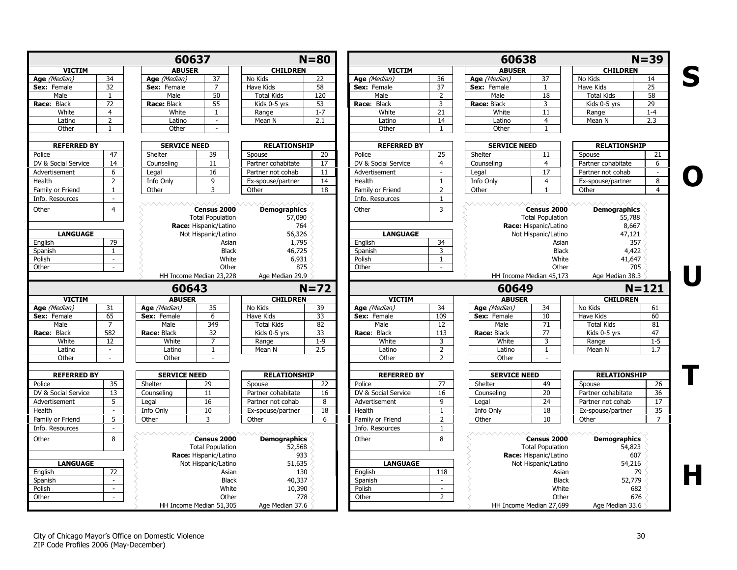|                                                                                               |                  | 60637<br><b>ABUSER</b><br>34<br>37<br>Age (Median) |                                                                 |                                      | $N = 80$ |                     |                          | 60638               |                                                                 |                                        | $N = 39$             |
|-----------------------------------------------------------------------------------------------|------------------|----------------------------------------------------|-----------------------------------------------------------------|--------------------------------------|----------|---------------------|--------------------------|---------------------|-----------------------------------------------------------------|----------------------------------------|----------------------|
| <b>VICTIM</b>                                                                                 |                  |                                                    |                                                                 | <b>CHILDREN</b>                      |          | <b>VICTIM</b>       |                          | <b>ABUSER</b>       |                                                                 | <b>CHILDREN</b>                        |                      |
| Age (Median)                                                                                  |                  |                                                    |                                                                 | No Kids                              | 22       | Age (Median)        | 36                       | Age (Median)        | 37                                                              | No Kids                                | 14                   |
| Sex: Female                                                                                   | 32               | Sex: Female                                        | $\overline{7}$                                                  | Have Kids                            | 58       | Sex: Female         | 37                       | Sex: Female         | 1                                                               | Have Kids                              | $\overline{25}$      |
| Male                                                                                          | $\mathbf{1}$     | Male                                               | 50                                                              | <b>Total Kids</b>                    | 120      | Male                | $\overline{2}$           | Male                | 18                                                              | <b>Total Kids</b>                      | 58                   |
| Race: Black                                                                                   | 72               | Race: Black                                        | 55                                                              | Kids 0-5 yrs                         | 53       | Race: Black         | $\overline{3}$           | Race: Black         | 3                                                               | Kids 0-5 yrs                           | 29                   |
| White                                                                                         | $\overline{4}$   | White                                              | 1                                                               | Range                                | $1 - 7$  | White               | 21                       | White               | 11                                                              | Range                                  | $1 - 4$              |
| Latino                                                                                        | $\overline{2}$   | Latino                                             | $\sim$                                                          | Mean N                               | 2.1      | Latino              | 14                       | Latino              | 4                                                               | Mean N                                 | 2.3                  |
| Other                                                                                         | 1                | Other                                              | $\sim$                                                          |                                      |          | Other               | $\mathbf{1}$             | Other               |                                                                 |                                        |                      |
| <b>REFERRED BY</b>                                                                            |                  | <b>SERVICE NEED</b>                                |                                                                 | <b>RELATIONSHIP</b>                  |          | <b>REFERRED BY</b>  |                          | <b>SERVICE NEED</b> |                                                                 | <b>RELATIONSHIP</b>                    |                      |
| Police                                                                                        | 47               | Shelter                                            | 39                                                              | Spouse                               | 20       | Police              | 25                       | Shelter             | 11                                                              | Spouse                                 | 21                   |
| DV & Social Service                                                                           | 14               | Counseling                                         | 11                                                              | Partner cohabitate                   | 17       | DV & Social Service | $\overline{4}$           | Counseling          | $\overline{4}$                                                  | Partner cohabitate                     | 6                    |
| Advertisement                                                                                 | 6                | Legal                                              | 16                                                              | Partner not cohab                    | 11       | Advertisement       | $\sim$                   | Legal               | 17                                                              | Partner not cohab                      | $\sim$               |
| Health                                                                                        | $\overline{2}$   | Info Only                                          | 9                                                               | Ex-spouse/partner                    | 14       | Health              | $\mathbf{1}$             | Info Only           | $\overline{4}$                                                  | Ex-spouse/partner                      | 8                    |
| Family or Friend                                                                              | $\mathbf{1}$     | Other                                              | 3                                                               | Other                                | 18       | Family or Friend    | $\overline{2}$           | Other               | $\mathbf{1}$                                                    | Other                                  | $\overline{4}$       |
| Info. Resources                                                                               | $\sim$           |                                                    |                                                                 |                                      |          | Info. Resources     | $\mathbf{1}$             |                     |                                                                 |                                        |                      |
| Other                                                                                         | $\overline{4}$   |                                                    | Census 2000<br><b>Total Population</b><br>Race: Hispanic/Latino | <b>Demographics</b><br>57,090<br>764 |          | Other               | $\overline{3}$           |                     | Census 2000<br><b>Total Population</b><br>Race: Hispanic/Latino | <b>Demographics</b><br>55,788<br>8,667 |                      |
| <b>LANGUAGE</b>                                                                               |                  |                                                    | Not Hispanic/Latino                                             | 56,326                               |          | <b>LANGUAGE</b>     |                          |                     | Not Hispanic/Latino                                             | 47,121                                 |                      |
| English                                                                                       | 79               |                                                    | Asian                                                           | 1,795                                |          | English             | 34                       |                     | Asian                                                           | 357                                    |                      |
| Spanish                                                                                       | $\mathbf{1}$     |                                                    | <b>Black</b>                                                    | 46,725                               |          | Spanish             | $\overline{3}$           |                     | <b>Black</b>                                                    | 4,422                                  |                      |
| Polish                                                                                        | $\sim$           |                                                    | White                                                           | 6,931                                |          | Polish              | 1                        |                     | White                                                           | 41,647                                 |                      |
| Other                                                                                         | $\sim$           |                                                    | Other                                                           | 875                                  |          | Other               | $\sim$                   |                     | Other                                                           | 705                                    |                      |
|                                                                                               |                  |                                                    | HH Income Median 23,228                                         | Age Median 29.9                      |          |                     |                          |                     | HH Income Median 45,173                                         | Age Median 38.3                        |                      |
|                                                                                               |                  | 60643                                              |                                                                 |                                      | $N=72$   |                     |                          | 60649               |                                                                 |                                        | $N = 121$            |
| <b>VICTIM</b>                                                                                 |                  | <b>ABUSER</b>                                      |                                                                 | <b>CHILDREN</b>                      |          | <b>VICTIM</b>       |                          | <b>ABUSER</b>       |                                                                 | <b>CHILDREN</b>                        |                      |
| Age (Median)                                                                                  | 31               | Age (Median)                                       | 35                                                              | No Kids                              | 39       | Age (Median)        | 34                       | Age (Median)        | 34                                                              | No Kids                                | 61                   |
| Sex: Female                                                                                   | 65               | Sex: Female                                        | 6                                                               | Have Kids                            | 33       | Sex: Female         | 109                      | Sex: Female         | 10                                                              | Have Kids                              | 60                   |
| Male                                                                                          | $\overline{7}$   | Male                                               | 349                                                             | <b>Total Kids</b>                    | 82       | Male                | 12                       | Male                | 71                                                              | <b>Total Kids</b>                      | 81                   |
| Race: Black                                                                                   | 582              | Race: Black                                        | 32                                                              | Kids 0-5 yrs                         | 33       | Race: Black         | 113                      | Race: Black         | $\overline{77}$                                                 | Kids 0-5 yrs                           | 47                   |
| White                                                                                         | 12               | White                                              | $\overline{7}$                                                  | Range                                | $1 - 9$  | White               | 3                        | White               | 3                                                               | Range                                  | $1 - 5$              |
| Latino                                                                                        |                  | Latino                                             | 1                                                               | Mean N                               | 2.5      | Latino              | $\overline{2}$           | Latino              | $\mathbf{1}$                                                    | Mean N                                 | 1.7                  |
| Other                                                                                         | $\sim$           | Other                                              | $\sim$                                                          |                                      |          | Other               | $\overline{2}$           | Other               | ÷.                                                              |                                        |                      |
| <b>REFERRED BY</b>                                                                            |                  | <b>SERVICE NEED</b>                                |                                                                 | <b>RELATIONSHIP</b>                  |          | <b>REFERRED BY</b>  |                          | <b>SERVICE NEED</b> |                                                                 | <b>RELATIONSHIP</b>                    |                      |
| Police                                                                                        | 35               | Shelter                                            | 29                                                              | Spouse                               | 22       | Police              | 77                       | Shelter             | 49                                                              | Spouse                                 | 26                   |
| DV & Social Service                                                                           |                  |                                                    | 11                                                              | Partner cohabitate                   | 16       | DV & Social Service | 16                       | Counseling          | 20                                                              | Partner cohabitate                     | 36                   |
|                                                                                               | 13               | Counseling                                         |                                                                 |                                      |          |                     |                          | Legal               |                                                                 | Partner not cohab                      | 17                   |
|                                                                                               | 5                | Legal                                              | 16                                                              | Partner not cohab                    | 8        | Advertisement       | 9                        |                     | 24                                                              |                                        |                      |
|                                                                                               | $\sim$           | Info Only                                          | 10                                                              | Ex-spouse/partner                    | 18       | Health              | $\mathbf{1}$             | Info Only           | 18                                                              | Ex-spouse/partner                      |                      |
|                                                                                               | 5 <sup>5</sup>   | Other                                              | 3                                                               | Other                                | 6        | Family or Friend    | $\overline{2}$           | Other               | 10                                                              | Other                                  | 35<br>$\overline{7}$ |
|                                                                                               | $\sim$           |                                                    |                                                                 |                                      |          | Info. Resources     | $\mathbf{1}$             |                     |                                                                 |                                        |                      |
|                                                                                               | 8                | ヘヘヘヘヘヘヘヘヘ                                          | Census 2000<br><b>Total Population</b>                          | <b>Demographics</b><br>52,568        |          | Other               | 8                        |                     | Census 2000<br><b>Total Population</b>                          | <b>Demographics</b><br>54,823          |                      |
|                                                                                               |                  |                                                    | Race: Hispanic/Latino                                           | 933                                  |          |                     |                          |                     | Race: Hispanic/Latino                                           | 607                                    |                      |
| <b>LANGUAGE</b>                                                                               |                  |                                                    | Not Hispanic/Latino                                             | 51,635                               |          | <b>LANGUAGE</b>     |                          |                     | Not Hispanic/Latino                                             | 54,216                                 |                      |
|                                                                                               | 72<br>$\sim$     |                                                    | Asian                                                           | 130                                  |          | English             | 118<br>$\sim$            |                     | Asian                                                           | 79                                     |                      |
| Advertisement<br>Health<br>Family or Friend<br>Info. Resources<br>Other<br>English<br>Spanish |                  |                                                    | <b>Black</b>                                                    | 40,337                               |          | Spanish             |                          |                     | <b>Black</b>                                                    | 52,779                                 |                      |
| Polish<br>Other                                                                               | $\sim$<br>$\sim$ |                                                    | White<br>Other                                                  | 10,390<br>778                        |          | Polish<br>Other     | $\sim$<br>$\overline{2}$ |                     | White<br>Other                                                  | 682<br>676                             |                      |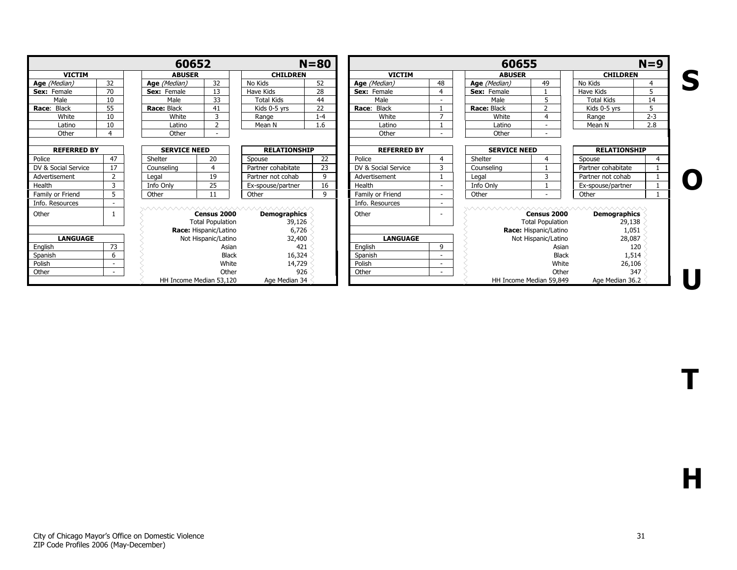| 60652               |                                   |                                                                  |                       |                               | $N = 80$     | 60655<br>$N=9$        |                |                                                                     |                          |                               |                       |
|---------------------|-----------------------------------|------------------------------------------------------------------|-----------------------|-------------------------------|--------------|-----------------------|----------------|---------------------------------------------------------------------|--------------------------|-------------------------------|-----------------------|
| <b>VICTIM</b>       |                                   | <b>ABUSER</b>                                                    |                       | <b>CHILDREN</b>               |              | <b>VICTIM</b>         |                | <b>ABUSER</b>                                                       |                          | <b>CHILDREN</b>               |                       |
| Age (Median)        | 32                                | Age (Median)                                                     | 32                    | No Kids                       | 52           | Age (Median)          | 48             | Age (Median)                                                        | 49                       | No Kids                       | $\boldsymbol{\Delta}$ |
| <b>Sex:</b> Female  | 70                                | <b>Sex:</b> Female                                               | 13                    | Have Kids                     | 28           | <b>Sex:</b> Female    | 4              | <b>Sex:</b> Female                                                  |                          | Have Kids                     | 5                     |
| Male                | 10                                | Male                                                             | 33                    | <b>Total Kids</b>             | 44           | Male                  |                | Male                                                                |                          | <b>Total Kids</b>             | 14                    |
| Race: Black         | 55                                | Race: Black                                                      | 41                    | Kids 0-5 vrs                  | 22           | <b>Black</b><br>Race: |                | Race: Black                                                         | $\overline{\phantom{0}}$ | Kids 0-5 vrs                  | 5                     |
| White               | 10                                | White                                                            | 3                     | Range                         | $1 - 4$      | White                 |                | White                                                               |                          | Range                         | $2 - 3$               |
| Latino              | 10                                | Latino                                                           | 2                     | Mean N                        | 1.6          | Latino                |                | Latino                                                              |                          | Mean N                        | 2.8                   |
| Other               | Δ                                 | Other                                                            |                       |                               |              | Other                 |                | Other                                                               |                          |                               |                       |
| <b>REFERRED BY</b>  |                                   | <b>SERVICE NEED</b>                                              |                       | <b>RELATIONSHIP</b>           |              | <b>REFERRED BY</b>    |                | <b>SERVICE NEED</b>                                                 |                          | <b>RELATIONSHIP</b>           |                       |
| Police              | 47                                | Shelter                                                          | 20                    | Spouse                        | 22           | Police                | $\overline{4}$ | Shelter                                                             |                          | Spouse                        |                       |
| DV & Social Service | 17                                | Counseling                                                       |                       | Partner cohabitate            | 23           | DV & Social Service   | 3              | Counseling                                                          |                          | Partner cohabitate            |                       |
| Advertisement       | $\overline{2}$                    | Legal                                                            | 19                    | Partner not cohab             | $\mathsf{q}$ | Advertisement         |                | Legal                                                               | $\mathbf{z}$             | Partner not cohab             |                       |
| Health              | 3                                 | Info Only                                                        | 25                    | Ex-spouse/partner             | 16           | Health                |                | Info Only                                                           |                          | Ex-spouse/partner             |                       |
| Family or Friend    | 5                                 | Other                                                            | 11                    | Other                         | $\mathsf{q}$ | Family or Friend      | $\sim$         | Other                                                               |                          | Other                         |                       |
| Info. Resources     |                                   |                                                                  |                       |                               |              | Info. Resources       |                |                                                                     |                          |                               |                       |
| Other               |                                   | www.www.www.www.www.ww<br>Census 2000<br><b>Total Population</b> |                       | <b>Demographics</b><br>39,126 |              | Other                 |                | www.www.www.www.www.www.w<br>Census 2000<br><b>Total Population</b> |                          | <b>Demographics</b><br>29,138 |                       |
|                     |                                   |                                                                  | Race: Hispanic/Latino |                               | 6,726        |                       |                |                                                                     | Race: Hispanic/Latino    | 1,051                         |                       |
| <b>LANGUAGE</b>     |                                   | Not Hispanic/Latino                                              |                       | 32,400                        |              | <b>LANGUAGE</b>       |                | Not Hispanic/Latino                                                 |                          | 28,087                        |                       |
| Enalish             | 73                                | Asian                                                            |                       | 421                           |              | Enalish               | 9              |                                                                     | 120                      |                               |                       |
| Spanish             | 6                                 | <b>Black</b>                                                     |                       | 16,324                        |              | Spanish               |                | <b>Black</b>                                                        |                          | 1,514                         |                       |
| Polish              | White<br>$\overline{\phantom{a}}$ |                                                                  | 14,729                |                               | Polish       |                       |                | 26,106                                                              |                          |                               |                       |
| Other               |                                   |                                                                  | Other                 | 926                           |              | Other                 |                |                                                                     | Other                    | 347                           |                       |
|                     |                                   | HH Income Median 53,120                                          |                       | Age Median 34                 |              |                       |                |                                                                     | HH Income Median 59,849  | Age Median 36.2               |                       |

T

H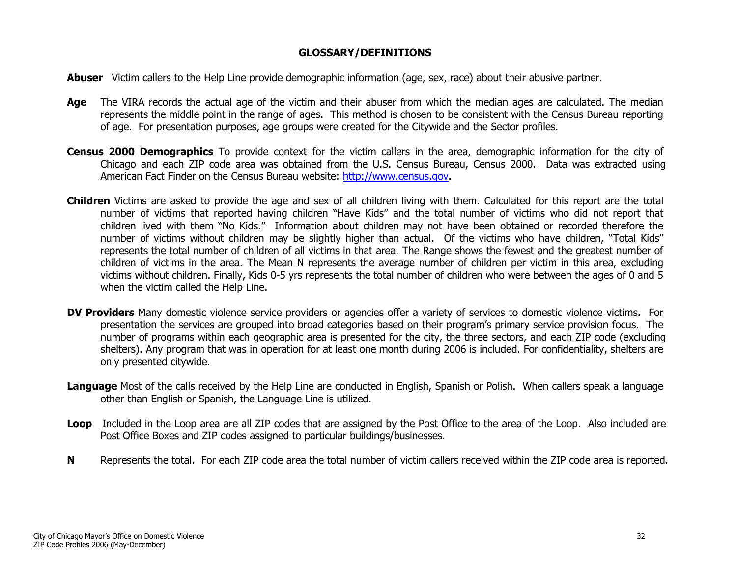#### GLOSSARY/DEFINITIONS

<span id="page-31-0"></span>Abuser Victim callers to the Help Line provide demographic information (age, sex, race) about their abusive partner.

- Age The VIRA records the actual age of the victim and their abuser from which the median ages are calculated. The median represents the middle point in the range of ages. This method is chosen to be consistent with the Census Bureau reporting of age. For presentation purposes, age groups were created for the Citywide and the Sector profiles.
- Census 2000 Demographics To provide context for the victim callers in the area, demographic information for the city of Chicago and each ZIP code area was obtained from the U.S. Census Bureau, Census 2000. Data was extracted using American Fact Finder on the Census Bureau website:<http://www.census.gov>.
- Children Victims are asked to provide the age and sex of all children living with them. Calculated for this report are the total number of victims that reported having children "Have Kids" and the total number of victims who did not report that children lived with them "No Kids." Information about children may not have been obtained or recorded therefore the number of victims without children may be slightly higher than actual. Of the victims who have children, "Total Kids" represents the total number of children of all victims in that area. The Range shows the fewest and the greatest number of children of victims in the area. The Mean N represents the average number of children per victim in this area, excluding victims without children. Finally, Kids 0-5 yrs represents the total number of children who were between the ages of 0 and 5 when the victim called the Help Line.
- DV Providers Many domestic violence service providers or agencies offer a variety of services to domestic violence victims. For presentation the services are grouped into broad categories based on their program's primary service provision focus. The number of programs within each geographic area is presented for the city, the three sectors, and each ZIP code (excluding shelters). Any program that was in operation for at least one month during 2006 is included. For confidentiality, shelters are only presented citywide.
- Language Most of the calls received by the Help Line are conducted in English, Spanish or Polish. When callers speak a language other than English or Spanish, the Language Line is utilized.
- Loop Included in the Loop area are all ZIP codes that are assigned by the Post Office to the area of the Loop. Also included are Post Office Boxes and ZIP codes assigned to particular buildings/businesses.
- NRepresents the total. For each ZIP code area the total number of victim callers received within the ZIP code area is reported.